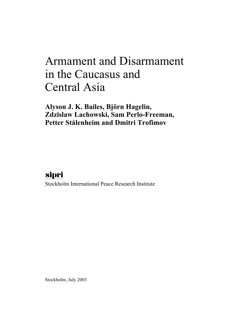# Armament and Disarmament in the Caucasus and Central Asia

**Alyson J. K. Bailes, Björn Hagelin, Zdzislaw Lachowski, Sam Perlo-Freeman, Petter Stålenheim and Dmitri Trofimov**

# sipri

Stockholm International Peace Research Institute

Stockholm, July 2003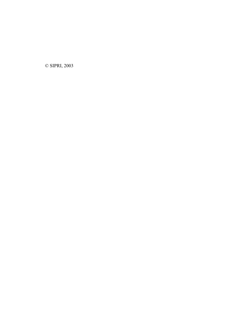© SIPRI, 2003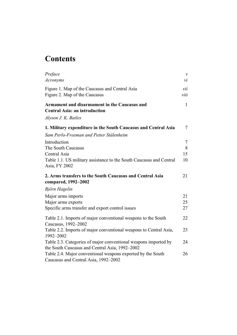# **Contents**

| Preface                                                                                                           | $\mathcal{V}$ |
|-------------------------------------------------------------------------------------------------------------------|---------------|
| <b>Acronyms</b>                                                                                                   | νi            |
| Figure 1. Map of the Caucasus and Central Asia                                                                    | vii           |
| Figure 2. Map of the Caucasus                                                                                     | viii          |
| Armament and disarmament in the Caucasus and<br><b>Central Asia: an introduction</b>                              | $\mathbf{1}$  |
| Alyson J. K. Bailes                                                                                               |               |
| 1. Military expenditure in the South Caucasus and Central Asia                                                    | $\tau$        |
| Sam Perlo-Freeman and Petter Stålenheim                                                                           |               |
| Introduction                                                                                                      | $\tau$        |
| The South Caucasus                                                                                                | 8             |
| Central Asia                                                                                                      | 15            |
| Table 1.1. US military assistance to the South Caucasus and Central<br>Asia, FY 2002                              | 10            |
| 2. Arms transfers to the South Caucasus and Central Asia<br>compared, 1992-2002                                   | 21            |
| Björn Hagelin                                                                                                     |               |
| Major arms imports                                                                                                | 21            |
| Major arms exports                                                                                                | 25            |
| Specific arms transfer and export control issues                                                                  | 27            |
| Table 2.1. Imports of major conventional weapons to the South<br>Caucasus, 1992-2002                              | 22            |
| Table 2.2. Imports of major conventional weapons to Central Asia,<br>1992-2002                                    | 23            |
| Table 2.3. Categories of major conventional weapons imported by<br>the South Caucasus and Central Asia, 1992-2002 | 24            |
| Table 2.4. Major conventional weapons exported by the South<br>Caucasus and Central Asia, 1992-2002               | 26            |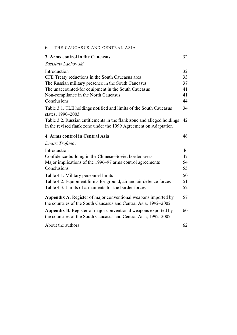| 3. Arms control in the Caucasus                                                                                                            | 32 |
|--------------------------------------------------------------------------------------------------------------------------------------------|----|
| Zdzislaw Lachowski                                                                                                                         |    |
| Introduction                                                                                                                               | 32 |
| CFE Treaty reductions in the South Caucasus area                                                                                           | 33 |
| The Russian military presence in the South Caucasus                                                                                        | 37 |
| The unaccounted-for equipment in the South Caucasus                                                                                        | 41 |
| Non-compliance in the North Caucasus                                                                                                       | 41 |
| Conclusions                                                                                                                                | 44 |
| Table 3.1. TLE holdings notified and limits of the South Caucasus<br>states, 1990-2003                                                     | 34 |
| Table 3.2. Russian entitlements in the flank zone and alleged holdings<br>in the revised flank zone under the 1999 Agreement on Adaptation | 42 |
| 4. Arms control in Central Asia                                                                                                            | 46 |
| Dmitri Trofimov                                                                                                                            |    |
| Introduction                                                                                                                               | 46 |
| Confidence-building in the Chinese–Soviet border areas                                                                                     | 47 |
| Major implications of the 1996–97 arms control agreements                                                                                  | 54 |
| Conclusions                                                                                                                                | 55 |
| Table 4.1. Military personnel limits                                                                                                       | 50 |
| Table 4.2. Equipment limits for ground, air and air defence forces                                                                         | 51 |
| Table 4.3. Limits of armaments for the border forces                                                                                       | 52 |
| <b>Appendix A.</b> Register of major conventional weapons imported by<br>the countries of the South Caucasus and Central Asia, 1992–2002   | 57 |
| Appendix B. Register of major conventional weapons exported by<br>the countries of the South Caucasus and Central Asia, 1992–2002          | 60 |
| About the authors                                                                                                                          | 62 |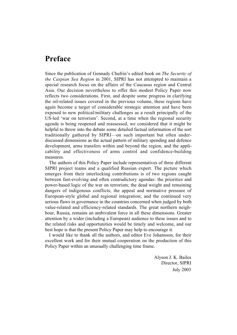# **Preface**

Since the publication of Gennady Chufrin's edited book on *The Security of the Caspian Sea Region* in 2001, SIPRI has not attempted to maintain a special research focus on the affairs of the Caucasus region and Central Asia. Our decision nevertheless to offer this modest Policy Paper now reflects two considerations. First, and despite some progress in clarifying the oil-related issues covered in the previous volume, these regions have again become a target of considerable strategic attention and have been exposed to new political/military challenges as a result principally of the US-led 'war on terrorism'. Second, at a time when the regional security agenda is being reopened and reassessed, we considered that it might be helpful to throw into the debate some detailed factual information of the sort traditionally gathered by SIPRI—on such important but often underdiscussed dimensions as the actual pattern of military spending and defence development, arms transfers within and beyond the region, and the applicability and effectiveness of arms control and confidence-building measures.

The authors of this Policy Paper include representatives of three different SIPRI project teams and a qualified Russian expert. The picture which emerges from their interlocking contributions is of two regions caught between fast-evolving and often contradictory agendas: the priorities and power-based logic of the war on terrorism; the dead weight and remaining dangers of indigenous conflicts; the appeal and normative pressure of European-style global and regional integration; and the continued very serious flaws in governance in the countries concerned when judged by both value-related and efficiency-related standards. The great northern neighbour, Russia, remains an ambivalent force in all these dimensions. Greater attention by a wider (including a European) audience to these issues and to the related risks and opportunities would be timely and welcome, and our best hope is that the present Policy Paper may help to encourage it.

I would like to thank all the authors, and editor Eve Johansson, for their excellent work and for their mutual cooperation on the production of this Policy Paper within an unusually challenging time frame.

> Alyson J. K. Bailes Director, SIPRI July 2003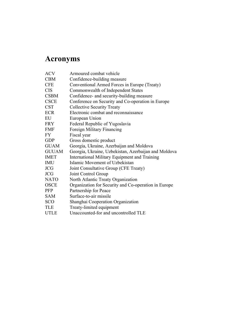# **Acronyms**

| Armoured combat vehicle                              |
|------------------------------------------------------|
| Confidence-building measure                          |
| Conventional Armed Forces in Europe (Treaty)         |
| Commonwealth of Independent States                   |
| Confidence- and security-building measure            |
| Conference on Security and Co-operation in Europe    |
| <b>Collective Security Treaty</b>                    |
| Electronic combat and reconnaissance                 |
| European Union                                       |
| Federal Republic of Yugoslavia                       |
| <b>Foreign Military Financing</b>                    |
| Fiscal year                                          |
| Gross domestic product                               |
| Georgia, Ukraine, Azerbaijan and Moldova             |
| Georgia, Ukraine, Uzbekistan, Azerbaijan and Moldova |
| International Military Equipment and Training        |
| Islamic Movement of Uzbekistan                       |
| Joint Consultative Group (CFE Treaty)                |
| Joint Control Group                                  |
| North Atlantic Treaty Organization                   |
| Organization for Security and Co-operation in Europe |
| Partnership for Peace                                |
| Surface-to-air missile                               |
| Shanghai Cooperation Organization                    |
| Treaty-limited equipment                             |
| Unaccounted-for and uncontrolled TLE                 |
|                                                      |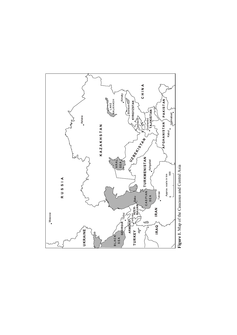

Figure 1. Map of the Caucasus and Central Asia  **Figure 1.** Map of the Caucasus and Central Asia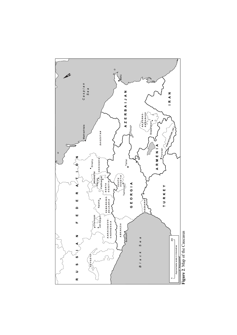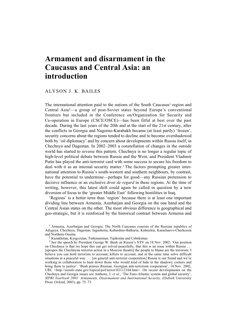# **Armament and disarmament in the Caucasus and Central Asia: an introduction**

# ALYSON J. K. BAILES

The international attention paid to the nations of the South Caucasus<sup>1</sup> region and Central Asia2—a group of post-Soviet states beyond Europe's conventional frontiers but included in the Conference on/Organization for Security and Co-operation in Europe (CSCE/OSCE)—has been fitful at best over the past decade. During the last years of the 20th and at the start of the 21st century, after the conflicts in Georgia and Nagorno-Karabakh became (at least partly) 'frozen', security concerns about the regions tended to decline and to become overshadowed both by 'oil diplomacy' and by concern about developments within Russia itself, in Chechnya and Dagestan. In 2002–2003 a constellation of changes in the outside world has started to reverse this pattern. Chechnya is no longer a regular topic of high-level political debate between Russia and the West, and President Vladimir Putin has played the anti-terrorist card with some success to secure his freedom to deal with it as an internal security matter.3 The factors prompting greater international attention to Russia's south-western and southern neighbours, by contrast, have the potential to undermine—perhaps for good—any Russian pretension to decisive influence or an exclusive *droit de regard* in these regions. At the time of writing, however, this latest shift could again be called in question by a new diversion of focus to the 'greater Middle East' following hostilities in Iraq.

'Regions' is a better term than 'region' because there is at least one important dividing line between Armenia, Azerbaijan and Georgia on the one hand and the Central Asian states on the other. The most obvious difference is geographical and geo-strategic, but it is reinforced by the historical contrast between Armenia and

<sup>1</sup> Armenia, Azerbaijan and Georgia. The North Caucasus consists of the Russian republics of Adygeya, Chechnya, Dagestan, Ingushetia, Kabardino-Balkaria, Kalmykia, Karachaevo-Cherkessia and Northern Ossetia.

<sup>2</sup> Kazakhstan, Kyrgyzstan, Turkmenistan, Tajikistan and Uzbekistan.

<sup>3</sup> See the speech by President George W. Bush on Russia's NTV on 18 Nov. 2002: 'Our position on Chechnya is that we hope this can get solved peacefully, that this is an issue within Russia . . . [apropos the Chechnyan terrorist action in a Moscow theatre] the people to blame are the terrorists. I believe you can hold terrorists to account, killers to account, and at the same time solve difficult situations in a peaceful way . . . [on general anti-terrorist cooperation] Russia is our friend and we're working in collaboration to hunt down those who would kind of hide in the shadowy corners and bring them to justice'. 'Bush praises Russian, Georgian anti-terrorism cooperation', 18 Nov. 2002, URL <http://usinfo.state.gov/topical/pol/terror/02112104.htm>. On recent developments on the Chechnya and Georgia issues see Anthony, I. *et al.*, 'The Euro-Atlantic system and global security', SIPRI Yearbook 2003: Armaments, Disarmament and International Security, (Oxford University Press: Oxford, 2003), pp. 72–73.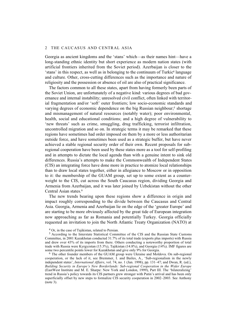Georgia as ancient kingdoms and the 'stans' which—as their names hint—have a long-standing ethnic identity but short experience as modern nation states (with artificial frontiers inherited from the Soviet period). Azerbaijan is closer to the 'stans' in this respect, as well as in belonging to the continuum of Turkic4 language and culture. Other, cross-cutting differences such as the importance and nature of religiosity and the possession or absence of oil are also of practical significance.

The factors common to all these states, apart from having formerly been parts of the Soviet Union, are unfortunately of a negative kind: various degrees of bad governance and internal instability; unresolved civil conflict, often linked with territorial fragmentation and/or 'soft' outer frontiers; low socio-economic standards and varying degrees of economic dependence on the big Russian neighbour;<sup>5</sup> shortage and mismanagement of natural resources (notably water); poor environmental, health, social and educational conditions; and a high degree of vulnerability to 'new threats' such as crime, smuggling, drug trafficking, terrorist infiltration, uncontrolled migration and so on. In strategic terms it may be remarked that these regions have sometimes had order imposed on them by a more or less authoritarian outside force, and have sometimes been used as a strategic buffer, but have never achieved a stable regional security order of their own. Recent proposals for subregional cooperation have been used by these states more as a tool for self-profiling and in attempts to dictate the local agenda than with a genuine intent to sink old differences. Russia's attempts to make the Commonwealth of Independent States (CIS) an integrating force have done more in practice to atomize local relationships than to draw local states together, either in allegiance to Moscow or in opposition to it: the membership of the GUAM group, set up to some extent as a counterweight to the CIS, cut across the South Caucasus region, dividing Georgia and Armenia from Azerbaijan, and it was later joined by Uzbekistan without the other Central Asian states.6

The new trends bearing upon these regions show a difference in origin and impact roughly corresponding to the divide between the Caucasus and Central Asia. Georgia, Armenia and Azerbaijan lie on the edge of the 'greater Europe' and are starting to be more obviously affected by the great tide of European integration now approaching as far as Romania and potentially Turkey. Georgia officially requested an invitation to join the North Atlantic Treaty Organization (NATO) at

4 Or, in the case of Tajikistan, related to Persian.

5 According to the Interstate Statistical Committee of the CIS and the Russian State Customs Committee, in 2001 Kazakhstan conducted 31.7% of its total trade (exports plus imports) with Russia and drew over 43% of its imports from there. Others conducting a noteworthy proportion of total trade with Russia were Kyrgyzstan (15.3%), Tajikistan (14.8%), and Georgia (14%). IMF figures are some two percentile points lower for Kazakhstan and give only 9% for Georgia.

6 The other founder members of the GUAM group were Ukraine and Moldova. On sub-regional cooperation, or the lack of it, see Bremmer, I. and Bailes, A., 'Sub-regionalism in the newly independent states', *International Affairs*, vol. 74, no. 1 (Jan. 1998), pp. 131–47; and Dwan, R. (ed.), *Building Security in Europe's New Borderlands: Sub-regional Cooperation in the Wider Europe* (EastWest Institute and M. E. Sharpe: New York and London, 1999), Part III. The 'bilateralizing' trend in Russia's policy towards its CIS partners grew stronger with Putin's arrival and has been only superficially offset by new steps to formalize CIS security cooperation in 2002–2003. See Anthony (note 3).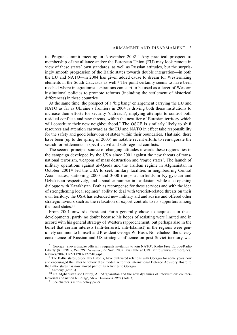its Prague summit meeting in November 2002.7 Any practical prospect of membership of the alliance and/or the European Union (EU) may look remote in view of these states' own standards, as well as Russian attitudes, but the surprisingly smooth progression of the Baltic states towards double integration—in both the EU and NATO—in 2004 has given added cause to dream for Westernizing elements in the South Caucasus as well.8 The point certainly seems to have been reached where integrationist aspirations can start to be used as a lever of Western institutional policies to promote reforms (including the settlement of historical differences) in these countries.

At the same time, the prospect of a 'big bang' enlargement carrying the EU and NATO as far as Ukraine's frontiers in 2004 is driving both these institutions to increase their efforts for security 'outreach', implying attempts to control both residual conflicts and new threats, within the next tier of Eurasian territory which will constitute their new neighbourhood.<sup>9</sup> The OSCE is similarly likely to shift resources and attention eastward as the EU and NATO in effect take responsibility for the safety and good behaviour of states within their boundaries. That said, there have been (up to the spring of 2003) no notable recent efforts to reinvigorate the search for settlements in specific civil and sub-regional conflicts.

The second principal source of changing attitudes towards these regions lies in the campaign developed by the USA since 2001 against the new threats of transnational terrorism, weapons of mass destruction and 'rogue states'. The launch of military operations against al-Qaeda and the Taliban regime in Afghanistan in October 200110 led the USA to seek military facilities in neighbouring Central Asian states, stationing 2000 and 3000 troops at airfields in Kyrgyzstan and Uzbekistan respectively, and a smaller number in Tajikistan, while also opening dialogue with Kazakhstan. Both as recompense for these services and with the idea of strengthening local regimes' ability to deal with terrorist-related threats on their own territory, the USA has extended new military aid and advice and offered other strategic favours such as the relaxation of export controls to its supporters among the local states.11

From 2001 onwards President Putin generally chose to acquiesce in these developments, partly no doubt because his hopes of resisting were limited and in accord with his general strategy of Western rapprochement, but perhaps also in the belief that certain interests (anti-terrorist, anti-Islamist) in the regions were genuinely common to himself and President George W. Bush. Nonetheless, the uneasy coexistence of Russian and US strategic influence on post-Soviet territory was

8 The Baltic states, especially Estonia, have cultivated relations with Georgia for some years now and encouraged the latter to follow their model. A former international Defence Advisory Board to the Baltic states has now moved part of its activities to Georgia.

<sup>7 &#</sup>x27;Georgia: Shevardnadze officially requests invitation to join NATO', Radio Free Europe/Radio Liberty (RFE/RL), *RFE/RL Newsline*, 22 Nov. 2002, available at URL <http://www.rferl.org/nca/ features/2002/11/22112002172610.asp>.

<sup>&</sup>lt;sup>9</sup> Anthony (note 3).

<sup>&</sup>lt;sup>10</sup> On Afghanistan see Cottey, A., 'Afghanistan and the new dynamics of intervention: counterterrorism and nation building', *SIPRI Yearbook 2003* (note 3).

<sup>&</sup>lt;sup>11</sup> See chapter 3 in this policy paper.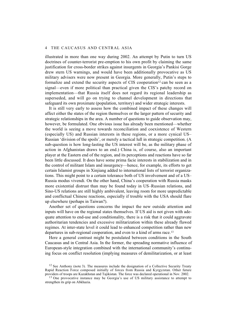illustrated in more than one way during 2002. An attempt by Putin to turn US doctrines of counter-terrorist pre-emption to his own profit by claiming the same justification for cross-border strikes against insurgents in Georgia's Pankisi Gorge drew stern US warnings, and would have been additionally provocative as US military advisers were now present in Georgia. More generally, Putin's steps to formalize and extend the security aspects of CIS cooperation<sup>12</sup> can be seen as a signal—even if more political than practical given the CIS's patchy record on implementation—that Russia itself does not regard its regional leadership as superseded, and will go on trying to channel development in directions that safeguard its own proximate (population, territory) and wider strategic interests.

It is still very early to assess how the combined impact of these changes will affect either the states of the region themselves or the larger pattern of security and strategic relationships in the area. A number of questions to guide observation may, however, be formulated. One obvious issue has already been mentioned—whether the world is seeing a move towards reconciliation and coexistence of Western (especially US) and Russian interests in these regions, or a more cynical US– Russian 'division of the spoils', or merely a tactical lull in strategic competition. (A sub-question is how long-lasting the US interest will be, as the military phase of action in Afghanistan draws to an end.) China is, of course, also an important player at the Eastern end of the region, and its perceptions and reactions have so far been little discussed. It does have some prima facie interests in stabilization and in the control of militant Islam and insurgency—hence, for example, its efforts to get certain Islamist groups in Xinjiang added to international lists of terrorist organizations. This might point to a certain tolerance both of US involvement and of a US– Russia modus vivendi. On the other hand, China's cooperation with Russia masks more existential distrust than may be found today in US–Russian relations, and Sino-US relations are still highly ambivalent, leaving room for more unpredictable and conflictual Chinese reactions, especially if trouble with the USA should flare up elsewhere (perhaps in Taiwan?).

Another set of questions concerns the impact the new outside attention and inputs will have on the regional states themselves. If US aid is not given with adequate attention to end-use and conditionality, there is a risk that it could aggravate authoritarian tendencies and excessive militarization within these already flawed regimes. At inter-state level it could lead to enhanced competition rather than new departures in sub-regional cooperation, and even to a kind of arms race.13

Here a general contrast might be postulated between conditions in the South Caucasus and in Central Asia. In the former, the spreading normative influence of European-style integration combined with the international community's continuing focus on conflict resolution (implying measures of demilitarization, or at least

<sup>&</sup>lt;sup>12</sup> See Anthony (note 3). The measures include the designation of a Collective Security Treaty Rapid Reaction Force composed initially of forces from Russia and Kyrgyzstan. Other future providers of troops are Kazakhstan and Tajikistan. The force was declared operational in Nov. 2002.

<sup>&</sup>lt;sup>13</sup> One provocative instance may be Georgia's use of US military assistance to attempt to strengthen its grip on Abkhazia.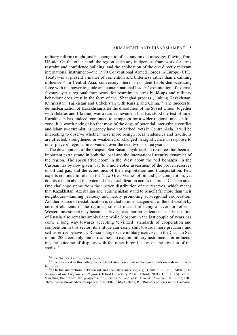#### ARMAMENT AND DISARMAMENT 5

military reform) might just be enough to offset any mixed messages flowing from US aid. On the other hand, the region lacks any indigenous framework for arms restraint and confidence building, and the application of the one directly relevant international instrument—the 1990 Conventional Armed Forces in Europe (CFE) Treaty—is at present a matter of contention and bitterness rather than a calming influence.14 In Central Asia, conversely, there is no identifiable democratizing force with the power to guide and contain national leaders' exploitation of external favours: yet a regional framework for restraint in arms build-ups and military behaviour does exist in the form of the 'Shanghai process', linking Kazakhstan, Kyrgyzstan, Tajikistan and Uzbekistan with Russia and China.15 The successful de-nuclearization of Kazakhstan after the dissolution of the Soviet Union (together with Belarus and Ukraine) was a rare achievement that has stood the test of time. Kazakhstan has, indeed, continued to campaign for a wider regional nuclear-free zone. It is worth noting also that most of the dogs of potential inter-ethnic conflict and Islamist–extremist insurgency have not barked (yet) in Central Asia. It will be interesting to observe whether these more benign local tendencies and traditions are affected, strengthened or weakened or changed in significance in response to other players' regional involvement over the next two or three years.

The development of the Caspian Sea Basin's hydrocarbon resources has been an important extra strand in both the local and the international security dynamics of the region. The speculative boom in the West about the 'oil bonanza' in the Caspian has by now given way to a more sober assessment of the proven reserves of oil and gas, and the economics of their exploitation and transportation. Few experts continue to refer to the 'new Great Game' of oil and gas competition, yet doubts remain about the potential for destabilization across the broad Caspian area. One challenge stems from the uneven distribution of the reserves, which means that Kazakhstan, Azerbaijan and Turkmenistan stand to benefit far more than their neighbours—fanning jealousy and hardly promoting sub-regional cooperation. Another source of destabilization is related to mismanagement of the oil wealth by corrupt elements in the regimes, so that instead of being a lever for reforms Western investment may become a driver for authoritarian tendencies. The position of Russia also remains ambivalent: while Moscow in the last couple of years has come a long way towards accepting 'civilized' standards of cooperation and competition in this sector, its attitude can easily shift towards more predatory and self-assertive behaviour. Russia's large-scale military exercises in the Caspian Sea in mid-2002 certainly hint at readiness to exploit military instruments for influencing the outcome of disputes with the other littoral states on the division of the spoils.<sup>16</sup>

<sup>14</sup> See chapter 3 in this policy paper.

<sup>&</sup>lt;sup>15</sup> See chapter 4 in this policy paper. Uzbekistan is not part of the agreements on restraint in arms build-ups.

<sup>16</sup> On the interactions between oil and security issues see, e.g., Chufrin, G. (ed.), SIPRI, *The Security of the Caspian Sea Region* (Oxford University Press: Oxford, 2001); Hill, F. and Fee, F., 'Fuelling the future: the prospects for Russian oil and gas', *Demokratizatsiya*, fall 2002, URL  $\lt$ http://www.brook.edu/views/papers/hillf/200205.htm>; Baev, P., 'Russia's policies in the Caucasus: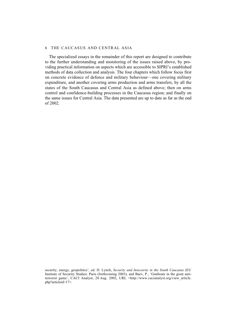The specialized essays in the remainder of this report are designed to contribute to the further understanding and monitoring of the issues raised above, by providing practical information on aspects which are accessible to SIPRI's established methods of data collection and analysis. The four chapters which follow focus first on concrete evidence of defence and military behaviour—one covering military expenditure, and another covering arms production and arms transfers, by all the states of the South Caucasus and Central Asia as defined above; then on arms control and confidence-building processes in the Caucasus region; and finally on the same issues for Central Asia. The data presented are up to date as far as the end of 2002.

security, energy, geopolitics', ed. D. Lynch, *Security and Insecurity in the South Caucasus* (EU Institute of Security Studies: Paris (forthcoming 2003); and Baev, P., 'Gunboats in the great antiterrorist game', CACI Analyst, 28 Aug. 2002, URL <http://www.cacianalyst.org/view article. php?articleid=17>.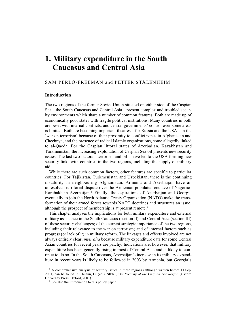# **1. Military expenditure in the South Caucasus and Central Asia**

# SAM PERLO-FREEMAN and PETTER STÅLENHEIM

# **Introduction**

The two regions of the former Soviet Union situated on either side of the Caspian Sea—the South Caucasus and Central Asia—present complex and troubled security environments which share a number of common features. Both are made up of economically poor states with fragile political institutions. Many countries in both are beset with internal conflicts, and central governments' control over some areas is limited. Both are becoming important theatres—for Russia and the USA—in the 'war on terrorism' because of their proximity to conflict zones in Afghanistan and Chechnya, and the presence of radical Islamic organizations, some allegedly linked to al-Qaeda. For the Caspian littoral states of Azerbaijan, Kazakhstan and Turkmenistan, the increasing exploitation of Caspian Sea oil presents new security issues. The last two factors—terrorism and oil—have led to the USA forming new security links with countries in the two regions, including the supply of military aid.

While there are such common factors, other features are specific to particular countries. For Tajikistan, Turkmenistan and Uzbekistan, there is the continuing instability in neighbouring Afghanistan. Armenia and Azerbaijan have an unresolved territorial dispute over the Armenian-populated enclave of Nagorno-Karabakh in Azerbaijan.<sup>1</sup> Finally, the aspirations of Azerbaijan and Georgia eventually to join the North Atlantic Treaty Organization (NATO) make the transformation of their armed forces towards NATO doctrines and structures an issue, although the prospect of membership is at present remote.2

This chapter analyses the implications for both military expenditure and external military assistance in the South Caucasus (section II) and Central Asia (section III) of these security challenges; of the current strategic importance of the two regions, including their relevance to the war on terrorism; and of internal factors such as progress (or lack of it) in military reform. The linkages and effects involved are not always entirely clear, *inter alia* because military expenditure data for some Central Asian countries for recent years are patchy. Indications are, however, that military expenditure has been generally rising in most of Central Asia and is likely to continue to do so. In the South Caucasus, Azerbaijan's increase in its military expenditure in recent years is likely to be followed in 2003 by Armenia, but Georgia's

 $<sup>1</sup>$  A comprehensive analysis of security issues in these regions (although written before 11 Sep.</sup> 2001) can be found in Chufrin, G. (ed.), SIPRI, *The Security of the Caspian Sea Region* (Oxford University Press: Oxford, 2001).

<sup>2</sup> See also the Introduction to this policy paper.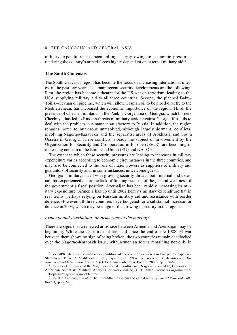military expenditure has been falling sharply owing to economic pressures, rendering the country's armed forces highly dependent on external military aid.3

#### **The South Caucasus**

The South Caucasus region has become the focus of increasing international interest in the past few years. The main recent security developments are the following. First, the region has become a theatre for the US war on terrorism, leading to the USA supplying military aid to all three countries. Second, the planned Baku– Tbilisi–Ceyhan oil pipeline, which will allow Caspian oil to be piped directly to the Mediterranean, has increased the economic importance of the region. Third, the presence of Chechen militants in the Pankisi Gorge area of Georgia, which borders Chechnya, has led to Russian threats of military action against Georgia if it fails to deal with the problem in a manner satisfactory to Russia. In addition, the region remains home to numerous unresolved, although largely dormant, conflicts, involving Nagorno-Karabakh<sup>4</sup> and the separatist areas of Abkhazia and South Ossetia in Georgia. These conflicts, already the subject of involvement by the Organization for Security and Co-operation in Europe (OSCE), are becoming of increasing concern to the European Union (EU) and NATO.5

The extent to which these security pressures are leading to increases in military expenditure varies according to economic circumstances in the three countries, and may also be connected to the role of major powers as suppliers of military aid, guarantors of security and, in some instances, unwelcome guests.

Georgia's military, faced with growing security threats, both internal and external, has experienced a chronic lack of funding because of the general weakness of the government's fiscal position. Azerbaijan has been rapidly increasing its military expenditure. Armenia has up until 2002 kept its military expenditure flat in real terms, perhaps relying on Russian military aid and assistance with border defence. However, all three countries have budgeted for a substantial increase for defence in 2003, which may be a sign of the growing insecurity in the region.

#### *Armenia and Azerbaijan: an arms race in the making?*

There are signs that a renewed arms race between Armenia and Azerbaijan may be beginning. While the ceasefire that has held since the end of the 1988–94 war between them shows no sign of being broken, the two countries remain deadlocked over the Nagorno-Karabakh issue, with Armenian forces remaining not only in

5 See also Anthony, I. *et al.*, 'The Euro-Atlantic system and global security', *SIPRI Yearbook 2003* (note 3), pp. 67–70.

<sup>&</sup>lt;sup>3</sup> For SIPRI data on the military expenditure of the countries covered in this policy paper see Stålenheim, P. *et al*., 'Tables of military expenditure', *SIPRI Yearbook 2003: Armaments, Disarmament and International Security* (Oxford University Press: Oxford, 2003), pp. 339–59.

<sup>4</sup> For a brief summary of the Nagorno-Karabakh conflict see 'Nagorno Karabakh', Federation of American Scientists Military Analysis Network online, URL <http://www.fas.org/man/dod-101/ops/war/nagorno-karabakh.htm>.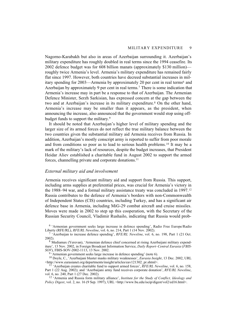Nagorno-Karabakh but also in areas of Azerbaijan surrounding it. Azerbaijan's military expenditure has roughly doubled in real terms since the 1994 ceasefire. Its 2002 defence budget was for 608 billion manats (approximately \$130 million) roughly twice Armenia's level. Armenia's military expenditure has remained fairly flat since 1997. However, both countries have decreed substantial increases in military spending for 2003—Armenia by approximately 20 per cent in real terms6 and Azerbaijan by approximately 9 per cent in real terms.7 There is some indication that Armenia's increase may in part be a response to that of Azerbaijan. The Armenian Defence Minister, Serzh Sarkisian, has expressed concern at the gap between the two and at Azerbaijan's increase in its military expenditure.<sup>8</sup> On the other hand, Armenia's increase may be smaller than it appears, as the president, when announcing the increase, also announced that the government would stop using offbudget funds to support the military.<sup>9</sup>

It should be noted that Azerbaijan's higher level of military spending and the larger size of its armed forces do not reflect the true military balance between the two countries given the substantial military aid Armenia receives from Russia. In addition, Azerbaijan's mostly conscript army is reported to suffer from poor morale and from conditions so poor as to lead to serious health problems.10 It may be a mark of the military's lack of resources, despite the budget increases, that President Heidar Aliev established a charitable fund in August 2002 to support the armed forces, channelling private and corporate donations.<sup>11</sup>

# *External military aid and involvement*

Armenia receives significant military aid and support from Russia. This support, including arms supplies at preferential prices, was crucial for Armenia's victory in the 1988–94 war, and a formal military assistance treaty was concluded in 1997.12 Russia contributes to the defence of Armenia's borders with non-Commonwealth of Independent States (CIS) countries, including Turkey, and has a significant air defence base in Armenia, including MiG-29 combat aircraft and cruise missiles. Moves were made in 2002 to step up this cooperation, with the Secretary of the Russian Security Council, Vladimir Rushailo, indicating that Russia would prob-

6 'Armenian government seeks large increase in defence spending', Radio Free Europe/Radio Liberty (RFE/RL), *RFE/RL Newsline*, vol. 6, no. 214, Part 1 (14 Nov. 2002).

7 'Azerbaijan to increase defence spending', *RFE/RL Newsline*, vol. 6, no. 198, Part 1 (21 Oct. 2002).

8 Mediamax (Yerevan), 'Armenian defence chief concerned at rising Azerbaijani military expenditure', 13 Nov. 2002, in Foreign Broadcast Information Service, *Daily Report–Central Eurasia* (*FBIS-SOV*), FBIS-SOV-2002-1113, 13 Nov. 2002.

'Armenian government seeks large increase in defence spending' (note 6).

10 Doyle, C., 'Azerbaijani bluster masks military weaknesses', *Eurasia Insight*, 13 Dec. 2002, URL <http://www.eurasianet.org/departments/insight/articles/eav121302\_pr.shtml>.

11 'Azerbaijan creates charitable fund to support armed forces', *RFE/RL Newsline*, vol. 6, no. 158, Part 1 (22 Aug. 2002); and 'Azerbaijani army fund receives corporate donation', *RFE/RL Newsline*, vol. 6, no. 240, Part 1 (27 Dec. 2002).

12 'Armenia and Russia form military alliance', *Institute for the Study of Conflict, Ideology and Policy Digest*, vol. 2, no. 16 (9 Sep. 1997), URL <http://www.bu.edu/iscip/digest/vol2/ed16.html>.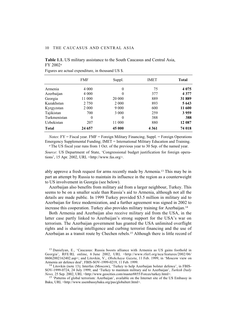### **Table 1.1.** US military assistance to the South Caucasus and Central Asia, FY 2002*<sup>a</sup>*

|              | <b>FMF</b> | Suppl.   | <b>IMET</b> | <b>Total</b> |
|--------------|------------|----------|-------------|--------------|
| Armenia      | 4 0 0 0    | $\theta$ | 75          | 4 0 7 5      |
| Azerbaijan   | 4 0 0 0    | $\Omega$ | 377         | 4 3 7 7      |
| Georgia      | 11 000     | 20 000   | 889         | 31889        |
| Kazakhstan   | 2 7 5 0    | 2 0 0 0  | 893         | 5 6 4 3      |
| Kyrgyzstan   | 2 0 0 0    | 9 0 0 0  | 600         | 11 600       |
| Tajikistan   | 700        | 3 0 0 0  | 259         | 3959         |
| Turkmenistan | $\theta$   | $\Omega$ | 388         | 388          |
| Uzbekistan   | 207        | 11 000   | 880         | 12 087       |
| <b>Total</b> | 24 657     | 45 000   | 4 3 6 1     | 74 018       |

Figures are actual expenditure, in thousand US \$.

*Notes*: FY = Fiscal year. FMF = Foreign Military Financing; Suppl. = Foreign Operations Emergency Supplemental Funding; IMET = International Military Education and Training.

*<sup>a</sup>*The US fiscal year runs from 1 Oct. of the previous year to 30 Sep. of the named year.

*Source*: US Department of State, 'Congressional budget justification for foreign operations', 15 Apr. 2002, URL <http://www.fas.org>.

ably approve a fresh request for arms recently made by Armenia.13 This may be in part an attempt by Russia to maintain its influence in the region as a counterweight to US involvement in Georgia (see below).

Azerbaijan also benefits from military aid from a larger neighbour, Turkey. This seems to be on a smaller scale than Russia's aid to Armenia, although not all the details are made public. In 1999 Turkey provided \$3.5 million in military aid to Azerbaijan for force modernization, and a further agreement was signed in 2002 to increase this cooperation. Turkey also provides military training for Azerbaijan.14

Both Armenia and Azerbaijan also receive military aid from the USA, in the latter case partly linked to Azerbaijan's strong support for the USA's war on terrorism. The Azerbaijan government has granted the USA unlimited overflight rights and is sharing intelligence and curbing terrorist financing and the use of Azerbaijan as a transit route by Chechen rebels.15 Although there is little record of

<sup>15</sup> 'Patterns of global terrorism: Azerbaijan', available on the Internet site of the US Embassy in Baku, URL <http://www.usembassybaku.org/pas/globalterr.html>.

<sup>&</sup>lt;sup>13</sup> Danielyan, E., 'Caucasus: Russia boosts alliance with Armenia as US gains foothold in Georgia', RFE/RL online, 6 June 2002, URL <http://www.rferl.org/nca/features/2002/06/ 06062002162402.asp>; and Litovkin, V., *Obshchaya Gazeta*, 11 Feb. 1999, in 'Moscow view on Armenia air defence deal', FBIS-SOV-1999-0219, 11 Feb. 1999.

<sup>14</sup> Litovkin (note 13); Interfax (Moscow), 'Turkey to help Azerbaijan bolster defence', in FBIS-SOV-1999-0724, 24 July 1999; and 'Turkey to maintain military aid to Azerbaijan', *Turkish Daily News,* 25 Sep. 2002, URL <http://www.geocities.com/master8855/Forces/turkey.html>.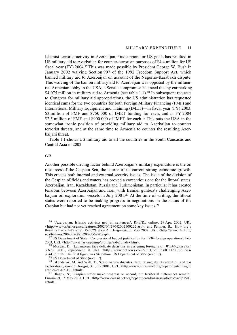Islamist terrorist activity in Azerbaijan,16 its support for US goals has resulted in US military aid to Azerbaijan for counter-terrorism purposes of \$4.4 million for US fiscal year (FY) 2004.17 This was made possible by President George W. Bush in January 2002 waiving Section 907 of the 1992 Freedom Support Act, which banned military aid to Azerbaijan on account of the Nagorno-Karabakh dispute. This waiving of the ban on military aid to Azerbaijan was opposed by the influential Armenian lobby in the USA; a Senate compromise balanced this by earmarking \$4.075 million in military aid to Armenia (see table 1.1).<sup>18</sup> In subsequent requests to Congress for military aid appropriations, the US administration has requested identical sums for the two countries for both Foreign Military Financing (FMF) and International Military Equipment and Training (IMET)—in fiscal year (FY) 2003, \$3 million of FMF and \$750 000 of IMET funding for each, and in FY 2004 \$2.5 million of FMF and \$900 000 of IMET for each.<sup>19</sup> This puts the USA in the somewhat ironic position of providing military aid to Azerbaijan to counter terrorist threats, and at the same time to Armenia to counter the resulting Azerbaijani threat.

Table 1.1 shows US military aid to all the countries in the South Caucasus and Central Asia in 2002.

# *Oil*

Another possible driving factor behind Azerbaijan's military expenditure is the oil resources of the Caspian Sea, the source of its current strong economic growth. This creates both internal and external security issues. The issue of the division of the Caspian oilfields and waters has proved a contentious one for the littoral states, Azerbaijan, Iran, Kazakhstan, Russia and Turkmenistan. In particular it has created tensions between Azerbaijan and Iran, with Iranian gunboats challenging Azerbaijani oil exploration vessels in July 2001.<sup>20</sup> At the time of writing, the littoral states were reported to be making progress in negotiations on the status of the Caspian but had not yet reached agreement on some key issues.21

<sup>16 &#</sup>x27;Azerbaijan: Islamic activists get jail sentences', RFE/RL online, 29 Apr. 2002, URL  $\lt$ http://www.rferl.org/nca/features/2002/04/29042002100222.asp>; and Pannier, B., 'How big a threat is Hizb-ut-Tahrir?', *RFE/RL Weekday Magazine*, 30 May 2002, URL <http://www.rferl.org/ nca/features/2002/05/30052002155920.asp>.

<sup>&</sup>lt;sup>17</sup> US Department of State, 'Congressional budget justification for FY04 foreign operations', Feb. 2003, URL <http://www.fas.org/asmp/profiles/aid/aidindex.htm>.

<sup>18</sup> Morgan, D., 'Lawmakers face delicate decisions in assigning foreign aid', *Washington Post*, 3 Nov. 2001, reproduced at URL <http://www.detnews.com/2001/politics/0111/03/politics-334417.htm>. The final figure was \$4 million. US Department of State (note 17).

<sup>&</sup>lt;sup>19</sup> US Department of State (note 17).

<sup>20</sup> Iskenderov, M. and Wall, T., 'Caspian Sea disputes flare, raising doubts about oil and gas exploration', *Eurasia Insight*, 31 July 2001, URL <http://www.eurasianet.org/departments/insight/ articles/eav073101.shtml>.

 $21$  Blagov, S., 'Caspian states make progress on accord, but territorial differences remain', Eurasianet, 15 May 2003, URL <http://www.eurasianet.org/departments/business/articles/eav051503. shtml>.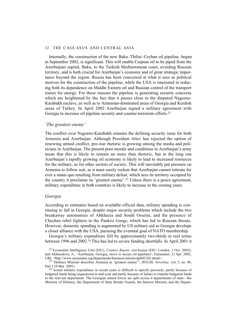Internally, the construction of the new Baku–Tbilisi–Ceyhan oil pipeline, begun in September 2002, is significant. This will enable Caspian oil to be piped from the Azerbaijani capital, Baku, to the Turkish Mediterranean coast, avoiding Russian territory, and is both crucial for Azerbaijan's economy and of great strategic importance beyond the region. Russia has been concerned at what it sees as political motives for the construction of the pipeline, while the USA is interested in reducing both its dependence on Middle Eastern oil and Russian control of the transport routes for energy. For these reasons the pipeline is generating security concerns which are heightened by the fact that it passes close to the disputed Nagorno-Karabakh enclave, as well as to Armenian-dominated areas of Georgia and Kurdish areas of Turkey. In April 2002 Azerbaijan signed a military agreement with Georgia to increase oil pipeline security and counter-terrorism efforts.<sup>22</sup>

# *'The greatest enemy'*

The conflict over Nagorno-Karabakh remains the defining security issue for both Armenia and Azerbaijan. Although President Aliev has rejected the option of renewing armed conflict, pro-war rhetoric is growing among the media and politicians in Azerbaijan. The present poor morale and conditions in Azerbaijan's army mean that this is likely to remain no more than rhetoric, but in the long run Azerbaijan's rapidly growing oil economy is likely to lead to increased resources for the military, as for other sectors of society. This will inevitably put pressure on Armenia to follow suit, as it must surely reckon that Azerbaijan cannot tolerate for ever a status quo resulting from military defeat, which sees its territory occupied by the country it proclaims its 'greatest enemy'.23 Unless there is a peace agreement, military expenditure in both countries is likely to increase in the coming years.

# *Georgia*

According to estimates based on available official data, military spending is continuing to fall in Georgia, despite major security problems which include the two breakaway autonomies of Abkhazia and South Ossetia, and the presence of Chechen rebel fighters in the Pankisi Gorge, which has led to Russian threats. However, domestic spending is augmented by US military aid as Georgia develops a closer alliance with the USA, pursuing the eventual goal of NATO membership.

Georgia's military expenditure fell by approximately two-thirds in real terms between 1996 and 2002.24 This has led to severe funding shortfalls. In April 2001 it

<sup>24</sup> Actual military expenditure in recent years is difficult to specify precisely, partly because of budgeted funds being sequestered in mid-year and partly because of failure to transfer budgeted funds to the relevant department. The Georgian armed forces are split across 4 departments of state—the Ministry of Defence, the Department of State Border Guards, the Interior Ministry and the Depart-

<sup>22</sup> Economist Intelligence Unit (EIU), *Country Report, Azerbaijan* (EIU: London, 1 Oct. 2002); and Akhmedova, A., 'Azerbaijan, Georgia, move to secure oil pipelines', Eurasianet, 21 Apr. 2002, URL <http://www.eurasianet.org/departments/business/articles/pp042102.shtml>.

<sup>23 &#</sup>x27;Defence Minister describes Armenia as "greatest enemy"', *RFE/RL Newsline*, vol. 5, no. 48, Part 1 (9 Mar. 2001).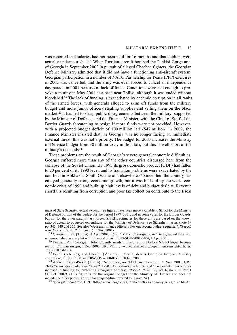was reported that salaries had not been paid for 16 months and that soldiers were actually undernourished.25 When Russian aircraft bombed the Pankisi Gorge area of Georgia in September 2002 in pursuit of alleged Chechen fighters, the Georgian Defence Ministry admitted that it did not have a functioning anti-aircraft system. Georgian participation in a number of NATO Partnership for Peace (PFP) exercises in 2002 was cancelled, and the army was even forced to cancel an independence day parade in 2001 because of lack of funds. Conditions were bad enough to provoke a mutiny in May 2001 at a base near Tbilisi, although it was ended without bloodshed.26 The lack of funding is exacerbated by endemic corruption in all ranks of the armed forces, with generals alleged to skim off funds from the military budget and more junior officers stealing supplies and selling them on the black market.27 It has led to sharp public disagreements between the military, supported by the Minister of Defence, and the Finance Minister, with the Chief of Staff of the Border Guards threatening to resign if more funds were not provided. However, with a projected budget deficit of 100 million lari (\$47 million) in 2002, the Finance Minister insisted that, as Georgia was no longer facing an immediate external threat, this was not a priority. The budget for 2003 increases the Ministry of Defence budget from 38 million to 57 million lari, but this is well short of the military's demands.28

These problems are the result of Georgia's severe general economic difficulties. Georgia suffered more than any of the other countries discussed here from the collapse of the Soviet Union. By 1995 its gross domestic product (GDP) had fallen to 20 per cent of its 1990 level, and its transition problems were exacerbated by the conflicts in Abkhazia, South Ossetia and elsewhere.29 Since then the country has enjoyed generally strong economic growth, but it was hit hard by the world economic crisis of 1998 and built up high levels of debt and budget deficits. Revenue shortfalls resulting from corruption and poor tax collection contribute to the fiscal

<sup>29</sup> 'Georgia: Economy', URL <http://www.inogate.org/html/countries/economy/georgia\_ec.htm>.

ment of State Security. Actual expenditure figures have been made available to SIPRI for the Ministry of Defence portion of the budget for the period 1997–2001, and in some cases for the Border Guards, but not for the other paramilitary forces. SIPRI's estimates for these units are based on the known ratio of actual to budgeted expenditure for the Ministry of Defence. See Stålenheim *et al*. (note 3), pp. 343, 349 and 355. See also 'Georgian finance official rules out second budget sequester', *RFE/RL Newsline*, vol. 5, no. 215, Part 1 (13 Nov. 2001).

<sup>25</sup> Georgian TV1 (Tbilisi), 4 Apr. 2001, 1500 GMT (in Georgian), in 'Georgian soldiers said undernourished as army hit with financial crisis', FBIS-SOV-2001-0404, 4 Apr. 2001.

<sup>26</sup> Peuch, J.-C., 'Georgia: Tbilisi urgently needs military reforms before NATO hopes become reality', *Eurasia Insight*, 1 Dec. 2002, URL <http://www.eurasianet.org/departments/insight/articles/ eav120102.shtml>.

 $27$  Peuch (note 26); and Interfax (Moscow), 'Official details Georgian Defence Ministry corruption', 18 Jan. 2000, in FBIS-SOV-2000-01-18, 18 Jan. 2000.

<sup>&</sup>lt;sup>28</sup> Agence France-Presse (Tbilisi), 'No money, no NATO membership', 29 Nov. 2002, URL <http://www.spacedaily.com/2002/021129013125.sxhm0pvw.html>; and 'Parliament speaker urges increase in funding for protecting Georgia's borders', *RFE/RL Newsline*, vol. 6, no. 206, Part 1 (31 Oct. 2002). (This figure is for the original budget for the Ministry of Defence and does not include the other portions of military expenditure referred to in note 24.)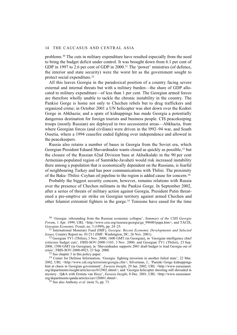problems.30 The cuts in military expenditure have resulted especially from the need to bring the budget deficit under control. It was brought down from 6.1 per cent of GDP in 1997 to 2.6 per cent of GDP in 2000.<sup>31</sup> The 'power' ministries (of defence, the interior and state security) were the worst hit as the government sought to protect social expenditure.32

All this leaves Georgia in the paradoxical position of a country facing severe external and internal threats but with a military burden—the share of GDP allocated to military expenditure—of less than 1 per cent. The Georgian armed forces are therefore wholly unable to tackle the chronic instability in the country. The Pankisi Gorge is home not only to Chechen rebels but to drug traffickers and organized crime; in October 2001 a UN helicopter was shot down over the Kodori Gorge in Abkhazia; and a spate of kidnappings has made Georgia a potentially dangerous destination for foreign tourists and business people. CIS peacekeeping troops (mostly Russian) are deployed in two secessionist areas—Abkhazia, from where Georgian forces (and civilians) were driven in the l992–94 war, and South Ossetia, where a 1994 ceasefire ended fighting over independence and allowed in the peacekeepers.

Russia also retains a number of bases in Georgia from the Soviet era, which Georgian President Eduard Shevardnadze wants closed as quickly as possible,<sup>33</sup> but the closure of the Russian 62nd Division base at Akhalkalaki in the 90 per cent Armenian-populated region of Samtskhe-Javaheti would risk increased instability there among a population that is economically dependent on the Russians, is fearful of neighbouring Turkey and has poor communications with Tbilisi. The proximity of the Baku–Tbilisi–Ceyhan oil pipeline to the region is added cause for concern.34

Probably the biggest security concern, however, remains relations with Russia over the presence of Chechen militants in the Pankisi Gorge. In September 2002, after a series of threats of military action against Georgia, President Putin threatened a pre-emptive air strike on Georgian territory against armed Chechen and other Islamist extremist fighters in the gorge.35 Tensions have eased for the time

30 'Georgia: rebounding from the Russian economic collapse', *Summary of the CSIS Georgia Forum*, 1 Apr. 1999, URL <http://www.csis.org/ruseura/georgia/ga\_990401papa.htm>; and TACIS, *Georgian Economic Trends*, no. 3 (1999), pp. 24–25.

31 International Monetary Fund (IMF), *Georgia: Recent Economic Developments and Selected Issues*, Country Report no. 01/211 (IMF: Washington, DC, 26 Nov. 2001).

32 Georgian TV1 (Tbilisi), 3 Nov. 2000, 1600 GMT (in Georgian), in 'Georgian intelligence chief criticizes budget cuts', FBIS-SOV-2000-1103, 3 Nov. 2000; and Georgian TV1 (Tbilisi), 23 Sep. 2000, 1500 GMT (in Georgian), in 'Shevardnadze supports 2001 draft budget to lead Georgia out of crisis', FBIS-SOV-2000-0923, 23 Sep. 2000.

33 See chapter 3 in this policy paper.

34 Center for Defense Information, 'Georgia: fighting terrorism in another failed state', 22 Mar. 2002, URL <http://www.cdi.org/terrorism/georgia.cfm>; Silverman, J., 'Paniski Gorge kidnappings hint at chaos in Georgian government', *Eurasia Insight*, 29 Jan. 2002, URL <http://www.eurasianet. org/departments/insight/articles/eav012902.shtml>; and 'Georgia helicopter shooting still shrouded in mystery : Q&A with Ermina van Hoye', *Eurasia Insight*, 8 Dec. 2001, URL <http://www.eurasianet. org/departments/qanda/articles/eav120801.shtml>.

 $35$  See also Anthony *et al.* (note 5), pp. 73.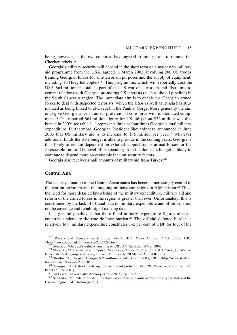being, however, as the two countries have agreed to joint patrols to remove the Chechen rebels.36

Georgia's military security will depend in the short term on a major new military aid programme from the USA, agreed in March 2002, involving 200 US troops training Georgian forces for anti-terrorism purposes and the supply of equipment, including 10 Huey helicopters.<sup>37</sup> This programme, which will reportedly cost the USA \$64 million in total, is part of the US war on terrorism and also aims to cement relations with Georgia, promoting US interests (such as the oil pipeline) in the South Caucasus region. The immediate aim is to enable the Georgian armed forces to deal with suspected terrorists (which the USA as well as Russia has stigmatized as being linked to al-Qaeda) in the Pankisi Gorge. More generally the aim is to give Georgia a well-trained, professional core force with modernized equipment.38 The reported \$64 million figure for US aid (about \$32 million was disbursed in 2002: see table 1.1) represents three or four times Georgia's total military expenditure. Furthermore, Georgian President Shevardnadze announced in June 2003 that US military aid is to increase to \$75 million per year.39 Whatever additional funds the state budget is able to provide in the coming years, Georgia is thus likely to remain dependent on external support for its armed forces for the foreseeable future. The level of its spending from the domestic budget is likely to continue to depend more on economic than on security factors.

Georgia also receives small amounts of military aid from Turkey.40

# **Central Asia**

The security situation in the Central Asian states has become increasingly central to the war on terrorism and the ongoing military campaigns in Afghanistan.<sup>41</sup> Thus, the need for more detailed knowledge of the military expenditure, military aid and reform of the armed forces in the region is greater than ever. Unfortunately, this is constrained by the lack of official data on military expenditure and of information on the coverage and reliability of existing data.

It is generally believed that the official military expenditure figures of these countries understate the true defence burden.42 The official defence burden is relatively low: military expenditure constitutes 1–2 per cent of GDP for four of the

36 'Russia and Georgia reach border deal', BBC News Online, 7 Oct. 2002, URL <http://news.bbc.co.uk/2/hi/europe/2305729.stm>.

 $3^{\frac{1}{7}}$  Heintz, J., 'Georgia's military counting on US', AP (Europe), 10 Mar. 2002.

38 Stier, K., 'The ruins of an empire', *Newsweek,* 3 June 2002, p. 23; and Traynor, I., 'War on terror extended to gorges of Georgia', *Guardian Weekly*, 28 Mar.–3 Apr. 2002, p. 3.

39 Stratfor, 'US to give Georgia \$75 million in aid', 4 June 2003, URL <http://www.stratfor. biz/sitrep.neo?storyId=218358>.

40 'Georgian, Turkish officials sign defence grant protocol', *RFE/RL Newsline*, vol. 5, no. 106, Part 1 (5 June 2001).

41 On Central Asia see also Anthony *et al.* (note 5), pp. 76–77.

42 See Eaton, M., 'Major trends in military expenditure and arms acquisitions by the states of the Caspian region', ed. Chufrin (note 1).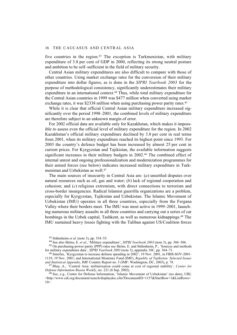five countries in the region.<sup>43</sup> The exception is Turkmenistan, with military expenditure of 3.8 per cent of GDP in 2000, reflecting its strong neutral posture and ambition to be self–sufficient in the field of military security.

Central Asian military expenditures are also difficult to compare with those of other countries. Using market exchange rates for the conversion of their military expenditure into dollar figures, as is done in the *SIPRI Yearbook 2003* for the purpose of methodological consistency, significantly underestimates their military expenditure in an international context.44 Thus, while total military expenditure for the Central Asian countries in 1999 was \$477 million when converted using market exchange rates, it was \$2338 million when using purchasing power parity rates.<sup>45</sup>

While it is clear that official Central Asian military expenditure increased significantly over the period 1998–2001, the combined levels of military expenditure are therefore subject to an unknown margin of error.

For 2002 official data are available only for Kazakhstan, which makes it impossible to assess even the official level of military expenditure for the region. In 2002 Kazakhstan's official military expenditure declined by 3.8 per cent in real terms from 2001, when its military expenditure reached its highest point since 1993. For 2003 the country's defence budget has been increased by almost 25 per cent in current prices. For Kyrgyzstan and Tajikistan, the available information suggests significant increases in their military budgets in 2002.<sup>46</sup> The combined effect of internal unrest and ongoing professionalization and modernization programmes for their armed forces (see below) indicates increased military expenditure in Turkmenistan and Uzbekistan as well.47

The main sources of insecurity in Central Asia are: (*a*) unsettled disputes over natural resources such as oil, gas and water; (*b*) lack of regional cooperation and cohesion; and (*c*) religious extremism, with direct connections to terrorism and cross-border insurgencies. Radical Islamist guerrilla organizations are a problem, especially for Kyrgyzstan, Tajikistan and Uzbekistan. The Islamic Movement of Uzbekistan (IMU) operates in all three countries, especially from the Fergana Valley where their borders meet. The IMU was most active in 1999–2001, launching numerous military assaults in all three countries and carrying out a series of car bombings in the Uzbek capital, Tashkent, as well as numerous kidnappings.48 The IMU sustained heavy losses fighting with the Taliban against US/Coalition forces

47 Blua, A., 'Central Asia: militarization could come at cost of regional stability', *Center for Defense Information Russia Weekly*, no. 221 (6 Sep. 2002).

48 See, e.g., Center for Defense Information, 'Islamic Movement of Uzbekistan' (no date), URL <http://www.cdi.org/document/search/displaydoc.cfm?DocumentID=1157&StartRow=1&ListRows=  $10$  $>$ .

<sup>43</sup> Stålenheim *et al.* (note 3), pp. 354–55.

<sup>44</sup> See also Sköns, E. *et al.*, 'Military expenditure', *SIPRI Yearbook 2003* (note 3), pp. 304–306.

<sup>45</sup> On purchasing-power parity (PPP) rates see Sköns, E. and Stålenheim, P., 'Sources and methods for military expenditure data', *SIPRI Yearbook 2003* (note 3), appendix 10C, pp. 364–71.

<sup>46</sup> Interfax, 'Kyrgyzstan to increase defense spending in 2002', 19 Nov. 2001, in FBIS-SOV-2001- 1119, 19 Nov. 2001; and International Monetary Fund (IMF), *Republic of Tajikistan: Selected Issues and Statistical Appendix*, IMF Country Report no. 5 (IMF: Washington, DC, 2003), p. 78.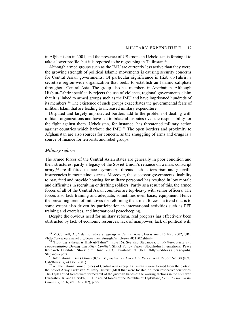in Afghanistan in 2001, and the presence of US troops in Uzbekistan is forcing it to take a lower profile, but it is reported to be regrouping in Tajikistan.49

Although armed groups such as the IMU are currently less active than they were, the growing strength of political Islamic movements is causing security concerns for Central Asian governments. Of particular significance is Hizb ut-Tahrir, a secretive region-wide organization that seeks to establish an Islamic caliphate throughout Central Asia. The group also has members in Azerbaijan. Although Hizb ut-Tahrir specifically rejects the use of violence, regional governments claim that it is linked to armed groups such as the IMU and have imprisoned hundreds of its members.50 The existence of such groups exacerbates the governmental fears of militant Islam that are leading to increased military expenditure.

Disputed and largely unprotected borders add to the problem of dealing with militant organizations and have led to bilateral disputes over the responsibility for the fight against them. Uzbekistan, for instance, has threatened military action against countries which harbour the  $IMU<sub>51</sub>$ . The open borders and proximity to Afghanistan are also sources for concern, as the smuggling of arms and drugs is a source of finance for terrorists and rebel groups.

### *Military reform*

The armed forces of the Central Asian states are generally in poor condition and their structures, partly a legacy of the Soviet Union's reliance on a mass conscript  $army<sub>1</sub>$ <sup>52</sup> are ill fitted to face asymmetric threats such as terrorism and guerrilla insurgencies in mountainous areas. Moreover, the successor governments' inability to pay, feed and provide housing for military personnel has resulted in low morale and difficulties in recruiting or drafting soldiers. Partly as a result of this, the armed forces of all of the Central Asian countries are top-heavy with senior officers. The forces also lack training and adequate, sometimes even basic, equipment. Hence the prevailing trend of initiatives for reforming the armed forces—a trend that is to some extent also driven by participation in international activities such as PFP training and exercises, and international peacekeeping.

Despite the obvious need for military reform, real progress has effectively been obstructed by lack of economic resources, lack of manpower, lack of political will,

<sup>49</sup> McConnell, A., 'Islamic radicals regroup in Central Asia', Eurasianet, 15 May 2002, URL <http://www.eurasianet.org/departments/insight/articles/eav051502.shtml>.

<sup>50 &#</sup>x27;How big a threat is Hizb ut-Tahrir?' (note 16). See also Stepanova, E., *Anti-terrorism and Peace-building During and After Conflict*, SIPRI Policy Paper (Stockholm International Peace Research Institute: Stockholm, June 2003), available at URL <http://editors.sipri.se/pubs/ Stepanova.pdf>.

<sup>51</sup> International Crisis Group (ICG), *Tajikistan: An Uncertain Peace*, Asia Report No. 30 (ICG: Osh/Brussels, 24 Dec. 2001).

<sup>&</sup>lt;sup>52</sup> All the national armed forces of Central Asia except Tajikistan's were formed from the parts of the Soviet Army Turkestan Military District (MD) that were located on their respective territories. The Tajik armed forces were formed out of the guerrilla bands of the warring factions in the civil war. Burnashev, R. and Cherykh, I., 'The armed forces of the Republic of Tajikistan', *Central Asia and the Caucasus*, no. 6, vol. 18 (2002), p. 95.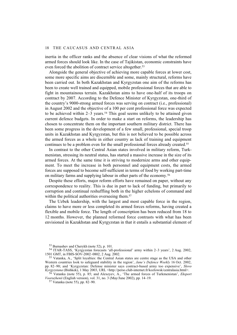inertia in the officer ranks and the absence of clear visions of what the reformed armed forces should look like. In the case of Tajikistan, economic constraints have even forced the abolition of contract service altogether.<sup>53</sup>

Alongside the general objective of achieving more capable forces at lower cost, some more specific aims are discernible and some, mainly structural, reforms have been carried out. In both Kazakhstan and Kyrgyzstan one aim of the reforms has been to create well trained and equipped, mobile professional forces that are able to fight in mountainous terrain. Kazakhstan aims to have one-half of its troops on contract by 2007. According to the Defence Minister of Kyrgyzstan, one-third of the country's 9000-strong armed forces was serving on contract (i.e., professional) in August 2002 and the objective of a 100 per cent professional force was expected to be achieved within  $2-3$  years.<sup>54</sup> This goal seems unlikely to be attained given current defence budgets. In order to make a start on reforms, the leadership has chosen to concentrate them on the important southern military district. There has been some progress in the development of a few small, professional, special troop units in Kazakhstan and Kyrgyzstan, but this is not believed to be possible across the armed forces as a whole in either country as lack of training and equipment continues to be a problem even for the small professional forces already created.55

In contrast to the other Central Asian states involved in military reform, Turkmenistan, stressing its neutral status, has started a massive increase in the size of its armed forces. At the same time it is striving to modernize arms and other equipment. To meet the increase in both personnel and equipment costs, the armed forces are supposed to become self-sufficient in terms of food by working part-time on military farms and supplying labour in other parts of the economy.56

Despite these efforts, major reform efforts have remained on paper, without any correspondence to reality. This is due in part to lack of funding, but primarily to corruption and continual reshuffling both in the higher echelons of command and within the political authorities overseeing them.<sup>57</sup>

The Uzbek leadership, with the largest and most capable force in the region, claims to have more or less completed its armed forces reforms, having created a flexible and mobile force. The length of conscription has been reduced from 18 to 12 months. However, the planned reformed force contrasts with what has been envisioned in Kazakhstan and Kyrgyzstan in that it entails a substantial element of

<sup>53</sup> Burnashev and Cherykh (note 52), p. 101.

<sup>54</sup> ITAR-TASS, 'Kyrgyzstan forecasts 'all-professional' army within 2–3 years', 2 Aug. 2002, 1501 GMT, in FBIS-SOV-2002–0802, 2 Aug. 2002.

<sup>55</sup> Vatanka, A., 'Split loyalties: the Central Asian states are centre stage as the USA and other Western countries look to safeguard stability in the region', *Jane's Defence Weekly* 16 Oct. 2002, pp. 82–90; and 'Kyrgyzstan: Defense minister says contract-based army too expensive', *Slovo Kyrgyzstana* (Bishkek), 1 May 2003, URL <http://perso.club-internet.fr/kozlowsk/centralasia.html>.

<sup>56</sup> Vatanka (note 55), p. 85; and Alexeyev, A., 'The armed forces of Turkmenistan', *Eksport Vooruzhenii* (English version), vol. 31, no. 3 (May/June 2002), pp. 14–19.

<sup>57</sup> Vatanka (note 55), pp. 82–90.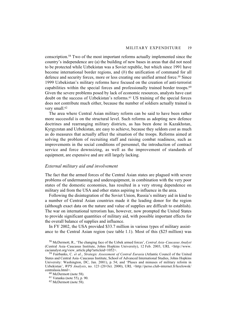conscription.58 Two of the most important reforms actually implemented since the country's independence are (a) the building of new bases in areas that did not need to be protected while Uzbekistan was a Soviet republic, but which since 1991 have become international border regions, and (*b*) the unification of command for all defence and security forces, more or less creating one unified armed force.59 Since 1999 Uzbekistan's military reforms have focused on the creation of anti-terrorist capabilities within the special forces and professionally trained border troops.<sup>60</sup> Given the severe problems posed by lack of economic resources, analysts have cast doubt on the success of Uzbekistan's reforms.61 US training of the special forces does not contribute much either, because the number of soldiers actually trained is very small.<sup>62</sup>

The area where Central Asian military reform can be said to have been rather more successful is on the structural level. Such reforms as adopting new defence doctrines and rearranging military districts, as has been done in Kazakhstan, Kyrgyzstan and Uzbekistan, are easy to achieve, because they seldom cost as much as do measures that actually affect the situation of the troops. Reforms aimed at solving the problem of recruiting staff and raising combat readiness, such as improvements in the social conditions of personnel, the introduction of contract service and force downsizing, as well as the improvement of standards of equipment, are expensive and are still largely lacking.

# *External military aid and involvement*

The fact that the armed forces of the Central Asian states are plagued with severe problems of undermanning and underequipment, in combination with the very poor states of the domestic economies, has resulted in a very strong dependence on military aid from the USA and other states aspiring to influence in the area.

Following the disintegration of the Soviet Union, Russia's military aid in kind to a number of Central Asian countries made it the leading donor for the region (although exact data on the nature and value of supplies are difficult to establish). The war on international terrorism has, however, now prompted the United States to provide significant quantities of military aid, with possible important effects for the overall balance of supplies and influence.

In FY 2002, the USA provided \$33.7 million in various types of military assistance to the Central Asian region (see table 1.1). Most of this (\$25 million) was

<sup>58</sup> McDermott, R., 'The changing face of the Uzbek armed forces', *Central Asia–Caucasus Analyst* (Central Asia–Caucasus Institute, Johns Hopkins University), 12 Feb. 2003, URL <http://www. cacianalyst.org/view\_article.php?articleid=1052>.

<sup>59</sup> Fairbanks, C. *et al*., *Strategic Assessment of Central Eurasia* (Atlantic Council of the United States and Central Asia–Caucasus Institute, School of Advanced International Studies, Johns Hopkins University: Washington, DC, Jan. 2001), p. 54; and 'Pluses and minuses of military reform in Uzbekistan', *WPS Analysis*, no. 123 (20 Oct. 2000), URL <http://perso.club-internet.fr/kozlowsk/ centralasia.html>.

<sup>60</sup> McDermott (note 58).

<sup>61</sup> Vatanka (note 55), p. 90.

<sup>62</sup> McDermott (note 58).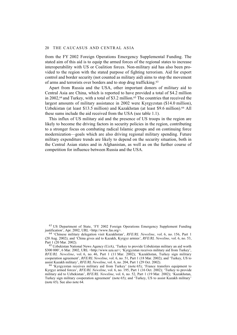from the FY 2002 Foreign Operations Emergency Supplemental Funding. The stated aim of this aid is to equip the armed forces of the regional states to increase interoperability with US or Coalition forces. Non-military aid has also been provided to the region with the stated purpose of fighting terrorism. Aid for export control and border security (not counted as military aid) aims to stop the movement of arms and terrorists over borders and to stop drug trafficking.63

Apart from Russia and the USA, other important donors of military aid to Central Asia are China, which is reported to have provided a total of \$4.2 million in 2002,<sup>64</sup> and Turkey, with a total of \$3.2 million.<sup>65</sup> The countries that received the largest amounts of military assistance in 2002 were Kyrgyzstan (\$14.0 million), Uzbekistan (at least \$13.5 million) and Kazakhstan (at least \$9.6 million).66 All these sums include the aid received from the USA (see table 1.1).

This influx of US military aid and the presence of US troops in the region are likely to become the driving factors in security policies in the region, contributing to a stronger focus on combating radical Islamic groups and on continuing force modernization—goals which are also driving regional military spending. Future military expenditure trends are likely to depend on the security situation, both in the Central Asian states and in Afghanistan, as well as on the further course of competition for influence between Russia and the USA.

63 US Department of State, 'FY 2002 Foreign Operations Emergency Supplement Funding justification', Apr. 2002, URL <http://www.fas.org>.

64 'Chinese military delegation visit Kazakhstan', *RFE/RL Newsline*, vol. 6, no. 156, Part 1 (20 Aug. 2002); and 'China gives aid to Kazakh, Kyrgyz armies', *RFE/RL Newsline*, vol. 6, no. 53, Part 1 (20 Mar. 2002).

<sup>65</sup> Uzbekistan National News Agency (UzA), 'Turkey to provide Uzbekistan military an aid worth \$300 000', 6 Mar. 2002, URL <http://www.uza.uz>; 'Kyrgyzstan receives military aid from Turkey', *RFE/RL Newsline*, vol. 6, no. 46, Part 1 (11 Mar. 2002); 'Kazakhstan, Turkey sign military cooperation agreement', *RFE/RL Newsline*, vol. 6, no. 51, Part 1 (18 Mar. 2002); and 'Turkey, US to assist Kazakh military', *RFE/RL Newsline*, vol. 6, no. 204, Part 1 (29 Oct. 2002).

66 'Kyrgyzstan receives military aid from Turkey' (note 65); 'France transfers equipment to Kyrgyz armed forces', *RFE/RL Newsline*, vol. 6, no. 195, Part 1 (16 Oct. 2002); 'Turkey to provide military aid to Uzbekistan', *RFE/RL Newsline*, vol. 6, no. 52, Part 1 (19 Mar. 2002); 'Kazakhstan, Turkey sign military cooperation agreement' (note 65); and 'Turkey, US to assist Kazakh military' (note 65). See also note 64.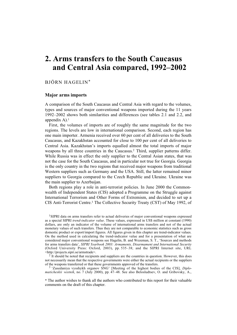# **2. Arms transfers to the South Caucasus and Central Asia compared, 1992–2002**

# BJÖRN HAGELIN\*

### **Major arms imports**

A comparison of the South Caucasus and Central Asia with regard to the volumes, types and sources of major conventional weapons imported during the 11 years 1992–2002 shows both similarities and differences (see tables 2.1 and 2.2, and appendix  $A$ ).<sup>1</sup>

First, the volumes of imports are of roughly the same magnitude for the two regions. The levels are low in international comparison. Second, each region has one main importer. Armenia received over 60 per cent of all deliveries to the South Caucasus, and Kazakhstan accounted for close to 100 per cent of all deliveries to Central Asia. Kazakhstan's imports equalled almost the total imports of major weapons by all three countries in the Caucasus.2 Third, supplier patterns differ. While Russia was in effect the only supplier to the Central Asian states, that was not the case for the South Caucasus, and in particular not true for Georgia. Georgia is the only country in the two regions that received major weapons from traditional Western suppliers such as Germany and the USA. Still, the latter remained minor suppliers to Georgia compared to the Czech Republic and Ukraine. Ukraine was the main supplier to Azerbaijan.

Both regions play a role in anti-terrorist policies. In June 2000 the Commonwealth of Independent States (CIS) adopted a Programme on the Struggle against International Terrorism and Other Forms of Extremism, and decided to set up a CIS Anti-Terrorist Centre.3 The Collective Security Treaty (CST) of May 1992, of

<sup>1</sup>SIPRI data on arms transfers refer to actual deliveries of major conventional weapons expressed as a special SIPRI *trend-indicator value*. These values, expressed in US\$ million at constant (1990) dollars, are only an indicator of the volume of international arms transfers and not of the actual monetary values of such transfers. Thus they are not comparable to economic statistics such as gross domestic product or export/import figures. All figures given in this chapter are trend-indicator values. On the method used in calculating the trend-indicator value and for a presentation of what are considered major conventional weapons see Hagelin, B. and Wezeman, S. T., 'Sources and methods for arms transfers data', *SIPRI Yearbook 2003: Armaments, Disarmament and International Security* (Oxford University Press: Oxford, 2003), pp. 535–38; and the SIPRI Internet site, URL <http://projects.sipri.se/armstrade>.

<sup>2</sup> It should be noted that recipients and suppliers are the countries in question. However, this does not necessarily mean that the respective governments were either the actual recipients or the suppliers of the weapons transferred or that these governments approved of the transfers.

3 'Zasedaniya vysshykh organov SNG' [Meeting of the highest bodies of the CIS], *Diplomaticheskii vestnik*, no. 7 (July 2000), pp. 47–48. See also Belosludtsev, O. and Gribovsky, A.,

\* The author wishes to thank all the authors who contributed to this report for their valuable comments on the draft of this chapter.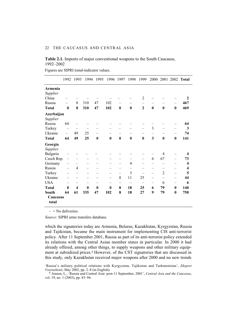# **Table 2.1.** Imports of major conventional weapons to the South Caucasus, 1992–2002

Figures are SIPRI trend-indicator values.

|                   | 1992                         | 1993                    | 1994     | 1995     | 1996                     | 1997              | 1998            | 1999                     | 2000                     |                                | 2001 2002                      | <b>Total</b> |
|-------------------|------------------------------|-------------------------|----------|----------|--------------------------|-------------------|-----------------|--------------------------|--------------------------|--------------------------------|--------------------------------|--------------|
| Armenia           |                              |                         |          |          |                          |                   |                 |                          |                          |                                |                                |              |
| Supplier          |                              |                         |          |          |                          |                   |                 |                          |                          |                                |                                |              |
| China             |                              |                         |          |          |                          |                   |                 | $\overline{2}$           |                          |                                |                                | $\mathbf{2}$ |
| Russia            | —                            | 8                       | 310      | 47       | 102                      | -                 | -               | —                        |                          |                                | $\qquad \qquad -$              | 467          |
| <b>Total</b>      | $\boldsymbol{0}$             | 8                       | 310      | 47       | 102                      | $\bf{0}$          | $\bf{0}$        | $\mathbf{2}$             | $\bf{0}$                 | $\bf{0}$                       | $\bf{0}$                       | 469          |
| Azerbaijan        |                              |                         |          |          |                          |                   |                 |                          |                          |                                |                                |              |
| Supplier          |                              |                         |          |          |                          |                   |                 |                          |                          |                                |                                |              |
| Russia            | 64                           |                         |          |          |                          |                   |                 |                          |                          |                                |                                | 64           |
| Turkey            | $\overbrace{\qquad \qquad }$ |                         |          |          |                          |                   |                 |                          | $\mathfrak{Z}$           |                                | $\qquad \qquad \longleftarrow$ | 3            |
| Ukraine           | $\overline{\phantom{0}}$     | 49                      | 25       |          |                          |                   |                 |                          |                          |                                |                                | 74           |
| <b>Total</b>      | 64                           | 49                      | 25       | $\bf{0}$ | $\bf{0}$                 | $\bf{0}$          | $\bf{0}$        | $\bf{0}$                 | 3                        | $\bf{0}$                       | $\bf{0}$                       | 141          |
| Georgia           |                              |                         |          |          |                          |                   |                 |                          |                          |                                |                                |              |
| Supplier          |                              |                         |          |          |                          |                   |                 |                          |                          |                                |                                |              |
| Bulgaria          |                              |                         |          |          |                          |                   |                 |                          |                          | 4                              |                                | 4            |
| Czech Rep.        |                              |                         |          |          |                          | —                 | —               | $\overline{\phantom{0}}$ | 6                        | 67                             | $\qquad \qquad -$              | 73           |
| Germany           |                              |                         |          |          |                          |                   | $\overline{4}$  |                          |                          |                                |                                | 4            |
| Russia            | $\overline{\phantom{0}}$     | $\overline{4}$          |          |          |                          |                   |                 |                          |                          |                                |                                | 4            |
| Turkey            |                              | $\qquad \qquad -$       | —        |          | $\overline{\phantom{0}}$ | $\qquad \qquad -$ | 3               | $\qquad \qquad -$        |                          | $\overline{2}$                 | $\qquad \qquad -$              | 5            |
| Ukraine           |                              |                         |          |          |                          | 8                 | 11              | 25                       | $\overline{\phantom{0}}$ | $\qquad \qquad \longleftarrow$ | $\qquad \qquad -$              | 44           |
| <b>USA</b>        |                              |                         |          |          |                          | -                 | $\qquad \qquad$ | $\qquad \qquad -$        | -                        | 6                              | $\overline{\phantom{0}}$       | 6            |
| <b>Total</b>      | $\bf{0}$                     | $\overline{\mathbf{4}}$ | $\bf{0}$ | $\bf{0}$ | $\bf{0}$                 | 8                 | 18              | 25                       | 6                        | 79                             | $\boldsymbol{0}$               | 140          |
| South             | 64                           | 61                      | 335      | 47       | 102                      | 8                 | 18              | 27                       | 9                        | 79                             | $\boldsymbol{0}$               | 750          |
| Caucasus<br>total |                              |                         |          |          |                          |                   |                 |                          |                          |                                |                                |              |

 $-$  = No deliveries.

*Source*: SIPRI arms transfers database.

which the signatories today are Armenia, Belarus, Kazakhstan, Kyrgyzstan, Russia and Tajikistan, became the main instrument for implementing CIS anti-terrorist policy. After 11 September 2001, Russia as part of its anti-terrorist policy extended its relations with the Central Asian member states in particular. In 2000 it had already offered, among other things, to supply weapons and other military equipment at subsidized prices.4 However, of the CST signatories that are discussed in this study, only Kazakhstan received major weapons after 2000 and no new trends

<sup>&#</sup>x27;Russia's military–political relations with Kyrgyzstan, Tajikistan and Turkmenistan', *Eksport Vooruzhenii*, May 2002, pp. 2–8 (in English).

<sup>4</sup> Jonson, L., 'Russia and Central Asia: post-11 September, 2001', *Central Asia and the Caucasus*, vol. 19, no. 1 (2003), pp. 83–94.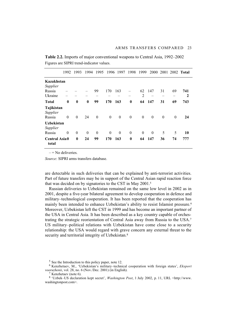|                                  | 1992         | 1993             | 1994     | 1995     | 1996         | 1997     | 1998             | 1999           |              |          |                          | 2000 2001 2002 Total |
|----------------------------------|--------------|------------------|----------|----------|--------------|----------|------------------|----------------|--------------|----------|--------------------------|----------------------|
| Kazakhstan                       |              |                  |          |          |              |          |                  |                |              |          |                          |                      |
| Supplier                         |              |                  |          |          |              |          |                  |                |              |          |                          |                      |
| Russia                           |              |                  |          | 99       | 170          | 163      |                  | 62             | 147          | 31       | 69                       | 741                  |
| Ukraine                          |              |                  |          |          |              |          |                  | $\overline{2}$ |              |          | $\overline{\phantom{0}}$ | $\mathbf{2}$         |
| <b>Total</b>                     | $\bf{0}$     | $\boldsymbol{0}$ | $\bf{0}$ | 99       | 170          | 163      | $\bf{0}$         | 64             | 147          | 31       | 69                       | 743                  |
| Tajikistan<br>Supplier<br>Russia | $\theta$     | $\theta$         | 24       | $\theta$ | $\theta$     | $\theta$ | $\mathbf{0}$     | $\theta$       | $\theta$     | $\theta$ | $\theta$                 | 24                   |
| <b>Uzbekistan</b><br>Supplier    |              |                  |          |          |              |          |                  |                |              |          |                          |                      |
| Russia                           | $\mathbf{0}$ | $\theta$         | $\theta$ | $\theta$ | $\mathbf{0}$ | $\theta$ | $\boldsymbol{0}$ | $\mathbf{0}$   | $\mathbf{0}$ | 5        | 5                        | 10                   |
| <b>Central Asia0</b><br>total    |              | $\bf{0}$         | 24       | 99       | 170          | 163      | $\bf{0}$         | 64             | 147          | 36       | 74                       | 777                  |

**Table 2.2.** Imports of major conventional weapons to Central Asia, 1992–2002 Figures are SIPRI trend-indicator values.

 $=$  No deliveries.

*Source*: SIPRI arms transfers database.

are detectable in such deliveries that can be explained by anti-terrorist activities. Part of future transfers may be in support of the Central Asian rapid reaction force that was decided on by signatories to the CST in May 2001.5

Russian deliveries to Uzbekistan remained on the same low level in 2002 as in 2001, despite a five-year bilateral agreement to develop cooperation in defence and military–technological cooperation. It has been reported that the cooperation has mainly been intended to enhance Uzbekistan's ability to resist Islamist pressure.<sup>6</sup> Moreover, Uzbekistan left the CST in 1999 and has become an important partner of the USA in Central Asia. It has been described as a key country capable of orchestrating the strategic reorientation of Central Asia away from Russia to the USA.7 US military–political relations with Uzbekistan have come close to a security relationship: the USA would regard with grave concern any external threat to the security and territorial integrity of Uzbekistan.<sup>8</sup>

<sup>5</sup> See the Introduction to this policy paper, note 12.

<sup>6</sup> Kenzhetaev, M., 'Uzbekistan's military–technical cooperation with foreign states', *Eksport vooruzhenii*, vol. 28, no. 6 (Nov./Dec. 2001) (in English).

<sup>7</sup> Kenzhetaev (note 6).

<sup>8 &#</sup>x27;Uzbek–US declaration kept secret', *Washington Post*, 1 July 2002, p. 11, URL <http://www. washingtonpost.com>.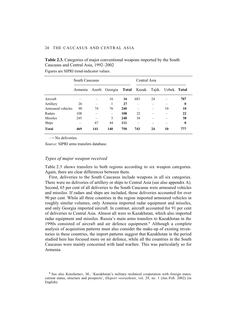# **Table 2.3.** Categories of major conventional weapons imported by the South Caucasus and Central Asia, 1992–2002

|                   | South Caucasus |     |                                           | Central Asia |     |    |              |                  |
|-------------------|----------------|-----|-------------------------------------------|--------------|-----|----|--------------|------------------|
|                   | Armenia        |     | Azerb. Georgia <b>Total</b> Kazak. Tajik. |              |     |    | Uzbek. Total |                  |
| Aircraft          |                |     | 16                                        | 16           | 683 | 24 |              | 707              |
| Artillery         | 26             |     |                                           | 27           |     |    |              | 0                |
| Armoured vehicles | 90             | 74  | 76                                        | 240          |     |    | 10           | 10               |
| Radars            | 108            |     | $\overline{\phantom{0}}$                  | 108          | 22  |    |              | 22               |
| <b>Missiles</b>   | 245            |     | 3                                         | 248          | 38  |    |              | 38               |
| Ships             |                | 67  | 44                                        | 111          |     |    |              | $\boldsymbol{0}$ |
| <b>Total</b>      | 469            | 141 | 140                                       | 750          | 743 | 24 | 10           | 777              |

Figures are SIPRI trend-indicator values.

 $=$  No deliveries.

*Source*: SIPRI arms transfers database.

# *Types of major weapon received*

Table 2.3 shows transfers to both regions according to six weapon categories. Again, there are clear differences between them.

First, deliveries to the South Caucasus include weapons in all six categories. There were no deliveries of artillery or ships to Central Asia (see also appendix A). Second, 65 per cent of all deliveries to the South Caucasus were armoured vehicles and missiles. If radars and ships are included, those deliveries accounted for over 90 per cent. While all three countries in the region imported armoured vehicles in roughly similar volumes, only Armenia imported radar equipment and missiles, and only Georgia imported aircraft. In contrast, aircraft accounted for 91 per cent of deliveries to Central Asia. Almost all were to Kazakhstan, which also imported radar equipment and missiles. Russia's main arms transfers to Kazakhstan in the 1990s consisted of aircraft and air defence equipment.9 Although a complete analysis of acquisition patterns must also consider the make-up of existing inventories in these countries, the import patterns suggest that Kazakhstan in the period studied here has focused more on air defence, while all the countries in the South Caucasus were mainly concerned with land warfare. This was particularly so for Armenia.

<sup>9</sup> See also Kenzhetaev, M., 'Kazakhstan's military–technical cooperation with foreign states: current status, structure and prospects', *Eksport vooruzhenii*, vol. 29, no. 1 (Jan./Feb. 2002) (in English).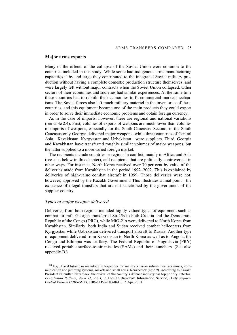## **Major arms exports**

Many of the effects of the collapse of the Soviet Union were common to the countries included in this study. While some had indigenous arms manufacturing capacities,10 by and large they contributed to the integrated Soviet military production without having a complete domestic production structure themselves, and were largely left without major contracts when the Soviet Union collapsed. Other sectors of their economies and societies had similar experiences. At the same time these countries had to rebuild their economies to fit commercial market mechanisms. The Soviet forces also left much military materiel in the inventories of these countries, and this equipment became one of the main products they could export in order to solve their immediate economic problems and obtain foreign currency.

As in the case of imports, however, there are regional and national variations (see table 2.4). First, volumes of exports of weapons are much lower than volumes of imports of weapons, especially for the South Caucasus. Second, in the South Caucasus only Georgia delivered major weapons, while three countries of Central Asia—Kazakhstan, Kyrgyzstan and Uzbekistan—were suppliers. Third, Georgia and Kazakhstan have transferred roughly similar volumes of major weapons, but the latter supplied to a more varied foreign market.

The recipients include countries or regions in conflict, mainly in Africa and Asia (see also below in this chapter), and recipients that are politically controversial in other ways. For instance, North Korea received over 70 per cent by value of the deliveries made from Kazakhstan in the period 1992–2002. This is explained by deliveries of high-value combat aircraft in 1999. Those deliveries were not, however, approved by the Kazakh Government. This illustrates a final point—the existence of illegal transfers that are not sanctioned by the government of the supplier country.

# *Types of major weapon delivered*

Deliveries from both regions included highly valued types of equipment such as combat aircraft. Georgia transferred Su-25s to both Croatia and the Democratic Republic of the Congo (DRC), while MiG-21s were delivered to North Korea from Kazakhstan. Similarly, both India and Sudan received combat helicopters from Kyrgyzstan while Uzbekistan delivered transport aircraft to Russia. Another type of equipment delivered from Kazakhstan to North Korea as well as to Angola, the Congo and Ethiopia was artillery. The Federal Republic of Yugoslavia (FRY) received portable surface-to-air missiles (SAMs) and their launchers. (See also appendix B.)

<sup>10</sup> E.g., Kazakhstan can manufacture torpedoes for mainly Russian submarines, sea mines, communication and jamming systems, rockets and small arms. Kenzhetaev (note 9). According to Kazakh President Nursultan Nazarbaev, the revival of the country's defence industry has top priority. Interfax, *Presidential Bulletin, April 15, 2003*, in Foreign Broadcast Information Service, *Daily Report– Central Eurasia* (*FBIS-SOV*), FBIS-SOV-2003-0416, 15 Apr. 2003.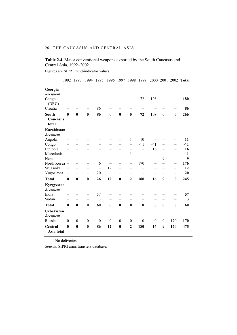| <b>Table 2.4.</b> Major conventional weapons exported by the South Caucasus and |  |
|---------------------------------------------------------------------------------|--|
| Central Asia, 1992–2002                                                         |  |

|                                | 1992                     | 1993                     | 1994                     | 1995                     | 1996                     | 1997                     | 1998           | 1999                     | 2000                     |                          |                          | 2001 2002 Total |
|--------------------------------|--------------------------|--------------------------|--------------------------|--------------------------|--------------------------|--------------------------|----------------|--------------------------|--------------------------|--------------------------|--------------------------|-----------------|
| Georgia                        |                          |                          |                          |                          |                          |                          |                |                          |                          |                          |                          |                 |
| Recipient                      |                          |                          |                          |                          |                          |                          |                |                          |                          |                          |                          |                 |
| Congo<br>(DRC)                 |                          |                          |                          |                          |                          |                          |                | 72                       | 108                      |                          |                          | 180             |
| Croatia                        |                          |                          | -                        | 86                       |                          |                          |                |                          |                          |                          | $\overline{\phantom{0}}$ | 86              |
| South                          | $\bf{0}$                 | $\bf{0}$                 | $\bf{0}$                 | 86                       | $\bf{0}$                 | $\bf{0}$                 | $\bf{0}$       | 72                       | 108                      | $\bf{0}$                 | $\bf{0}$                 | 266             |
| Caucasus                       |                          |                          |                          |                          |                          |                          |                |                          |                          |                          |                          |                 |
| total                          |                          |                          |                          |                          |                          |                          |                |                          |                          |                          |                          |                 |
| <b>Kazakhstan</b>              |                          |                          |                          |                          |                          |                          |                |                          |                          |                          |                          |                 |
| Recipient                      |                          |                          |                          |                          |                          |                          |                |                          |                          |                          |                          |                 |
| Angola                         |                          |                          |                          |                          |                          |                          | 1              | 10                       |                          |                          |                          | 11              |
| Congo                          | $\qquad \qquad -$        | $\overline{\phantom{0}}$ | $\overline{\phantom{m}}$ |                          | $\overline{\phantom{0}}$ | $\qquad \qquad -$        | $\equiv$       | $\leq 1$                 | $\leq 1$                 | $\overline{\phantom{0}}$ | $\equiv$                 | $\leq 1$        |
| Ethiopia                       | $\qquad \qquad$          | -                        |                          | $\overline{\phantom{0}}$ |                          |                          |                | $\qquad \qquad -$        | 16                       | $\qquad \qquad -$        |                          | 16              |
| Macedonia                      | $\qquad \qquad -$        |                          | $\equiv$                 | $\overline{\phantom{0}}$ | $\overline{\phantom{0}}$ |                          | 1              | $\overline{\phantom{0}}$ | $\overline{\phantom{0}}$ | $\overline{\phantom{0}}$ | $\overline{\phantom{0}}$ | 1               |
| Nepal                          |                          |                          | $\equiv$                 | $\overline{\phantom{0}}$ | $\qquad \qquad -$        | $\overline{\phantom{m}}$ |                | $\equiv$                 |                          | 9                        | $\overline{\phantom{0}}$ | 9               |
| North Korea -                  |                          | $\overline{\phantom{0}}$ | $\overline{\phantom{0}}$ | 6                        | $\equiv$                 | $\equiv$                 | $\equiv$       | 170                      |                          | $\equiv$                 | $\equiv$                 | 176             |
| Sri Lanka                      | $\qquad \qquad -$        | $\overline{\phantom{0}}$ | $\overline{\phantom{m}}$ | $\equiv$                 | 12                       | $\equiv$                 |                | $\overline{\phantom{0}}$ | $\overline{\phantom{0}}$ |                          |                          | 12              |
| Yugoslavia                     | $\overline{\phantom{0}}$ |                          | $\overline{\phantom{0}}$ | 20                       | $\equiv$                 |                          |                | $\equiv$                 |                          |                          | $\overline{\phantom{0}}$ | 20              |
| <b>Total</b>                   | $\bf{0}$                 | $\bf{0}$                 | $\bf{0}$                 | 26                       | 12                       | $\bf{0}$                 | $\overline{2}$ | 180                      | 16                       | 9                        | $\bf{0}$                 | 245             |
| Kyrgyzstan<br>Recipient        |                          |                          |                          |                          |                          |                          |                |                          |                          |                          |                          |                 |
| India                          |                          |                          |                          | 57                       |                          |                          |                |                          |                          |                          |                          | 57              |
| Sudan                          |                          | $\overline{\phantom{0}}$ | $\equiv$                 | 3                        | $\equiv$                 | $\qquad \qquad -$        | $\equiv$       | $\equiv$                 |                          | $\equiv$                 | $\equiv$                 | 3               |
| <b>Total</b>                   | $\mathbf{0}$             | $\bf{0}$                 | $\bf{0}$                 | 60                       | $\bf{0}$                 | $\bf{0}$                 | $\bf{0}$       | $\bf{0}$                 | $\bf{0}$                 | $\bf{0}$                 | $\bf{0}$                 | 60              |
| <b>Uzbekistan</b><br>Recipient |                          |                          |                          |                          |                          |                          |                |                          |                          |                          |                          |                 |
| Russia                         | $\theta$                 | $\boldsymbol{0}$         | $\boldsymbol{0}$         | $\boldsymbol{0}$         | $\boldsymbol{0}$         | $\boldsymbol{0}$         | $\theta$       | $\theta$                 | $\boldsymbol{0}$         | $\boldsymbol{0}$         | 170                      | 170             |
| Central<br>Asia total          | $\bf{0}$                 | $\bf{0}$                 | $\bf{0}$                 | 86                       | 12                       | $\bf{0}$                 | $\overline{2}$ | 180                      | 16                       | 9                        | 170                      | 475             |

Figures are SIPRI trend-indicator values.

 $-$  = No deliveries.

*Source*: SIPRI arms transfers database.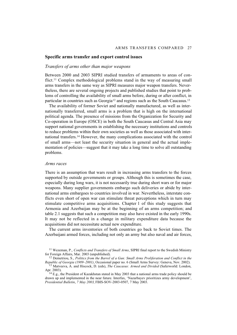### **Specific arms transfer and export control issues**

# *Transfers of arms other than major weapons*

Between 2000 and 2003 SIPRI studied transfers of armaments to areas of conflict.<sup>11</sup> Complex methodological problems stand in the way of measuring small arms transfers in the same way as SIPRI measures major weapon transfers. Nevertheless, there are several ongoing projects and published studies that point to problems of controlling the availability of small arms before, during or after conflict, in particular in countries such as Georgia<sup>12</sup> and regions such as the South Caucasus.<sup>13</sup>

The availability of former Soviet and nationally manufactured, as well as internationally transferred, small arms is a problem that is high on the international political agenda. The presence of missions from the Organization for Security and Co-operation in Europe (OSCE) in both the South Caucasus and Central Asia may support national governments in establishing the necessary institutions and controls to reduce problems within their own societies as well as those associated with international transfers.14 However, the many complications associated with the control of small arms—not least the security situation in general and the actual implementation of policies—suggest that it may take a long time to solve all outstanding problems.

### *Arms races*

There is an assumption that wars result in increasing arms transfers to the forces supported by outside governments or groups. Although this is sometimes the case, especially during long wars, it is not necessarily true during short wars or for major weapons. Many supplier governments embargo such deliveries or abide by international arms embargoes to countries involved in war. Nevertheless, interstate conflicts even short of open war can stimulate threat perceptions which in turn may stimulate competitive arms acquisitions. Chapter 1 of this study suggests that Armenia and Azerbaijan may be at the beginning of an arms competition; and table 2.1 suggests that such a competition may also have existed in the early 1990s. It may not be reflected in a change in military expenditure data because the acquisitions did not necessitate actual new expenditure.

The current arms inventories of both countries go back to Soviet times. The Azerbaijani armed forces, including not only an army but also naval and air forces,

<sup>11</sup> Wezeman, P., *Conflicts and Transfers of Small Arms*, SIPRI final report to the Swedish Ministry for Foreign Affairs, Mar. 2003 (unpublished).

<sup>12</sup> Demetriou, S., *Politics from the Barrel of a Gun: Small Arms Proliferation and Conflict in the Republic of Georgia (1989–2001)*, Occasional paper no. 6 (Small Arms Survey: Geneva, Nov. 2002).

<sup>13</sup> Matveeva, A. and Hiscock, D. (eds), *The Caucasus: Armed and Divided* (Saferworld: London, Apr. 2003).

<sup>&</sup>lt;sup>14</sup> E.g., the President of Kazakhstan stated in May 2003 that a national arms trade policy should be drawn up and implemented in the near future. Interfax, 'Nazarbayev prioritizes army development', *Presidential Bulletin*, *7 May 2003*, FBIS-SOV-2003-0507, 7 May 2003.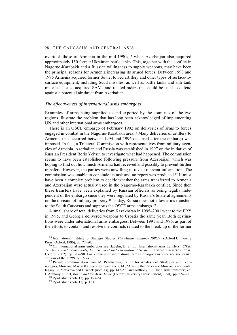overtook those of Armenia in the mid-1990s,<sup>15</sup> when Azerbaijan also acquired approximately 150 former Ukrainian battle tanks. This, together with the conflict in Nagorno-Karabakh and a Russian willingness to supply weapons, may have been the principal reasons for Armenia increasing its armed forces. Between 1993 and 1996 Armenia acquired former Soviet towed artillery and other types of surface-tosurface equipment, including Scud missiles, as well as battle tanks and anti-tank missiles. It also acquired SAMs and related radars that could be used to defend against a potential air threat from Azerbaijan.

# *The effectiveness of international arms embargoes*

Examples of arms being supplied to and exported by the countries of the two regions illustrate the problem that has long been acknowledged of implementing UN and other international arms embargoes.

There is an OSCE embargo of February 1992 on deliveries of arms to forces engaged in combat in the Nagorno-Karabakh area.16 Many deliveries of artillery to Armenia that occurred between 1994 and 1996 occurred after the embargo was imposed. In fact, a Trilateral Commission with representatives from military agencies of Armenia, Azerbaijan and Russia was established in 1997 on the initiative of Russian President Boris Yeltsin to investigate what had happened. The commission seems to have been established following pressure from Azerbaijan, which was hoping to find out how much Armenia had received and possibly to prevent further transfers. However, the parties were unwilling to reveal relevant information. The commission was unable to conclude its task and no report was produced.17 It must have been a complex problem to decide whether the arms transferred to Armenia and Azerbaijan were actually used in the Nagorno-Karabakh conflict. Since then these transfers have been explained by Russian officials as being legally independent of the embargo since they were regulated by Russia's bilateral agreements on the division of military property.18 Today, Russia does not allow arms transfers to the South Caucasus and supports the OSCE arms embargo.19

A small share of total deliveries from Kazakhstan in 1995–2001 went to the FRY in 1995, and Georgia delivered weapons to Croatia the same year. Both destinations were under international arms embargoes. Between 1991 and 1996, as part of the efforts to contain and resolve the conflicts related to the break-up of the former

<sup>15</sup> International Institute for Strategic Studies, *The Military Balance 1996/97* (Oxford University Press: Oxford, 1996), pp. 77–80.

<sup>16</sup> On international arms embargoes see Hagelin, B. *et al.*, 'International arms transfers', *SIPRI Yearbook 2002: Armaments, Disarmament and International Security* (Oxford University Press: Oxford, 2002), pp. 387–90. For a review of international arms embargoes in force see successive editions of the SIPRI Yearbook.

<sup>&</sup>lt;sup>17</sup> Private communication from M. Pyadushkin, Centre for Analysis of Strategies and Technologies, Moscow, May 2003. See also Pyadushkin, M., 'Arming the Caucasus: Moscow's accidental legacy' in Matveeva and Hiscock (note 13), pp. 147–56; and Anthony, I., 'Illicit arms transfers', ed. I. Anthony, SIPRI, *Russia and the Arms Trade* (Oxford University Press: Oxford, 1998), pp. 224–25.

<sup>18</sup> Pyadushkin (note 17), pp. 153–54.

<sup>19</sup> Pyadushkin (note 17), p. 153.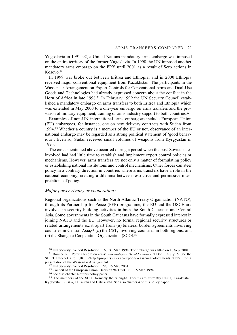Yugoslavia in 1991–92, a United Nations mandatory arms embargo was imposed on the entire territory of the former Yugoslavia. In 1998 the UN imposed another mandatory arms embargo on the FRY until 2001 as a result of Serb actions in Kosovo.20

In 1999 war broke out between Eritrea and Ethiopia, and in 2000 Ethiopia received major conventional equipment from Kazakhstan. The participants in the Wassenaar Arrangement on Export Controls for Conventional Arms and Dual-Use Goods and Technologies had already expressed concern about the conflict in the Horn of Africa in late 1998.21 In February 1999 the UN Security Council established a mandatory embargo on arms transfers to both Eritrea and Ethiopia which was extended in May 2000 to a one-year embargo on arms transfers and the provision of military equipment, training or arms industry support to both countries.22

Examples of non-UN international arms embargoes include European Union (EU) embargoes, for instance, one on new delivery contracts with Sudan from 1994.23 Whether a country is a member of the EU or not, observance of an international embargo may be regarded as a strong political statement of 'good behaviour'. Even so, Sudan received small volumes of weapons from Kyrgyzstan in 1995.

The cases mentioned above occurred during a period when the post-Soviet states involved had had little time to establish and implement export control policies or mechanisms. However, arms transfers are not only a matter of formulating policy or establishing national institutions and control mechanisms. Other forces can steer policy in a contrary direction in countries where arms transfers have a role in the national economy, creating a dilemma between restrictive and permissive interpretations of policy.

# *Major power rivalry or cooperation?*

Regional organizations such as the North Atlantic Treaty Organization (NATO), through its Partnership for Peace (PFP) programme, the EU and the OSCE are involved in security-building activities in both the South Caucasus and Central Asia. Some governments in the South Caucasus have formally expressed interest in joining NATO and the EU. However, no formal regional security structures or related arrangements exist apart from (*a*) bilateral border agreements involving countries in Central Asia,24 (*b*) the CST, involving countries in both regions, and (*c*) the Shanghai Cooperation Organization (SCO).25

21 Bonner, R., 'Porous accord on arms', *International Herald Tribune*, 7 Dec. 1998, p. 5. See the SIPRI Internet site, URL <http://projects.sipri.se/expcon/Wassenaar-documents.html>, for a presentation of the Wassenaar Arrangement.

<sup>20</sup> UN Security Council Resolution 1160, 31 Mar. 1998. The embargo was lifted on 10 Sep. 2001.

<sup>22</sup> UN Security Council Resolution 1298, 15 May 2001.

<sup>23</sup> Council of the European Union, Decision 94/165/CFSP, 15 Mar. 1994.

<sup>24</sup> See also chapter 4 of this policy paper.

<sup>&</sup>lt;sup>25</sup> The members of the SCO (formerly the Shanghai Forum) are currently China, Kazakhstan, Kyrgyzstan, Russia, Tajikistan and Uzbekistan. See also chapter 4 of this policy paper.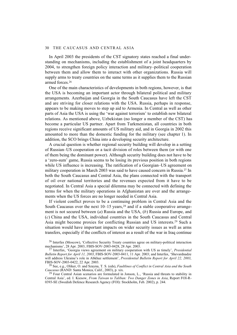In April 2003 the presidents of the CST signatory states reached a final understanding on mechanisms, including the establishment of a joint headquarters by 2004, to strengthen foreign policy interaction and military–political cooperation between them and allow them to interact with other organizations. Russia will supply arms to treaty countries on the same terms as it supplies them to the Russian armed forces.26

One of the main characteristics of developments in both regions, however, is that the USA is becoming an important actor through bilateral political and military arrangements. Azerbaijan and Georgia in the South Caucasus have left the CST and are striving for closer relations with the USA. Russia, perhaps in response, appears to be making moves to step up aid to Armenia. In Central as well as other parts of Asia the USA is using the 'war against terrorism' to establish new bilateral relations. As mentioned above, Uzbekistan (no longer a member of the CST) has become a particular US partner. Apart from Turkmenistan, all countries in both regions receive significant amounts of US military aid, and in Georgia in 2002 this amounted to more than the domestic funding for the military (see chapter 1). In addition, the SCO brings China into a developing security architecture.

A crucial question is whether regional security building will develop in a setting of Russian–US cooperation or a tacit division of roles between them (or with one of them being the dominant power). Although security building does not have to be a 'zero-sum' game, Russia seems to be losing its previous position in both regions while US influence is increasing. The ratification of a Georgian–US agreement on military cooperation in March 2003 was said to have caused concern in Russia.27 In both the South Caucasus and Central Asia, the plans connected with the transport of oil over national territories and the revenues expected from it have to be negotiated. In Central Asia a special dilemma may be connected with defining the terms for when the military operations in Afghanistan are over and the arrangements when the US forces are no longer needed in Central Asia.

If violent conflict proves to be a continuing problem in Central Asia and the South Caucasus over the next  $10-15$  years,  $28$  and if a stable cooperative arrangement is not secured between (*a*) Russia and the USA, (*b*) Russia and Europe, and (*c*) China and the USA, individual countries in the South Caucasus and Central Asia might become proxies for conflicting Russian and US interests.29 Such a situation would have important impacts on wider security issues as well as arms transfers, especially if the conflicts of interest as a result of the war in Iraq continue

<sup>26</sup> Interfax (Moscow), 'Collective Security Treaty countries agree on military-political interaction mechanisms', 28 Apr. 2003, FBIS-SOV-2003-0428, 28 Apr. 2003.

<sup>27</sup> Interfax, 'Georgia views agreement on military cooperation with US as timely', *Presidential Bulletin Report for April 11, 2003*, FBIS-SOV-2003-0411, 11 Apr. 2003; and Interfax, 'Shevardnadze will address Ukraine's role in Abkhaz settlement', *Presidential Bulletin Report for April 22, 2003*, FBIS-SOV-2003-0422, 22 Apr. 2003.

<sup>28</sup> See, e.g., Oliker, O. and Szayna, T. S. (eds), *Faultlines of Conflict in Central Asia and the South Caucasus* (RAND: Santa Monica, Calif., 2003), p. xix.

<sup>&</sup>lt;sup>29</sup> Four Central Asian scenarios are formulated in Jonson, L., 'Russia and threats to stability in Central Asia', ed. I. Kiesow, *From Taiwan to Taliban: Two Danger Zones in Asia*, Report FOI-R-0393-SE (Swedish Defence Research Agency (FOI): Stockholm, Feb. 2002), p. 244.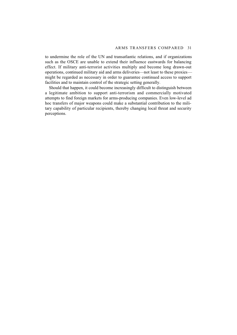to undermine the role of the UN and transatlantic relations, and if organizations such as the OSCE are unable to extend their influence eastwards for balancing effect. If military anti-terrorist activities multiply and become long drawn-out operations, continued military aid and arms deliveries—not least to these proxies might be regarded as necessary in order to guarantee continued access to support facilities and to maintain control of the strategic setting generally.

Should that happen, it could become increasingly difficult to distinguish between a legitimate ambition to support anti-terrorism and commercially motivated attempts to find foreign markets for arms-producing companies. Even low-level ad hoc transfers of major weapons could make a substantial contribution to the military capability of particular recipients, thereby changing local threat and security perceptions.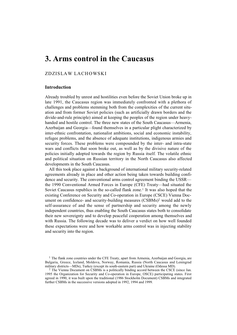# **3. Arms control in the Caucasus**

# ZDZISLAW LACHOWSKI

# **Introduction**

Already troubled by unrest and hostilities even before the Soviet Union broke up in late 1991, the Caucasus region was immediately confronted with a plethora of challenges and problems stemming both from the complexities of the current situation and from former Soviet policies (such as artificially drawn borders and the divide-and-rule principle) aimed at keeping the peoples of the region under heavyhanded and hostile control. The three new states of the South Caucasus—Armenia, Azerbaijan and Georgia—found themselves in a particular plight characterized by inter-ethnic confrontation, nationalist ambitions, social and economic instability, refugee problems, and the absence of adequate institutions, indigenous armies and security forces. These problems were compounded by the inter- and intra-state wars and conflicts that soon broke out, as well as by the divisive nature of the policies initially adopted towards the region by Russia itself. The volatile ethnic and political situation on Russian territory in the North Caucasus also affected developments in the South Caucasus.

All this took place against a background of international military security-related agreements already in place and other action being taken towards building confidence and security. The conventional arms control agreement binding the USSR the 1990 Conventional Armed Forces in Europe (CFE) Treaty—had situated the Soviet Caucasus republics in the so-called flank zone.<sup>1</sup> It was also hoped that the existing Conference on Security and Co-operation in Europe (CSCE) Vienna Document on confidence- and security-building measures (CSBMs)2 would add to the self-assurance of and the sense of partnership and security among the newly independent countries, thus enabling the South Caucasus states both to consolidate their new sovereignty and to develop peaceful cooperation among themselves and with Russia. The following decade was to deliver a verdict on how well founded these expectations were and how workable arms control was in injecting stability and security into the region.

 $<sup>1</sup>$  The flank zone countries under the CFE Treaty, apart from Armenia, Azerbaijan and Georgia, are</sup> Bulgaria, Greece, Iceland, Moldova, Norway, Romania, Russia (North Caucasus and Leningrad military districts—MDs), Turkey (except its south-eastern part) and Ukraine (Odessa MD).

<sup>2</sup> The Vienna Document on CSBMs is a politically binding accord between the CSCE (since Jan. 1995 the Organization for Security and Co-operation in Europe, OSCE) participating states. First agreed in 1990, it was built upon the traditional (1986 Stockholm Document) CSBMs and integrated further CSBMs in the successive versions adopted in 1992, 1994 and 1999.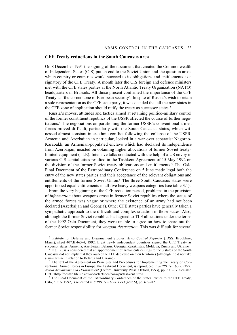## **CFE Treaty reductions in the South Caucasus area**

On 8 December 1991 the signing of the document that created the Commonwealth of Independent States (CIS) put an end to the Soviet Union and the question arose which country or countries would succeed to its obligations and entitlements as a signatory of the CFE Treaty. A month later the CIS foreign and defence ministers met with the CFE states parties at the North Atlantic Treaty Organization (NATO) headquarters in Brussels. All those present confirmed the importance of the CFE Treaty as 'the cornerstone of European security'. In spite of Russia's wish to retain a sole representation as the CFE state party, it was decided that all the new states in the CFE zone of application should ratify the treaty as successor states.3

Russia's moves, attitudes and tactics aimed at retaining politico-military control of the former constituent republics of the USSR affected the course of further negotiations.4 The negotiations on partitioning the former USSR's conventional armed forces proved difficult, particularly with the South Caucasus states, which witnessed almost constant inter-ethnic conflict following the collapse of the USSR. Armenia and Azerbaijan in particular, locked in a war over separatist Nagorno-Karabakh, an Armenian-populated enclave which had declared its independence from Azerbaijan, insisted on obtaining higher allocations of former Soviet treatylimited equipment (TLE). Intensive talks conducted with the help of a US envoy in various CIS capital cities resulted in the Tashkent Agreement of 15 May 1992 on the division of the former Soviet treaty obligations and entitlements.5 The Oslo Final Document of the Extraordinary Conference on 5 June made legal both the entry of the new states parties and their acceptance of the relevant obligations and entitlements of the former Soviet Union.<sup>6</sup> The three South Caucasus states were apportioned equal entitlements in all five heavy weapons categories (see table 3.1).

From the very beginning of the CFE reduction period, problems in the provision of *information* about weapons arose in former Soviet republics where the status of the armed forces was vague or where the existence of an army had not been declared (Azerbaijan and Georgia). Other CFE states parties have generally taken a sympathetic approach to the difficult and complex situation in those states. Also, although the former Soviet republics had agreed to TLE allocations under the terms of the 1992 Oslo Document, they were unable to agree on how to share out the former Soviet responsibility for *weapon destruction*. This was difficult for several

3 Institute for Defense and Disarmament Studies, *Arms Control Reporter* (IDSS: Brookline, Mass.), sheet 407.B.463-4, 1992. Eight newly independent countries signed the CFE Treaty as successor states: Armenia, Azerbaijan, Belarus, Georgia, Kazakhstan, Moldova, Russia and Ukraine.

5 The text of the Agreement on Principles and Procedures for Implementing the Treaty on Conventional Armed Forces in Europe, the Tashkent Document, is reproduced in *SIPRI Yearbook 1993: World Armaments and Disarmament* (Oxford University Press: Oxford, 1993), pp. 671–77. See also URL <http://dosfan.lib.uic.edu/acda/factshee/conwpn/tashkent.htm>.

6 The Final Document of the Extraordinary Conference of the States Parties to the CFE Treaty, Oslo, 5 June 1992, is reprinted in *SIPRI Yearbook 1993* (note 5), pp. 677–82.

<sup>4</sup> E.g., Russia considered that an apportionment of armaments ceilings to the 3 states of the South Caucasus did not imply that they owned the TLE deployed on their territories (although it did not take a similar line in relation to Belarus and Ukraine).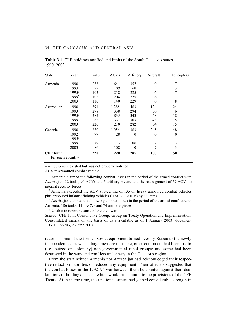| <b>State</b>     | Year     | Tanks | <b>ACVs</b> | Artillery | Aircraft   | Helicopters |
|------------------|----------|-------|-------------|-----------|------------|-------------|
| Armenia          | 1990     | 258   | 641         | 357       | $\theta$   | 7           |
|                  | 1993     | 77    | 189         | 160       | 3          | 13          |
|                  | $1995^a$ | 102   | 218         | 225       | 6          | 7           |
|                  | $1999^b$ | 102   | 204         | 225       | 6          | 7           |
|                  | 2003     | 110   | 140         | 229       | 6          | 8           |
| Azerbaijan       | 1990     | 391   | 1 2 8 5     | 463       | 124        | 24          |
|                  | 1993     | 278   | 338         | 294       | 50         | 6           |
|                  | 1995c    | 285   | 835         | 343       | 58         | 18          |
|                  | 1999     | 262   | 331         | 303       | 48         | 15          |
|                  | 2003     | 220   | 210         | 282       | 54         | 15          |
| Georgia          | 1990     | 850   | 1 0 5 4     | 363       | 245        | 48          |
|                  | 1992     | 77    | 28          | $\theta$  | $\theta$   | $\theta$    |
|                  | $1995^d$ |       |             |           |            |             |
|                  | 1999     | 79    | 113         | 106       | 7          | 3           |
|                  | 2003     | 86    | 108         | 110       | 7          | 3           |
| <b>CFE</b> limit |          | 220   | 220         | 285       | <b>100</b> | 50          |
| for each country |          |       |             |           |            |             |

**Table 3.1**. TLE holdings notified and limits of the South Caucasus states, 1990–2003

 $-$  = Equipment existed but was not properly notified.

ACV = Armoured combat vehicle.

*<sup>a</sup>* Armenia claimed the following combat losses in the period of the armed conflict with Azerbaijan: 52 tanks, 94 ACVs and 5 artillery pieces, and the reassignment of 67 ACVs to internal security forces.

*b* Armenia exceeded the ACV sub-ceiling of 135 on heavy armoured combat vehicles plus armoured infantry fighting vehicles  $(HACV + AIFV)$  by 33 items.

*<sup>c</sup>* Azerbaijan claimed the following combat losses in the period of the armed conflict with Armenia: 186 tanks, 110 ACVs and 74 artillery pieces.

*<sup>d</sup>* Unable to report because of the civil war.

*Source:* CFE Joint Consultative Group, Group on Treaty Operation and Implementation, Consolidated matrix on the basis of data available as of 1 January 2003, document JCG.TOI/22/03, 23 June 2003.

reasons: some of the former Soviet equipment turned over by Russia to the newly independent states was in large measure unusable; other equipment had been lost to (i.e., seized or stolen by) non-governmental rebel groups; and some had been destroyed in the wars and conflicts under way in the Caucasus region.

From the start neither Armenia nor Azerbaijan had acknowledged their respective reduction liabilities or reduced any equipment. Their officials suggested that the combat losses in the 1992–94 war between them be counted against their declarations of holdings—a step which would run counter to the provisions of the CFE Treaty. At the same time, their national armies had gained considerable strength in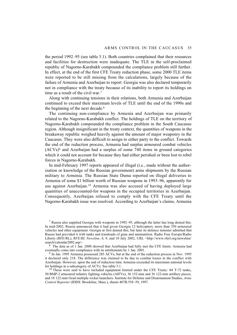the period 1992–95 (see table 3.1). Both countries complained that their resources and facilities for destruction were inadequate. The TLE in the self-proclaimed republic of Nagorno-Karabakh compounded the compliance problem still further. In effect, at the end of the first CFE Treaty reduction phase, some 2000 TLE items were reported to be still missing from the calculations, largely because of the failure of Armenia and Azerbaijan to report. Georgia was also declared temporarily not in compliance with the treaty because of its inability to report its holdings on time as a result of the civil war.7

Along with continuing tensions in their relations, both Armenia and Azerbaijan continued to exceed their maximum levels of TLE until the end of the 1990s and the beginning of the next decade.8

The continuing non-compliance by Armenia and Azerbaijan was primarily related to the Nagorno-Karabakh conflict. The holdings of TLE on the territory of Nagorno-Karabakh compounded the compliance problem in the South Caucasus region. Although insignificant in the treaty context, the quantities of weapons in the breakaway republic weighed heavily against the amount of major weaponry in the Caucasus. They were also difficult to assign to either party to the conflict. Towards the end of the reduction process, Armenia had surplus armoured combat vehicles  $(ACVs)^9$  and Azerbaijan had a surplus of some 740 items in ground categories which it could not account for because they had either perished or been lost to rebel forces in Nagorno-Karabakh.

In mid-February 1997 reports appeared of illegal (i.e., made without the authorization or knowledge of the Russian government) arms shipments by the Russian military to Armenia. The Russian State Duma reported on illegal deliveries to Armenia of some \$1 billion worth of Russian weapons in 1993–96, apparently for use against Azerbaijan.10 Armenia was also accused of having deployed large quantities of unaccounted-for weapons in the occupied territories in Azerbaijan. Consequently, Azerbaijan refused to comply with the CFE Treaty until the Nagorno-Karabakh issue was resolved. According to Azerbaijan's claims, Armenia

7 Russia also supplied Georgia with weapons in 1992–95, although the latter has long denied this. In mid-2002, Russia announced that it had given Georgia 12 helicopters, more than 350 armoured vehicles and other equipment. Georgia at first denied this, but later its defence minister admitted that Russia had provided it with tanks and trainloads of guns and ammunition. Radio Free Europe/Radio Liberty (RFE/RL), *RFE/RL Newsline*, 8, 9, and 10 July 2002, URL <http://www.rferl.org/newsline/ search/calendar2002.asp>.

8 The data as of 1 Jan. 2000 showed that Azerbaijan had fully met the CFE limits. Armenia had eventually come into compliance with its entitlements by 1 Jan. 2001.

9 In Jan. 1995 Armenia possessed 285 ACVs, but at the end of the reduction process in Nov. 1995 it declared only 218. The difference was claimed to be due to combat losses in the conflict with Azerbaijan. However, upon the end of reduction time Armenia exceeded its maximum national levels for holdings in a subcategory of ACVs. See table 3.1.

<sup>10</sup> These were said to have included equipment limited under the CFE Treaty: 84 T-72 tanks, 50 BMP-2 armoured infantry fighting vehicles (AIFVs), 36 152-mm and 36 122-mm artillery pieces, and 18 122-mm Grad multiple rocket launchers. Institute for Defense and Disarmament Studies, *Arms Control Reporter* (IDDS: Brookline, Mass.), sheets 407B.558–59, 1997.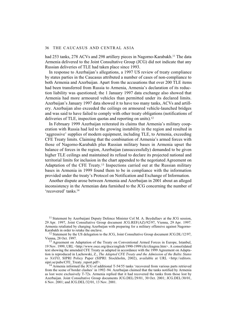had 253 tanks, 278 ACVs and 298 artillery pieces in Nagorno-Karabakh.<sup>11</sup> The data Armenia delivered to the Joint Consultative Group (JCG) did not indicate that any Russian deliveries of TLE had taken place since 1993.

In response to Azerbaijan's allegations, a 1997 US review of treaty compliance by states parties in the Caucasus attributed a number of cases of non-compliance to both Armenia and Azerbaijan. Apart from the accusations that over 200 TLE items had been transferred from Russia to Armenia, Armenia's declaration of its reduction liability was questioned; the 1 January 1997 data exchange also showed that Armenia had more armoured vehicles than permitted under its declared limits. Azerbaijan's January 1997 data showed it to have too many tanks, ACVs and artillery. Azerbaijan also exceeded the ceilings on armoured vehicle-launched bridges and was said to have failed to comply with other treaty obligations (notifications of deliveries of TLE, inspection quotas and reporting on units).<sup>12</sup>

In February 1999 Azerbaijan reiterated its claims that Armenia's military cooperation with Russia had led to the growing instability in the region and resulted in 'aggressive' supplies of modern equipment, including TLE, to Armenia, exceeding CFE Treaty limits. Claiming that the combination of Armenia's armed forces with those of Nagorno-Karabakh plus Russian military bases in Armenia upset the balance of forces in the region, Azerbaijan (unsuccessfully) demanded to be given higher TLE ceilings and maintained its refusal to declare its projected national and territorial limits for inclusion in the chart appended to the negotiated Agreement on Adaptation of the CFE Treaty.13 Inspections carried out at the Russian military bases in Armenia in 1999 found them to be in compliance with the information provided under the treaty's Protocol on Notification and Exchange of Information.

Another dispute arose between Armenia and Azerbaijan in 2001 about an alleged inconsistency in the Armenian data furnished to the JCG concerning the number of 'recovered' tanks.14

<sup>11</sup> Statement by Azerbaijani Deputy Defence Minister Col M. A. Beydullaev at the JCG session, 29 Apr. 1997, Joint Consultative Group document JCG.REF(AZ)/92/97, Vienna, 29 Apr. 1997. Armenia retaliated by charging Azerbaijan with preparing for a military offensive against Nagorno-Karabakh in order to retake the enclave.

 $12$  Statement by the US delegation to the JCG, Joint Consultative Group document JCG.DL/12/97, Vienna, 28 Oct. 1997.

<sup>13</sup> Agreement on Adaptation of the Treaty on Conventional Armed Forces in Europe, Istanbul, 19 Nov. 1999, URL <http://www.osce.org/docs/english/1990-1999/cfe/cfeagree.htm>. A consolidated text showing the amended CFE Treaty as adapted in accordance with the 1999 Agreement on Adaptation is reproduced in Lachowski, Z., *The Adapted CFE Treaty and the Admission of the Baltic States* to NATO, SIPRI Policy Paper (SIPRI: Stockholm, 2002), available at URL <http://editors. sipri.se/pubs/CFE\_Treaty\_report.pdf>.

<sup>14</sup> Armenia informed the JCG of additional T-54/55 tanks 'recovered from various parts retrieved from the scene of border clashes' in 1992–94. Azerbaijan claimed that the tanks notified by Armenia as lost were exclusively T-72s. Armenia replied that it had recovered the tanks from those lost by Azerbaijan. Joint Consultative Group documents JCG.DEL/29/01, 30 Oct. 2001; JCG.DEL/30/01, 6 Nov. 2001; and JCG.DEL/32/01, 13 Nov. 2001.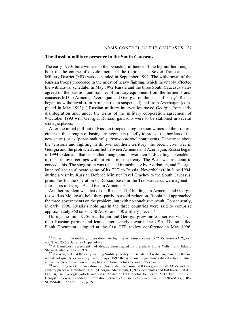## **The Russian military presence in the South Caucasus**

The early 1990s bore witness to the persisting influence of the big northern neighbour on the course of developments in the region. The Soviet Transcaucasus Military District (MD) was disbanded in September 1992. The withdrawal of the Russian troops proceeded in the midst of heavy fighting, which inevitably affected the withdrawal schedule. In May 1992 Russia and the three South Caucasus states agreed on the partition and transfer of military equipment from the former Transcaucasus MD to Armenia, Azerbaijan and Georgia 'on the basis of parity'. Russia began its withdrawal from Armenia (soon suspended) and from Azerbaijan (completed in May 1993).15 Russian military intervention saved Georgia from early disintegration and, under the terms of the military cooperation agreement of 9 October 1993 with Georgia, Russian garrisons were to be stationed in several strategic places.

After the initial pull-out of Russian troops the region soon witnessed their return, either on the strength of basing arrangements (chiefly to protect the borders of the new states) or as 'peace-making' (*mirotvorcheskie*) contingents. Concerned about the tensions and fighting in its own southern territory, the recent civil war in Georgia and the protracted conflict between Armenia and Azerbaijan, Russia began in 1994 to demand that its southern neighbours lower their TLE ceilings to enable it to raise its own ceilings without violating the treaty. The West was reluctant to concede this. The suggestion was rejected immediately by Azerbaijan, and Georgia later refused to allocate some of its TLE to Russia. Nevertheless, in June 1994, during a visit by Russian Defence Minister Pavel Grachev to the South Caucasus, principles for the operation of Russian bases in the Transcaucasus were agreed four bases in Georgia<sup>16</sup> and two in Armenia.<sup>17</sup>

Another problem was that of the Russian TLE holdings in Armenia and Georgia (as well as Moldova), held there partly to avoid reduction. Russia had approached the three governments on the problem, but with no conclusive result. Consequently, in early 1996, Russia's holdings in the three countries were said to comprise approximately 360 tanks, 750 ACVs and 430 artillery pieces. 18

During the mid-1990s Azerbaijan and Georgia grew more assertive vis-à-vis their Russian partner and leaned increasingly towards the USA. The so-called Flank Document, adopted at the first CFE review conference in May 1996,

15 Fuller, E., 'Paramilitary forces dominate fighting in Transcaucasus', *RFE/RL Research Report*, vol. 2, no. 25 (18 June 1993), pp. 74–82.

16 A framework agreement had already been signed by presidents Boris Yeltsin and Eduard Shevardnadze on 3 Feb. 1994.

<sup>17</sup> It was agreed that the early warning 'military facility' in Gabala in Azerbaijan, leased by Russia, would not qualify as an army base. In Apr. 1997 the Armenian legislature ratified a treaty which allowed Russia to maintain military bases in Armenia for a period of 25 years.

<sup>18</sup> According to Georgian estimates, Russia stationed some 200 tanks, up to 570 ACVs and 220 artillery pieces at 4 military bases in Georgia. Aladashvili, I., 'Divided quotas and lost levers', DGHE (Tbilisi), in 'Georgia: article analyses transfer of CFE quotas to Russia, 5–15 Feb. 1996' (in Georgian), Foreign Broadcast Information Service, *Daily Report–Central Eurasia* (*FBIS-SOV*), FBIS-SOV-96-039, 27 Feb. 1996, p. 59.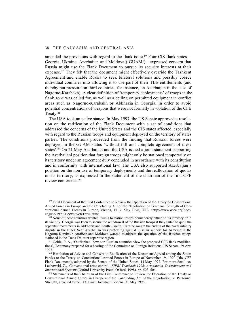amended the provisions with regard to the flank issue.<sup>19</sup> Four CIS flank states— Georgia, Ukraine, Azerbaijan and Moldova ('GUAM')—expressed concern that Russia might use the Flank Document to pursue its security interests at their expense.20 They felt that the document might effectively override the Tashkent Agreement and enable Russia to seek bilateral solutions and possibly coerce individual countries into allowing it to use part of their TLE entitlements (and thereby put pressure on third countries, for instance, on Azerbaijan in the case of Nagorno-Karabakh). A clear definition of 'temporary deployments' of troops in the flank zone was called for, as well as a ceiling on permitted equipment in conflict areas such as Nagorno-Karabakh or Abkhazia in Georgia, in order to avoid potential concentrations of weapons that were not formally in violation of the CFE Treaty.21

The USA took an active stance. In May 1997, the US Senate approved a resolution on the ratification of the Flank Document with a set of conditions that addressed the concerns of the United States and the CIS states affected, especially with regard to the Russian troops and equipment deployed on the territory of states parties. The conditions proceeded from the finding that Russian forces were deployed in the GUAM states 'without full and complete agreement of these states'.22 On 21 May Azerbaijan and the USA issued a joint statement supporting the Azerbaijani position that foreign troops might only be stationed temporarily on its territory under an agreement duly concluded in accordance with its constitution and in conformity with international law. The USA also supported Azerbaijan's position on the non-use of temporary deployments and the reallocation of quotas on its territory, as expressed in the statement of the chairman of the first CFE review conference<sup>23</sup>

<sup>19</sup> Final Document of the First Conference to Review the Operation of the Treaty on Conventional Armed Forces in Europe and the Concluding Act of the Negotiation on Personnel Strength of Conventional Armed Forces in Europe, Vienna, 15–31 May 1996, URL <http://www.osce.org/docs/ english/1990-1999/cfe/cfe1reve.htm>.

 $20$  None of these countries wanted Russia to station troops permanently either on its territory or in its vicinity. Georgia was keen to secure the withdrawal of the Russian troops if they failed to quell the separatist movements in Abkhazia and South Ossetia; Ukraine sought the ending of the naval infantry dispute in the Black Sea; Azerbaijan was protesting against Russian support for Armenia in the Nagorno-Karabakh conflict; and Moldova wanted to address the question of the Russian troops stationed in the Trans-Dniester separatist region.

<sup>21</sup> Goble, P. A., 'Outflanked: how non-Russian countries view the proposed CFE flank modifications', Testimony prepared for a hearing of the Committee on Foreign Relations, US Senate, 29 Apr. 1997.

22 Resolution of Advice and Consent to Ratification of the Document Agreed among the States Parties to the Treaty on Conventional Armed Forces in Europe of November 19, 1990 ('the CFE Flank Document'), adopted by the Senate of the United States, 14 May 1997. For more detail see Lachowski, Z., 'Conventional arms control', *SIPRI Yearbook 1998: Armaments, Disarmament and International Security* (Oxford University Press: Oxford, 1998), pp. 503–504.

<sup>23</sup> Statements of the Chairman of the First Conference to Review the Operation of the Treaty on Conventional Armed Forces in Europe and the Concluding Act of the Negotiation on Personnel Strength, attached to the CFE Final Document, Vienna, 31 May 1996.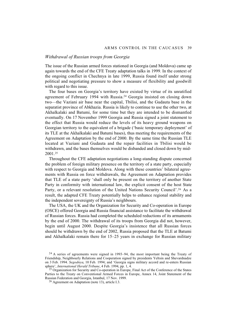## *Withdrawal of Russian troops from Georgia*

The issue of the Russian armed forces stationed in Georgia (and Moldova) came up again towards the end of the CFE Treaty adaptation talks in 1999. In the context of the ongoing conflict in Chechnya in late 1999, Russia found itself under strong political and negotiating pressure to show a measure of flexibility and goodwill with regard to this issue.

The four bases on Georgia's territory have existed by virtue of its unratified agreement of February 1994 with Russia.24 Georgia insisted on closing down two—the Vaziani air base near the capital, Tbilisi, and the Gudauta base in the separatist province of Abkhazia. Russia is likely to continue to use the other two, at Akhalkalaki and Batumi, for some time but they are intended to be dismantled eventually. On 17 November 1999 Georgia and Russia signed a joint statement to the effect that Russia would reduce the levels of its heavy ground weapons on Georgian territory to the equivalent of a brigade ('basic temporary deployment' of its TLE at the Akhalkalaki and Batumi bases), thus meeting the requirements of the Agreement on Adaptation by the end of 2000. By the same time the Russian TLE located at Vaziani and Gudauta and the repair facilities in Tbilisi would be withdrawn, and the bases themselves would be disbanded and closed down by mid-2001.25

Throughout the CFE adaptation negotiations a long-standing dispute concerned the problem of foreign military presence on the territory of a state party, especially with respect to Georgia and Moldova. Along with these countries' bilateral agreements with Russia on force withdrawals, the Agreement on Adaptation provides that TLE of a state party 'shall only be present on the territory of another State Party in conformity with international law, the explicit consent of the host State Party, or a relevant resolution of the United Nations Security Council'.<sup>26</sup> As a result, the adapted CFE Treaty potentially helps to enhance regional stability and the independent sovereignty of Russia's neighbours.

The USA, the UK and the Organization for Security and Co-operation in Europe (OSCE) offered Georgia and Russia financial assistance to facilitate the withdrawal of Russian forces. Russia had completed the scheduled reductions of its armaments by the end of 2000. The withdrawal of its troops from Georgia did not, however, begin until August 2000. Despite Georgia's insistence that all Russian forces should be withdrawn by the end of 2002, Russia proposed that the TLE at Batumi and Akhalkalaki remain there for 15–25 years in exchange for Russian military

<sup>24</sup> A series of agreements were signed in 1993–94, the most important being the Treaty of Friendship, Neighbourly Relations and Cooperation signed by presidents Yeltsin and Shevardnadze on 3 Feb. 1994. *Segodnya*, 10 Feb. 1994; and 'Georgia signs military accord and re-enters Russian sphere', *International Herald Tribune*, 4 Feb. 1994, pp. 1, 4.

<sup>&</sup>lt;sup>25</sup> Organization for Security and Co-operation in Europe, Final Act of the Conference of the States Parties to the Treaty on Conventional Armed Forces in Europe, Annex 14, Joint Statement of the Russian Federation and Georgia, Istanbul, 17 Nov. 1999.

<sup>26</sup> Agreement on Adaptation (note 13), article I.3.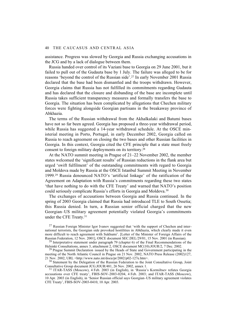assistance. Progress was slowed by Georgia and Russia exchanging accusations in the JCG and by a lack of dialogue between them.

Russia handed over control of its Vaziani base to Georgia on 29 June 2001, but it failed to pull out of the Gudauta base by 1 July. The failure was alleged to be for reasons 'beyond the control of the Russian side'.27 In early November 2001 Russia declared that the base had been dismantled and the troops withdrawn. However, Georgia claims that Russia has not fulfilled its commitments regarding Gudauta and has declared that the closure and disbanding of the base are incomplete until Russia takes sufficient transparency measures and formally transfers the base to Georgia. The situation has been complicated by allegations that Chechen military forces were fighting alongside Georgian partisans in the breakaway province of Abkhazia.

The terms of the Russian withdrawal from the Akhalkalaki and Batumi bases have not so far been agreed. Georgia has proposed a three-year withdrawal period, while Russia has suggested a 14-year withdrawal schedule. At the OSCE ministerial meeting in Porto, Portugal, in early December 2002, Georgia called on Russia to reach agreement on closing the two bases and other Russian facilities in Georgia. In this context, Georgia cited the CFE principle that a state must freely consent to foreign military deployments on its territory.28

At the NATO summit meeting in Prague of 21–22 November 2002, the member states welcomed the 'significant results' of Russian reductions in the flank area but urged 'swift fulfilment' of the outstanding commitments with regard to Georgia and Moldova made by Russia at the OSCE Istanbul Summit Meeting in November 1999.29 Russia denounced NATO's 'artificial linkage' of the ratification of the Agreement on Adaptation with Russia's commitments regarding these two states 'that have nothing to do with the CFE Treaty' and warned that NATO's position could seriously complicate Russia's efforts in Georgia and Moldova.30

The exchanges of accusations between Georgia and Russia continued. In the spring of 2003 Georgia claimed that Russia had introduced TLE to South Ossetia; this Russia denied. In turn, a Russian senior official charged that the new Georgian–US military agreement potentially violated Georgia's commitments under the CFE Treaty.31

<sup>30</sup> Statement by the Delegation of the Russian Federation to the Joint Consultative Group, Joint Consultative Group document JCG.JOUR/481, 26 Nov. 2002, annex 1.

31 ITAR-TASS (Moscow), 4 Feb. 2003 (in English), in 'Russia's Kormiltsev refutes Georgia accusations over CFE treaty', FBIS-SOV-2003-0204, 4 Feb. 2003; and ITAR-TASS (Moscow), 10 Apr. 2003 (in English), in 'Senior Russian official says Georgian–US military agreement violates CFE Treaty', FBIS-SOV-2003-0410, 10 Apr. 2003.

<sup>&</sup>lt;sup>27</sup> Russian Foreign Minister Igor Ivanov suggested that 'with the support of Chechen and international terrorists, the Georgian side provoked hostilities in Abkhazia, which clearly made it even more difficult to reach agreement with Sukhumi'. [Letter of the Minister of Foreign Affairs of the Russian Federation, 12 Nov. 2001], OSCE document SEC.DEL/29/01, 15 Nov. 2001 (in Russian).

<sup>&</sup>lt;sup>28</sup> Interpretative statement under paragraph 79 (chapter 6) of the Final Recommendations of the Helsinki Consultations, annex 3, attachment 2, OSCE document MC(10).JOUR/2, 7 Dec. 2002.

<sup>&</sup>lt;sup>29</sup> Prague Summit Declaration issued by the Heads of State and Government participating in the meeting of the North Atlantic Council in Prague on 21 Nov. 2002, NATO Press Release (2002)127, 21 Nov. 2002, URL <http://www.nato.int/docu/pr/2002/p02-127e.htm>.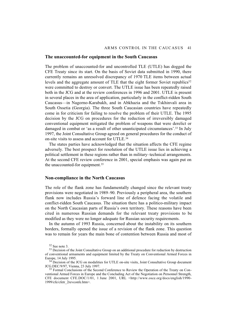## **The unaccounted-for equipment in the South Caucasus**

The problem of unaccounted-for and uncontrolled TLE (UTLE) has dogged the CFE Treaty since its start. On the basis of Soviet data submitted in 1990, there currently remains an unresolved discrepancy of 1970 TLE items between actual levels and the aggregate amount of TLE that the eight former Soviet republics<sup>32</sup> were committed to destroy or convert. The UTLE issue has been repeatedly raised both in the JCG and at the review conferences in 1996 and 2001. UTLE is present in several places in the area of application, particularly in the conflict-ridden South Caucasus—in Nagorno-Karabakh, and in Abkhazia and the Tskhinvali area in South Ossetia (Georgia). The three South Caucasian countries have repeatedly come in for criticism for failing to resolve the problem of their UTLE. The 1995 decision by the JCG on procedures for the reduction of irreversibly damaged conventional equipment mitigated the problem of weapons that were derelict or damaged in combat or 'as a result of other unanticipated circumstances'.33 In July 1997, the Joint Consultative Group agreed on general procedures for the conduct of on-site visits to assess and account for UTLE.34

The states parties have acknowledged that the situation affects the CFE regime adversely. The best prospect for resolution of the UTLE issue lies in achieving a political settlement in these regions rather than in military–technical arrangements. At the second CFE review conference in 2001, special emphasis was again put on the unaccounted-for equipment.35

## **Non-compliance in the North Caucasus**

The role of the flank zone has fundamentally changed since the relevant treaty provisions were negotiated in 1989–90. Previously a peripheral area, the southern flank now includes Russia's forward line of defence facing the volatile and conflict-ridden South Caucasus. The situation there has a politico-military impact on the North Caucasian parts of Russia's own territory. These reasons have been cited in numerous Russian demands for the relevant treaty provisions to be modified as they were no longer adequate for Russian security requirements.

In the autumn of 1993 Russia, concerned about the instability on its southern borders, formally opened the issue of a revision of the flank zone. This question was to remain for years the main bone of contention between Russia and most of

<sup>32</sup> See note 3.

<sup>&</sup>lt;sup>33</sup> Decision of the Joint Consultative Group on an additional procedure for reduction by destruction of conventional armaments and equipment limited by the Treaty on Conventional Armed Forces in Europe, 14 July 1995.

<sup>&</sup>lt;sup>34</sup> Decision of the JCG on modalities for UTLE on-site visits, Joint Consultative Group document JCG.DEC/9/97, Vienna, 23 July 1997.

<sup>&</sup>lt;sup>35</sup> Formal Conclusions of the Second Conference to Review the Operation of the Treaty on Conventional Armed Forces in Europe and the Concluding Act of the Negotiation on Personnel Strength, CFE document CFE.DOC/1/01, 1 June 2001, URL <http://www.osce.org/docs/english/1990- 1999/cfe/cfetr\_2revconfe.htm>.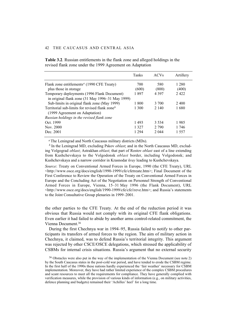|                                                               | Tanks   | <b>ACVs</b> | Artillery |
|---------------------------------------------------------------|---------|-------------|-----------|
| Flank zone entitlements <sup><i>a</i></sup> (1990 CFE Treaty) | 700     | 580         | 1 2 8 0   |
| plus those in storage                                         | (600)   | (800)       | (400)     |
| Temporary deployments (1996 Flank Document)                   | 1897    | 4 3 9 7     | 2422      |
| in original flank zone $(31$ May 1996–31 May 1999)            |         |             |           |
| Sub-limits in original flank zone (May 1999)                  | 1 800   | 3 700       | 2400      |
| Territorial sub-limits for revised flank zone <sup>b</sup>    | 1 300   | 2.140       | 1680      |
| (1999 Agreement on Adaptation)                                |         |             |           |
| Russian holdings in the revised flank zone                    |         |             |           |
| Oct. 1999                                                     | 1493    | 3 5 3 4     | 1985      |
| Nov. 2000                                                     | 1 32.7  | 2.790       | 1 746     |
| Dec. 2001                                                     | 1 2 9 4 | 2.044       | 1 5 5 7   |

**Table 3.2**. Russian entitlements in the flank zone and alleged holdings in the revised flank zone under the 1999 Agreement on Adaptation

*<sup>a</sup>*The Leningrad and North Caucasus military districts (MDs).

*<sup>b</sup>* In the Leningrad MD, excluding Pskov *oblast*; and in the North Caucasus MD, excluding Volgograd *oblast*; Astrakhan *oblast*; that part of Rostov *oblast* east of a line extending from Kushchevskaya to the Volgodonsk *oblast* border, including Volgodonsk; and Kushchevskaya and a narrow corridor in Krasnodar *kray* leading to Kushchevskaya.

*Source*: Treaty on Conventional Armed Forces in Europe, 1990 (the CFE Treaty), URL <http://www.osce.org/docs/english/1990-1999/cfe/cfetreate.htm>; Final Document of the First Conference to Review the Operation of the Treaty on Conventional Armed Forces in Europe and the Concluding Act of the Negotiation on Personnel Strength of Conventional Armed Forces in Europe, Vienna, 15–31 May 1996 (the Flank Document), URL <http://www.osce.org/docs/english/1990-1999/cfe/cfe1reve.htm>; and Russia's statements to the Joint Consultative Group plenaries in 1999–2001.

the other parties to the CFE Treaty. At the end of the reduction period it was obvious that Russia would not comply with its original CFE flank obligations. Even earlier it had failed to abide by another arms control-related commitment, the Vienna Document.36

During the first Chechnya war in 1994–95, Russia failed to notify to other participants its transfers of armed forces to the region. The aim of military action in Chechnya, it claimed, was to defend Russia's territorial integrity. This argument was rejected by other CSCE/OSCE delegations, which stressed the applicability of CSBMs for internal crisis situations. Russia's argument that no external security

<sup>36</sup> Obstacles were also put in the way of the implementation of the Vienna Document (see note 2) by the South Caucasus states in the post-cold war period, and have tended to erode the CSBM regime. In the first half of the 1990s these nations hardly experienced the 'fair weather' necessary for CSBM implementation. Moreover, they have had rather limited experience of the complex CSBM procedures and scant resources to meet all the requirements for compliance. They have generally complied with verification measures, while the provision of various kinds of information (e.g., on military activities, defence planning and budgets) remained their 'Achilles' heel' for a long time.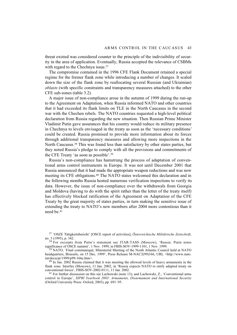threat existed was considered counter to the principle of the indivisibility of security in the area of application. Eventually, Russia accepted the relevance of CSBMs with regard to the Chechnya issue.<sup>37</sup>

The compromise contained in the 1996 CFE Flank Document retained a special regime for the former flank zone while introducing a number of changes. It scaled down the size of the flank zone by reallocating several Russian (and Ukrainian) *oblasts* (with specific constraints and transparency measures attached) to the other CFE sub-zones (table 3.2).

A major issue of non-compliance arose in the autumn of 1999 during the run-up to the Agreement on Adaptation, when Russia informed NATO and other countries that it had exceeded its flank limits on TLE in the North Caucasus in the second war with the Chechen rebels. The NATO countries requested a high-level political declaration from Russia regarding the new situation. Then Russian Prime Minister Vladimir Putin gave assurances that his country would reduce its military presence in Chechnya to levels envisaged in the treaty as soon as the 'necessary conditions' could be created. Russia promised to provide more information about its forces through additional transparency measures and allowing more inspections in the North Caucasus.38 This was found less than satisfactory by other states parties, but they noted Russia's pledge to comply with all the provisions and commitments of the CFE Treaty 'as soon as possible'.39

Russia's non-compliance has hamstrung the process of adaptation of conventional arms control instruments in Europe. It was not until December 2001 that Russia announced that it had made the appropriate weapon reductions and was now meeting its CFE obligations.40 The NATO states welcomed this declaration and in the following months Russia hosted numerous verification inspections to verify its data. However, the issue of non-compliance over the withdrawals from Georgia and Moldova (having to do with the spirit rather than the letter of the treaty itself) has effectively blocked ratification of the Agreement on Adaptation of the CFE Treaty by the great majority of states parties, in turn making the sensitive issue of extending the treaty to NATO's new members after 2004 more contentious than it need be <sup>41</sup>

37 'OSZE Tätigkeitsbericht' [OSCE report of activities], *Österreichische Militärische Zeitschrift*, no. 3 (1995), p. 342.

38 For excerpts from Putin's statement see ITAR-TASS (Moscow), 'Russia: Putin notes significance of OSCE summit', 1 Nov. 1999, in FBIS-SOV-1999-1101, 1 Nov. 1999.

<sup>39</sup> NATO, 'Final communiqué, Ministerial Meeting of the North Atlantic Council held at NATO headquarters, Brussels, on 15 Dec. 1999', Press Release M-NAC2(99)166, URL <http://www.nato. int/docu/pr/1999/p99-166e.htm>.

<sup>40</sup> In Jan. 2002 Russia claimed that it was meeting the allowed levels of heavy armaments in the flank zone. Interfax (Moscow), 11 Jan. 2002, in 'Russia expects NATO to ratify adapted treaty on conventional forces', FBIS-SOV-2002-0111, 11 Jan. 2002.

41 For further discussion on this see Lachowski (note 13); and Lachowski, Z., 'Conventional arms control in Europe', *SIPRI Yearbook 2003: Armaments, Disarmament and International Security* (Oxford University Press: Oxford, 2003), pp. 691–95.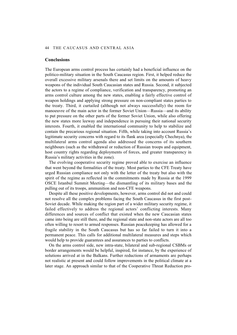## **Conclusions**

The European arms control process has certainly had a beneficial influence on the politico-military situation in the South Caucasus region. First, it helped reduce the overall excessive military arsenals there and set limits on the amounts of heavy weapons of the individual South Caucasian states and Russia. Second, it subjected the actors to a regime of compliance, verification and transparency, promoting an arms control culture among the new states, enabling a fairly effective control of weapon holdings and applying strong pressure on non-compliant states parties to the treaty. Third, it curtailed (although not always successfully) the room for manoeuvre of the main actor in the former Soviet Union—Russia—and its ability to put pressure on the other parts of the former Soviet Union, while also offering the new states more leeway and independence in pursuing their national security interests. Fourth, it enabled the international community to help to stabilize and contain the precarious regional situation. Fifth, while taking into account Russia's legitimate security concerns with regard to its flank area (especially Chechnya), the multilateral arms control agenda also addressed the concerns of its southern neighbours (such as the withdrawal or reduction of Russian troops and equipment, host country rights regarding deployments of forces, and greater transparency in Russia's military activities in the zone).

The evolving cooperative security regime proved able to exercise an influence that went beyond the formalities of the treaty. Most parties to the CFE Treaty have urged Russian compliance not only with the letter of the treaty but also with the spirit of the regime as reflected in the commitments made by Russia at the 1999 OSCE Istanbul Summit Meeting—the dismantling of its military bases and the pulling out of its troops, ammunition and non-CFE weapons.

Despite all these positive developments, however, arms control did not and could not resolve all the complex problems facing the South Caucasus in the first post-Soviet decade. While making the region part of a wider military security regime, it failed effectively to address the regional actors' conflicting interests. Many differences and sources of conflict that existed when the new Caucasian states came into being are still there, and the regional state and non-state actors are all too often willing to resort to armed responses. Russian peacekeeping has allowed for a fragile stability in the South Caucasus but has so far failed to turn it into a permanent peace. This calls for additional multilateral measures and steps which would help to provide guarantees and assurances to parties to conflicts.

On the arms control side, new intra-state, bilateral and sub-regional CSBMs or border arrangements would be helpful, inspired, for instance, by the experience of solutions arrived at in the Balkans. Further reductions of armaments are perhaps not realistic at present and could follow improvements in the political climate at a later stage. An approach similar to that of the Cooperative Threat Reduction pro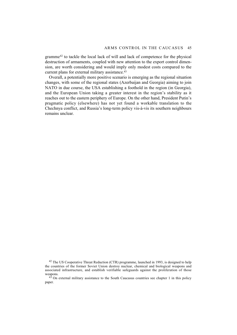gramme42 to tackle the local lack of will and lack of competence for the physical destruction of armaments, coupled with new attention to the export control dimension, are worth considering and would imply only modest costs compared to the current plans for external military assistance.<sup>43</sup>

Overall, a potentially more positive scenario is emerging as the regional situation changes, with some of the regional states (Azerbaijan and Georgia) aiming to join NATO in due course, the USA establishing a foothold in the region (in Georgia), and the European Union taking a greater interest in the region's stability as it reaches out to the eastern periphery of Europe. On the other hand, President Putin's pragmatic policy (elsewhere) has not yet found a workable translation to the Chechnya conflict, and Russia's long-term policy vis-à-vis its southern neighbours remains unclear.

<sup>42</sup> The US Cooperative Threat Reduction (CTR) programme, launched in 1993, is designed to help the countries of the former Soviet Union destroy nuclear, chemical and biological weapons and associated infrastructure, and establish verifiable safeguards against the proliferation of those weapons.

 $4<sup>3</sup>$  On external military assistance to the South Caucasus countries see chapter 1 in this policy paper.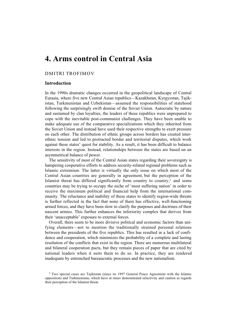# **4. Arms control in Central Asia**

# DMITRI TROFIMOV

# **Introduction**

In the 1990s dramatic changes occurred in the geopolitical landscape of Central Eurasia, where five new Central Asian republics—Kazakhstan, Kyrgyzstan, Tajikistan, Turkmenistan and Uzbekistan—assumed the responsibilities of statehood following the surprisingly swift demise of the Soviet Union. Autocratic by nature and sustained by clan loyalties, the leaders of these republics were unprepared to cope with the inevitable post-communist challenges. They have been unable to make adequate use of the comparative specializations which they inherited from the Soviet Union and instead have used their respective strengths to exert pressure on each other. The distribution of ethnic groups across borders has created interethnic tension and led to protracted border and territorial disputes, which work against these states' quest for stability. As a result, it has been difficult to balance interests in the region. Instead, relationships between the states are based on an asymmetrical balance of power.

The sensitivity of most of the Central Asian states regarding their sovereignty is hampering cooperative efforts to address security-related regional problems such as Islamic extremism. The latter is virtually the only issue on which most of the Central Asian countries are generally in agreement, but the perception of the Islamist threat has differed significantly from country to country, $<sup>1</sup>$  and some</sup> countries may be trying to occupy the niche of 'most suffering nation' in order to receive the maximum political and financial help from the international community. The reluctance and inability of these states to identify region-wide threats is further reflected in the fact that none of them has effective, well-functioning armed forces, and they have been slow to clarify the purposes and doctrines of their nascent armies. This further enhances the inferiority complex that derives from their 'unacceptable' exposure to external forces.

Overall, there seem to be more divisive political and economic factors than unifying elements—not to mention the traditionally strained personal relations between the presidents of the five republics. This has resulted in a lack of confidence and cooperation, which minimizes the probability of a complete and lasting resolution of the conflicts that exist in the region. There are numerous multilateral and bilateral cooperation pacts, but they remain pieces of paper that are cited by national leaders when it suits them to do so. In practice, they are rendered inadequate by entrenched bureaucratic processes and the new nationalism.

<sup>&</sup>lt;sup>1</sup> Two special cases are Tajikistan (since its 1997 General Peace Agreement with the Islamic opposition) and Turkmenistan, which have at times demonstrated selectivity and caution as regards their perception of the Islamist threat.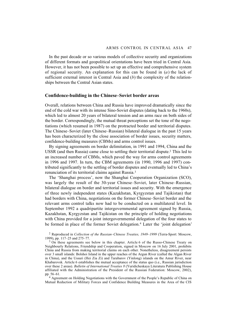In the past decade or so various models of collective security and organizations of different formats and geopolitical orientations have been tried in Central Asia. However, it has not been possible to set up an effective and comprehensive system of regional security. An explanation for this can be found in (*a*) the lack of sufficient external interest in Central Asia and (*b*) the complexity of the relationships between the Central Asian states.

## **Confidence-building in the Chinese–Soviet border areas**

Overall, relations between China and Russia have improved dramatically since the end of the cold war with its intense Sino-Soviet disputes (dating back to the 1960s), which led to almost 20 years of bilateral tension and an arms race on both sides of the border. Correspondingly, the mutual threat perceptions set the tone of the negotiations (which resumed in 1987) on the protracted border and territorial disputes. The Chinese–Soviet (later Chinese–Russian) bilateral dialogue in the past 15 years has been characterized by the close association of border issues, security matters, confidence-building measures (CBMs) and arms control issues.

By signing agreements on border delimitation, in 1991 and 1994, China and the USSR (and then Russia) came close to settling their territorial dispute.2 This led to an increased number of CBMs, which paved the way for arms control agreements in 1996 and 1997. In turn, the CBM agreements (in 1990, 1996 and 1997) contributed significantly to the settling of border disputes and eventually led to China's renunciation of its territorial claims against Russia.3

The 'Shanghai process', now the Shanghai Cooperation Organization (SCO), was largely the result of the 30-year Chinese–Soviet, later Chinese–Russian, bilateral dialogue on border and territorial issues and security. With the emergence of three newly independent states (Kazakhstan, Kyrgyzstan and Tajikistan) that had borders with China, negotiations on the former Chinese–Soviet border and the relevant arms control talks now had to be conducted on a multilateral level. In September 1992 a quadripartite intergovernmental agreement signed by Russia, Kazakhstan, Kyrgyzstan and Tajikistan on the principle of holding negotiations with China provided for a joint intergovernmental delegation of the four states to be formed in place of the former Soviet delegation.<sup>4</sup> Later the 'joint delegation'

2 Reproduced in *Collection of the Russian–Chinese Treaties, 1949–1999* (Terra-Sport: Moscow, 1999), pp. 117–25 and 275–77.

<sup>3</sup> On these agreements see below in this chapter. Article 6 of the Russo-Chinese Treaty on Neighbourly Relations, Friendship and Cooperation, signed in Moscow on 16 July 2001, prohibits China and Russia from making territorial claims on each other. Nonetheless, disagreement persists over 3 small islands: Bolshoi Island in the upper reaches of the Argun River (called the Algan River in China), and the Ussuri (Hei Zia Zi) and Tarabarov (Yinlong) islands on the Amur River, near Khabarovsk. Article 6 establishes the mutual acceptance of the status quo (i.e., Russian jurisdiction over these 2 areas). *Bulletin of International Treaties 8* (Yuridicheskaya Literatura Publishing House affiliated with the Administration of the President of the Russian Federation: Moscow, 2002), pp. 56–61.

4 Agreement on Holding Negotiations with the Government of the People's Republic of China on Mutual Reduction of Military Forces and Confidence Building Measures in the Area of the CIS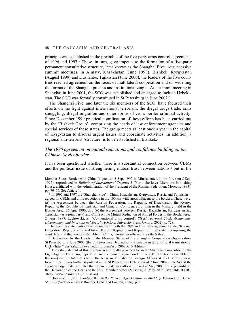principle was established in the preamble of the five-party arms control agreements of 1996 and 1997.<sup>5</sup> These, in turn, gave impetus to the formation of a five-party permanent consultative structure, later known as the Shanghai Five. At successive summit meetings, in Almaty, Kazakhstan (June 1998), Bishkek, Kyrgyzstan (August 1999) and Dushanbe, Tajikistan (June 2000), the leaders of the five countries reached agreement on the focus of multilateral cooperation and on widening the format of the Shanghai process and institutionalizing it. At a summit meeting in Shanghai in June 2001, the SCO was established and enlarged to include Uzbekistan. The SCO was formally constituted in St Petersburg in June 2002.6

The Shanghai Five, and later the six members of the SCO, have focused their efforts on the fight against international terrorism, the illegal drugs trade, arms smuggling, illegal migration and other forms of cross-border criminal activity. Since December 1999 practical coordination of these efforts has been carried out by the 'Bishkek Group', comprising the heads of law enforcement agencies and special services of these states. The group meets at least once a year in the capital of Kyrgyzstan to discuss urgent issues and coordinate activities. In addition, a regional anti-terrorist 'structure' is to be established in Bishkek.7

# *The 1990 agreement on mutual reductions and confidence building on the Chinese–Soviet border*

It has been questioned whether there is a substantial connection between CBMs and the political issue of strengthening mutual trust between nations,<sup>8</sup> but in the

Member-States Border with China (signed on 8 Sep. 1992 in Minsk; entered into force on 8 Sep. 1992), reproduced in *Bulletin of International Treaties 5* (Yuridicheskaya Literatura Publishing House, affiliated with the Administration of the President of the Russian Federation: Moscow, 1993), pp. 70–77. See Article 1.

 $5$  In 1996 and 1997 the 'Shanghai Five'—China, Kazakhstan, Kyrgyzstan, Russia and Tajikistan agreed on CBMs and arms reductions in the 100 km-wide areas adjacent to the borders. These were: (*a*) the Agreement between the Russian Federation, the Republic of Kazakhstan, the Kyrgyz Republic, the Republic of Tajikistan and China on Confidence Building in the Military Field in the Border Area, 26 Apr. 1996; and (*b*) the Agreement between Russia, Kazakhstan, Kyrgyzstan and Tajikistan (as a joint party) and China on the Mutual Reduction of Armed Forces in the Border Area, 24 Apr. 1997. Lachowski, Z., 'Conventional arms control', *SIPRI Yearbook 2002: Armaments, Disarmament and International Security* (Oxford University Press: Oxford, 2002), p. 728.

The opening statements of the preambles of both the 1996 and the 1997 agreement state: 'Russian Federation, Republic of Kazakhstan, Kyrgyz Republic and Republic of Tajikistan, composing the Joint Side, and the People's Republic of China, hereinafter referred to as the Sides'.

6 Declaration by the Heads of the Member States of the Shanghai Cooperation Organization, St Petersburg, 7 June 2002 (the St Petersburg Declaration), available in an unofficial translation at URL <http://russia.shaps.hawaii.edu/fp/russia/sco\_20020610\_4.html>.

 $<sup>7</sup>$  The establishment of this structure was initially provided for in the Shanghai Convention on the</sup> Fight Against Terrorism, Separatism and Extremism, signed on 15 June 2001. The text is available (in Russian) on the Internet site of the Russian Ministry of Foreign Affairs at URL <http://www. In.mid.ru/>. It was further stipulated in the St Petersburg Declaration of 7 June 2002 (note 6) and the eventual target date (not later than 1 Jan. 2004) was officially fixed in May 2003 in the preamble of the Declaration of the Heads of the SCO Member States (Moscow, 29 May 2003), available at URL <http://www.In.mid.ru> (in Russian).

8 Borawski, J. (ed.), *Avoiding War in the Nuclear Age: Confidence-Building Measures for Crisis Stability* (Westview Press: Boulder, Colo. and London, 1986), p. 9.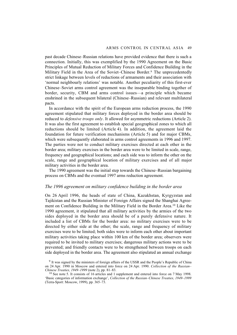past decade Chinese–Russian relations have provided evidence that there is such a connection. Initially, this was exemplified by the 1990 Agreement on the Basic Principles of Mutual Reduction of Military Forces and Confidence Building in the Military Field in the Area of the Soviet–Chinese Border.<sup>9</sup> The unprecedentedly strict linkage between levels of reductions of armaments and their association with 'normal neighbourly relations' was notable. Another peculiarity of this first-ever Chinese–Soviet arms control agreement was the inseparable binding together of border, security, CBM and arms control issues—a principle which became enshrined in the subsequent bilateral (Chinese–Russian) and relevant multilateral pacts.

In accordance with the spirit of the European arms reduction process, the 1990 agreement stipulated that military forces deployed in the border area should be reduced to *defensive troops only*. It allowed for asymmetric reductions (Article 2). It was also the first agreement to establish special geographical zones to which all reductions should be limited (Article 4). In addition, the agreement laid the foundation for future verification mechanisms (Article 5) and for major CBMs, which were subsequently elaborated in arms control agreements in 1996 and 1997. The parties were not to conduct military exercises directed at each other in the border area; military exercises in the border area were to be limited in scale, range, frequency and geographical locations; and each side was to inform the other on the scale, range and geographical location of military exercises and of all major military activities in the border area.

The 1990 agreement was the initial step towards the Chinese–Russian bargaining process on CBMs and the eventual 1997 arms reduction agreement.

## *The 1996 agreement on military confidence building in the border area*

On 26 April 1996, the heads of state of China, Kazakhstan, Kyrgyzstan and Tajikistan and the Russian Minister of Foreign Affairs signed the Shanghai Agreement on Confidence Building in the Military Field in the Border Area.10 Like the 1990 agreement, it stipulated that all military activities by the armies of the two sides deployed in the border area should be of a purely defensive nature. It included a list of CBMs for the border area: no military exercises were to be directed by either side at the other; the scale, range and frequency of military exercises were to be limited; both sides were to inform each other about important military activities taking place within 100 km of the border area; observers were required to be invited to military exercises; dangerous military actions were to be prevented; and friendly contacts were to be strengthened between troops on each side deployed in the border area. The agreement also stipulated an annual exchange

<sup>9</sup> It was signed by the ministers of foreign affairs of the USSR and the People's Republic of China on 24 Apr. 1990 in Moscow and entered into force on 24 Apr. 1990. *Collection of the Russian– Chinese Treaties, 1949–1999* (note 2), pp. 81–83.

<sup>&</sup>lt;sup>10</sup> See note 5. It consists of 16 articles and 1 supplement and entered into force on 7 May 1998. 'Basic categories of information exchange', *Collection of the Russian–Chinese Treaties, 1949–1999* (Terra-Sport: Moscow, 1999), pp. 365–73.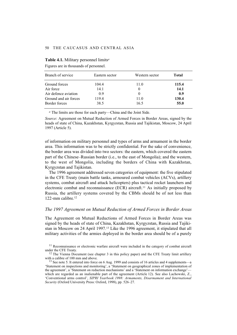| Eastern sector | Western sector | <b>Total</b> |
|----------------|----------------|--------------|
| 104.4          | 11.0           | 115.4        |
| 14.1           | $\Omega$       | 14.1         |
| 0.9            | $\Omega$       | 0.9          |
| 119.4          | 11.0           | 130.4        |
| 38.5           | 16.5           | 55.0         |
|                |                |              |

**Table 4.1.** Military personnel limits*<sup>a</sup>*

Figures are in thousands of personnel.

*<sup>a</sup>* The limits are those for each party—China and the Joint Side.

*Source*: Agreement on Mutual Reduction of Armed Forces in Border Areas, signed by the heads of state of China, Kazakhstan, Kyrgyzstan, Russia and Tajikistan, Moscow, 24 April 1997 (Article 5).

of information on military personnel and types of arms and armament in the border area. This information was to be strictly confidential. For the sake of convenience, the border area was divided into two sectors: the eastern, which covered the eastern part of the Chinese–Russian border (i.e., to the east of Mongolia); and the western, to the west of Mongolia, including the borders of China with Kazakhstan, Kyrgyzstan and Tajikistan.

The 1996 agreement addressed seven categories of equipment: the five stipulated in the CFE Treaty (main battle tanks, armoured combat vehicles (ACVs), artillery systems, combat aircraft and attack helicopters) plus tactical rocket launchers and electronic combat and reconnaissance (ECR) aircraft.11 As initially proposed by Russia, the artillery systems covered by the CBMs should be of not less than 122-mm calibre.12

# *The 1997 Agreement on Mutual Reduction of Armed Forces in Border Areas*

The Agreement on Mutual Reductions of Armed Forces in Border Areas was signed by the heads of state of China, Kazakhstan, Kyrgyzstan, Russia and Tajikistan in Moscow on 24 April 1997.13 Like the 1996 agreement, it stipulated that all military activities of the armies deployed in the border area should be of a purely

<sup>11</sup> Reconnaissance or electronic warfare aircraft were included in the category of combat aircraft under the CFE Treaty.

 $12$  The Vienna Document (see chapter 3 in this policy paper) and the CFE Treaty limit artillery with a calibre of 100 mm and above.

13 See note 5. It entered into force on 6 Aug. 1999 and consists of 16 articles and 4 supplements—a 'Statement on inspections and monitoring', a 'Statement on geographical zones of implementation of the agreement', a 'Statement on reduction mechanisms' and a 'Statement on information exchange' which are regarded as an inalienable part of the agreement (Article 12). See also Lachowski, Z., 'Conventional arms control', *SIPRI Yearbook 1998: Armaments, Disarmament and International Security* (Oxford University Press: Oxford, 1998), pp. 526–27.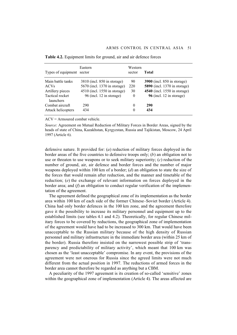| Types of equipment sector    | Eastern                      | Western<br>sector | Total                               |
|------------------------------|------------------------------|-------------------|-------------------------------------|
| Main battle tanks            | 3810 (incl. 850 in storage)  | 90                | <b>3900</b> (incl. 850 in storage)  |
| <b>ACVs</b>                  | 5670 (incl. 1370 in storage) | 220               | <b>5890</b> (incl. 1370 in storage) |
| Artillery pieces             | 4510 (incl. 1550 in storage) | 30                | 4540 (incl. 1550 in storage)        |
| Tactical rocket<br>launchers | 96 (incl. 12 in storage)     | $\theta$          | 96 (incl. $12$ in storage)          |
| Combat aircraft              | 290                          | 0                 | 290                                 |
| Attack helicopters           | 434                          | $\Omega$          | 434                                 |

**Table 4.2.** Equipment limits for ground, air and air defence forces

ACV = Armoured combat vehicle.

*Source*: Agreement on Mutual Reduction of Military Forces in Border Areas, signed by the heads of state of China, Kazakhstan, Kyrgyzstan, Russia and Tajikistan, Moscow, 24 April 1997 (Article 6).

defensive nature. It provided for: (*a*) reduction of military forces deployed in the border areas of the five countries to defensive troops only; (*b*) an obligation not to use or threaten to use weapons or to seek military superiority; (*c*) reduction of the number of ground, air, air defence and border forces and the number of major weapons deployed within 100 km of a border; (*d*) an obligation to state the size of the forces that would remain after reduction, and the manner and timetable of the reduction; (*e*) the exchange of relevant information on forces deployed in the border area; and (*f*) an obligation to conduct regular verification of the implementation of the agreement.

The agreement defined the geographical zone of its implementation as the border area within 100 km of each side of the former Chinese–Soviet border (Article 4). China had only border defences in the 100 km zone, and the agreement therefore gave it the possibility to increase its military personnel and equipment up to the established limits (see tables 4.1 and 4.2). Theoretically, for regular Chinese military forces to be covered by reductions, the geographical zone of implementation of the agreement would have had to be increased to 300 km. That would have been unacceptable to the Russian military because of the high density of Russian personnel and military infrastructure in the immediate border area (within 25 km of the border). Russia therefore insisted on the narrowest possible strip of 'transparency and predictability of military activity', which meant that 100 km was chosen as the 'least unacceptable' compromise. In any event, the provisions of the agreement were not onerous for Russia since the agreed limits were not much different from the actual position in 1997. The reductions of armed forces in the border area cannot therefore be regarded as anything but a CBM.

A peculiarity of the 1997 agreement is its creation of so-called 'sensitive' zones within the geographical zone of implementation (Article 4). The areas affected are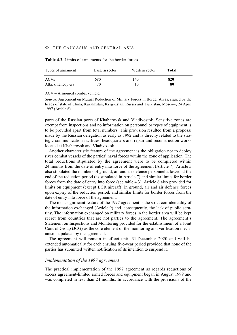| Types of armament  | Eastern sector | Western sector | Total |
|--------------------|----------------|----------------|-------|
| <b>ACVs</b>        | 680            | 140            | 820   |
| Attack helicopters | 70             |                | 80    |

| <b>Table 4.3.</b> Limits of armaments for the border forces |
|-------------------------------------------------------------|
|-------------------------------------------------------------|

ACV = Armoured combat vehicle.

*Source*: Agreement on Mutual Reduction of Military Forces in Border Areas, signed by the heads of state of China, Kazakhstan, Kyrgyzstan, Russia and Tajikistan, Moscow, 24 April 1997 (Article 6).

parts of the Russian ports of Khabarovsk and Vladivostok. Sensitive zones are exempt from inspections and no information on personnel or types of equipment is to be provided apart from total numbers. This provision resulted from a proposal made by the Russian delegation as early as 1992 and is directly related to the strategic communication facilities, headquarters and repair and reconstruction works located at Khabarovsk and Vladivostok.

Another characteristic feature of the agreement is the obligation not to deploy river combat vessels of the parties' naval forces within the zone of application. The total reductions stipulated by the agreement were to be completed within 24 months from the date of entry into force of the agreement (Article 7). Article 5 also stipulated the numbers of ground, air and air defence personnel allowed at the end of the reduction period (as stipulated in Article 7) and similar limits for border forces from the date of entry into force (see table 4.3). Article 6 also provided for limits on equipment (except ECR aircraft) in ground, air and air defence forces upon expiry of the reduction period, and similar limits for border forces from the date of entry into force of the agreement.

The most significant feature of the 1997 agreement is the strict confidentiality of the information exchanged (Article 9) and, consequently, the lack of public scrutiny. The information exchanged on military forces in the border area will be kept secret from countries that are not parties to the agreement. The agreement's Statement on Inspections and Monitoring provided for the establishment of a Joint Control Group (JCG) as the core element of the monitoring and verification mechanism stipulated by the agreement.

The agreement will remain in effect until 31 December 2020 and will be extended automatically for each ensuing five-year period provided that none of the parties has submitted written notification of its intention to suspend it.

# *Implementation of the 1997 agreement*

The practical implementation of the 1997 agreement as regards reductions of excess agreement-limited armed forces and equipment began in August 1999 and was completed in less than 24 months. In accordance with the provisions of the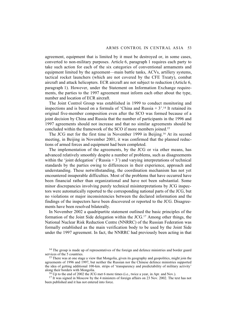agreement, equipment that is limited by it must be destroyed or, in some cases, converted to non-military purposes. Article 6, paragraph 1 requires each party to take such action for each of the six categories of conventional armaments and equipment limited by the agreement—main battle tanks, ACVs, artillery systems, tactical rocket launchers (which are not covered by the CFE Treaty), combat aircraft and attack helicopters. ECR aircraft are not subject to reduction (Article 6, paragraph 1). However, under the Statement on Information Exchange requirements, the parties to the 1997 agreement must inform each other about the type, number and location of ECR aircraft.

The Joint Control Group was established in 1999 to conduct monitoring and inspections and is based on a formula of 'China and Russia  $+3$ '.<sup>14</sup> It retained its original five-member composition even after the SCO was formed because of a joint decision by China and Russia that the number of participants in the 1996 and 1997 agreements should not increase and that no similar agreements should be concluded within the framework of the SCO if more members joined.15

The JCG met for the first time in November 1999 in Beijing.16 At its second meeting, in Beijing in November 2001, it was confirmed that the planned reductions of armed forces and equipment had been completed.

The implementation of the agreements, by the JCG or via other means, has advanced relatively smoothly despite a number of problems, such as disagreements within the 'joint delegation' ('Russia  $+ 3$ ') and varying interpretations of technical standards by the parties owing to differences in their experience, approach and understanding. These notwithstanding, the coordination mechanism has not yet encountered insuperable difficulties. Most of the problems that have occurred have been financial rather than organizational and have not been substantial. Some minor discrepancies involving purely technical misinterpretations by JCG inspectors were automatically reported to the corresponding national parts of the JCG, but no violations or major inconsistencies between the declared information and the findings of the inspectors have been discovered or reported to the JCG. Disagreements have been resolved bilaterally.

In November 2002 a quadripartite statement outlined the basic principles of the formation of the Joint Side delegation within the JCG.17 Among other things, the National Nuclear Risk Reduction Centre (NNRRC) of the Russian Federation was formally established as the main verification body to be used by the Joint Side under the 1997 agreement. In fact, the NNRRC had previously been acting in that

<sup>&</sup>lt;sup>14</sup> The group is made up of representatives of the foreign and defence ministries and border guard services of the 5 countries.

<sup>&</sup>lt;sup>15</sup> There was at one stage a view that Mongolia, given its geography and geopolitics, might join the agreements of 1996 and 1997, but neither the Russian nor the Chinese defence ministries supported the idea of getting additional 100-km. strips of 'transparency and predictability of military activity' along their borders with Mongolia.

 $16$  Up to the end of 2002 the JCG met 6 more times (i.e., twice a year, in Apr. and Nov.).

<sup>&</sup>lt;sup>17</sup> It was signed in Moscow by the 4 ministers of foreign affairs on 23 Nov. 2002. The text has not been published and it has not entered into force.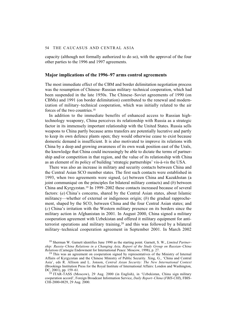capacity (although not formally authorized to do so), with the approval of the four other parties to the 1996 and 1997 agreements.

## **Major implications of the 1996–97 arms control agreements**

The most immediate effect of the CBM and border delimitation negotiation process was the resumption of Chinese–Russian military–technical cooperation, which had been suspended in the late 1950s. The Chinese–Soviet agreements of 1990 (on CBMs) and 1991 (on border delimitation) contributed to the renewal and modernization of military–technical cooperation, which was initially related to the air forces of the two countries.<sup>18</sup>

In addition to the immediate benefits of enhanced access to Russian hightechnology weaponry, China perceives its relationship with Russia as a strategic factor in its immensely important relationship with the United States. Russia sells weapons to China partly because arms transfers are potentially lucrative and partly to keep its own defence plants open; they would otherwise cease to exist because domestic demand is insufficient. It is also motivated to improve its relations with China by a deep and growing awareness of its own weak position east of the Urals, the knowledge that China could increasingly be able to dictate the terms of partnership and/or competition in that region, and the value of its relationship with China as an element of its policy of building 'strategic partnerships' vis-à-vis the USA.

There was also an increase in military and security contacts between China and the Central Asian SCO member states. The first such contacts were established in 1993, when two agreements were signed, (*a*) between China and Kazakhstan (a joint communiqué on the principles for bilateral military contacts) and (*b*) between China and Kyrgyzstan.19 In 1999–2002 these contacts increased because of several factors: (*a*) China's concerns, shared by the Central Asian states, about Islamic militancy—whether of external or indigenous origin; (*b*) the gradual rapprochement, shaped by the SCO, between China and the four Central Asian states; and (*c*) China's irritation with the Western military presence on its borders since the military action in Afghanistan in 2001. In August 2000, China signed a military cooperation agreement with Uzbekistan and offered it military equipment for antiterrorist operations and military training,20 and this was followed by a bilateral military–technical cooperation agreement in September 2001. In March 2002

18 Sherman W. Garnett identifies June 1990 as the starting point. Garnett, S. W., *Limited Partnership: Russia–China Relations in a Changing Asia, Report of the Study Group on Russian–China Relations* (Carnegie Endowment for International Peace: Moscow, 1998), p. 27.

<sup>19</sup> This was an agreement on cooperation signed by representatives of the Ministry of Internal Affairs of Kyrgyzstan and the Chinese Ministry of Public Security. Xing, G., 'China and Central Asia', eds R. Allison and L. Jonson, *Central Asian Security: The New International Context* (Brookings Institution Press for the Royal Institute of International Affairs: London and Washington, DC, 2001), pp. 159–61.

 $^{20}$  ITAR-TASS (Moscow), 29 Aug. 2000 (in English), in 'Uzbekistan, China sign military cooperation accord', Foreign Broadcast Information Service, *Daily Report–China* (*FBIS-CHI*), FBIS-CHI-2000-0829, 29 Aug. 2000.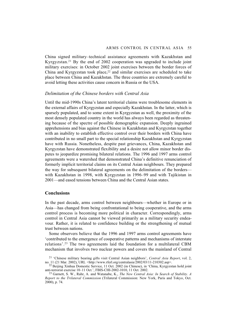China signed military–technical assistance agreements with Kazakhstan and Kyrgyzstan.21 By the end of 2002 cooperation was upgraded to include joint military exercises: in October 2002 joint exercises between the border forces of China and Kyrgyzstan took place, $22$  and similar exercises are scheduled to take place between China and Kazakhstan. The three countries are extremely careful to avoid letting these activities cause concern in Russia or the USA.

## *Delimitation of the Chinese borders with Central Asia*

Until the mid-1990s China's latent territorial claims were troublesome elements in the external affairs of Kyrgyzstan and especially Kazakhstan. In the latter, which is sparsely populated, and to some extent in Kyrgyzstan as well, the proximity of the most densely populated country in the world has always been regarded as threatening because of the spectre of possible demographic expansion. Deeply ingrained apprehensions and bias against the Chinese in Kazakhstan and Kyrgyzstan together with an inability to establish effective control over their borders with China have contributed in no small part to the special relationship Kazakhstan and Kyrgyzstan have with Russia. Nonetheless, despite past grievances, China, Kazakhstan and Kyrgyzstan have demonstrated flexibility and a desire not allow minor border disputes to jeopardize promising bilateral relations. The 1996 and 1997 arms control agreements were a watershed that demonstrated China's definitive renunciation of formerly implicit territorial claims on its Central Asian neighbours. They prepared the way for subsequent bilateral agreements on the delimitation of the borders with Kazakhstan in 1998, with Kyrgyzstan in 1996–99 and with Tajikistan in 2001—and eased tensions between China and the Central Asian states.

# **Conclusions**

In the past decade, arms control between neighbours—whether in Europe or in Asia—has changed from being confrontational to being cooperative, and the arms control process is becoming more political in character. Correspondingly, arms control in Central Asia cannot be viewed primarily as a military security endeavour. Rather, it is related to confidence building or the strengthening of mutual trust between nations.

Some observers believe that the 1996 and 1997 arms control agreements have 'contributed to the emergence of cooperative patterns and mechanisms of interstate relations'.23 The two agreements laid the foundation for a multilateral CBM mechanism that involves two nuclear powers and covers the mainland of Central

<sup>21 &#</sup>x27;Chinese military bearing gifts visit Central Asian neighbors', *Central Asia Report*, vol. 2, no. 11 (21 Mar. 2002), URL <http://www.rferl.org/centralasia/2002/03/11-210302.asp>.

<sup>&</sup>lt;sup>22</sup> Beijing Xinhua Domestic Service, 11 Oct. 2002 (in Chinese), in 'China, Kyrgyzstan hold joint anti-terrorist exercise 10–11 Oct.', FBIS-CHI-2002-1010, 11 Oct. 2002.

<sup>23</sup> Garnett, S. W., Rahr, A. and Watanabe, K., *The New Central Asia: In Search of Stability. A Report to the Trilateral Commission* (Trilateral Commission: New York, Paris and Tokyo, Oct. 2000), p. 74.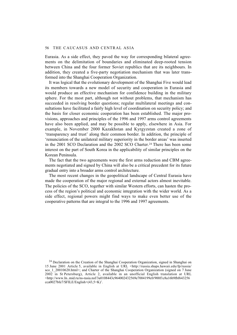Eurasia. As a side effect, they paved the way for corresponding bilateral agreements on the delimitation of boundaries and eliminated deep-rooted tension between China and the four former Soviet republics that are its neighbours. In addition, they created a five-party negotiation mechanism that was later transformed into the Shanghai Cooperation Organization.

It was logical that the evolutionary development of the Shanghai Five would lead its members towards a new model of security and cooperation in Eurasia and would produce an effective mechanism for confidence building in the military sphere. For the most part, although not without problems, that mechanism has succeeded in resolving border questions; regular multilateral meetings and consultations have facilitated a fairly high level of coordination on security policy; and the basis for closer economic cooperation has been established. The major provisions, approaches and principles of the 1996 and 1997 arms control agreements have also been applied, and may be possible to apply, elsewhere in Asia. For example, in November 2000 Kazakhstan and Kyrgyzstan created a zone of 'transparency and trust' along their common border. In addition, the principle of 'renunciation of the unilateral military superiority in the border areas' was inserted in the 2001 SCO Declaration and the 2002 SCO Charter.24 There has been some interest on the part of South Korea in the applicability of similar principles on the Korean Peninsula.

The fact that the two agreements were the first arms reduction and CBM agreements negotiated and signed by China will also be a critical precedent for its future gradual entry into a broader arms control architecture.

The most recent changes in the geopolitical landscape of Central Eurasia have made the cooperation of the major regional and external actors almost inevitable. The policies of the SCO, together with similar Western efforts, can hasten the process of the region's political and economic integration with the wider world. As a side effect, regional powers might find ways to make even better use of the cooperative patterns that are integral to the 1996 and 1997 agreements.

<sup>24</sup> Declaration on the Creation of the Shanghai Cooperation Organization, signed in Shanghai on 15 June 2001 Article 5, available in English at URL <http://russia.shaps.hawaii.edu/fp/russia/ sco 1 20010620.html>; and Charter of the Shanghai Cooperation Organization (signed on 7 June 2002 in St Petersburg), Article 2, available in an unofficial English translation at URL <http://www.In..mid.ru/ns-rasia.nsf/3a0108443c964002432569e7004199c0/900f1c8a16b9fbf643256 cca0027bfe7/\$FILE/English+(43,5+K)'.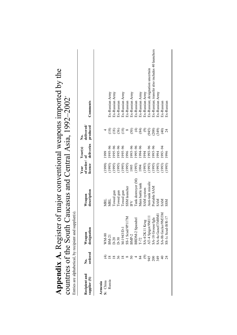|                                      |                          | countries of the South Caucasus and Central Asia, $1992-2002$<br>Entries are alphabetical, by recipient and supplier(s). |                       |                                |                       |                              | <b>Appendix A.</b> Register of major conventional weapons imported by the |
|--------------------------------------|--------------------------|--------------------------------------------------------------------------------------------------------------------------|-----------------------|--------------------------------|-----------------------|------------------------------|---------------------------------------------------------------------------|
| <b>Recipient and</b><br>supplier (S) | ordered<br>ż.            | designation<br>Weapon                                                                                                    | description<br>Weapon | of order/of<br>licence<br>Year | deliveries<br>Year(s) | delivered/<br>produced<br>ż. | Comments                                                                  |
| Armenia                              |                          |                                                                                                                          |                       |                                |                       |                              |                                                                           |
| S: China                             |                          | WM-80                                                                                                                    | MRL                   | (1999)                         | 1999                  |                              |                                                                           |
| Russia                               | $\overline{8}$           | BM-21                                                                                                                    | MRL                   | (1995)                         | 1995-96               | $\left(\frac{8}{18}\right)$  | Ex-Russian Army                                                           |
|                                      |                          |                                                                                                                          | Towed gun             | (1995)                         | 995-96                | $\left(\frac{8}{2}\right)$   | Ex-Russian Army                                                           |
|                                      | 36                       | $D-30$                                                                                                                   | Towed gun             | (1995)                         | 995-96                | $\widehat{\mathcal{C}}$      | Ex-Russian                                                                |
|                                      |                          | M-1943/D-1                                                                                                               | Towed gun             | (1995)                         | 995-96                | (18)                         | Ex-Russian Army                                                           |
|                                      |                          | SS-1 Scud/9P117M                                                                                                         | SSM launcher          | (1995)                         | 1996                  | $\infty$                     | Ex-Russian                                                                |
|                                      | $\mathcal{S}^{\bullet}$  | $BMP-2$                                                                                                                  | FV                    | 1995                           | $96 - 56$             | (50)                         | Ex-Russian Army                                                           |
|                                      |                          | BRDM-2 Spandrel                                                                                                          | Tank destroyer (M)    | (1993)                         | $995 - 96$            | $\bigoplus$                  | Ex-Russian                                                                |
|                                      | 84                       | $T-72$                                                                                                                   | Main battle tank      | 1994                           | 1994-96               | (84)                         | Ex-Russian Army                                                           |
|                                      | $\widehat{\mathfrak{G}}$ | SA-4/2K11 Krug                                                                                                           | SAM system            | (1993)                         | 1994                  | $\odot$                      | Ex-Russian Army                                                           |
|                                      | 945                      | AT-4 Spigot/9M111                                                                                                        | Anti-tank missile     | (1993)                         | 993-96                | (945)                        | Ex-Russian; designation uncertain                                         |
|                                      | 200                      | SA-18 Grouse/Igla                                                                                                        | Portable SAM          | (1995)                         | 1995-96               | (200)                        | Ex-Russian; transfer also includes 40 launchers                           |
|                                      | 349                      | SA-4a Ganef/3M8M1                                                                                                        | <b>NVS</b>            | (1993)                         | 1994                  | (349)                        | Ex-Russian Army                                                           |
|                                      | $rac{4}{3}$              | SA-8b Gecko/9M33M                                                                                                        | <b>NAS</b>            | (1993)                         | 993-94                | $\widehat{\Theta}$           | Ex-Russian                                                                |
|                                      |                          | SS-1c Scud-B/R-17                                                                                                        | <b>NSS</b>            | (1995)                         | 1996                  |                              | Ex-Russian                                                                |
|                                      |                          |                                                                                                                          |                       |                                |                       |                              |                                                                           |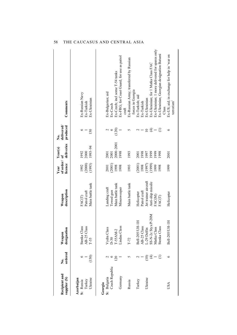| <b>Recipient and</b><br>supplier (S) | ordered<br>ż. | designation<br>Weapon | description<br>Weapon | of order/of<br>licence<br>Year | deliveries<br>Year(s) | delivered/<br>produced<br>ż. | Comments                                                  |
|--------------------------------------|---------------|-----------------------|-----------------------|--------------------------------|-----------------------|------------------------------|-----------------------------------------------------------|
| Azerbaijan                           | ७             | Stenka Class          | FAC(T)                | 1992                           | 1992                  | ७                            | Ex-Russian Navy                                           |
| S: Russia<br>Turkey                  |               | AB-25 Class           | Patrol craft          | (2000)                         | 2000                  |                              | Ex-Turkish                                                |
| Ukraine                              | (150)         | $T-55$                | Main battle tank      | (1993)                         | 1993-94               | 150                          | Ex-Ukrainian                                              |
| Georgia                              |               |                       |                       |                                |                       |                              |                                                           |
| S: Bulgaria                          |               | Vydra Class           | Landing craft         | 2001                           | 2001                  |                              | Ex-Bulgarian; aid                                         |
| Czech Republic                       | ٥             | $D-30$                | Towed gun             | (2001)                         | 2001                  | $\circ$                      | Ex-Czech                                                  |
|                                      | 120           | $-55AM-2$             | Main battle tank      | 1998                           | 2000-2001             | (120)                        | Ex-Czech; incl some T-54 tanks                            |
| Germany                              |               | Lindau Class          | Minesweeper           | 1998                           | 1998                  |                              | Ex-FRG; for Coast Guard; for use as patrol                |
|                                      |               |                       |                       |                                |                       |                              | craft                                                     |
| Russia                               | n             | $T-72$                | Main battle tank      | 1993                           | 1993                  | 5                            | Ex-Russian Army; transferred by Russian                   |
|                                      |               |                       |                       |                                |                       |                              | forces in Georgia                                         |
| Turkey                               |               | Bell-205/UH-1H        | Helicopter            | (2001)                         | 2001                  | $\mathrel{\sim}$             | Ex-Turkish; aid                                           |
|                                      |               | AB-25 Class           | Patrol craft          | 1998                           | 1998                  |                              | Ex-Turkish                                                |
| Ukraine                              | ЭÒ<br>С       | L-29 Delfin           | Jet trainer aircraft  |                                | 1997                  | $\subseteq$                  | Ex-Ukrainian                                              |
|                                      | E             | SS-N-2c StyxP-20M     | Anti-ship missile     | $(1997)$<br>$(1999)$           | 1999                  | E -                          | Ex-Ukrainian; for 1 Matka Class FAC                       |
|                                      |               | Matka Class           | FAC(M)                | 1999                           | 1999                  |                              | Ex-Ukrainian; 1 more delivered for spares only            |
|                                      | Ξ             | Stenka Class          | FAC(T)                | 1998                           | 1998                  | Ξ                            | Ex-Ukrainian; Georgian designation Batumi                 |
|                                      |               |                       |                       |                                |                       |                              | Class                                                     |
| <b>USA</b>                           | ৩             | Bell-205/UH-1H        | Helicopter            | 1999                           | 2001                  | $\circ$                      | Ex-US; aid; in exchange for help in 'war on<br>terrorism' |
|                                      |               |                       |                       |                                |                       |                              |                                                           |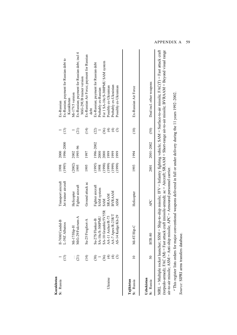| Kazakhstan |                   |                      |                      |        |           |                              |                                                                                                                                                                                                                                                                                                            |
|------------|-------------------|----------------------|----------------------|--------|-----------|------------------------------|------------------------------------------------------------------------------------------------------------------------------------------------------------------------------------------------------------------------------------------------------------------------------------------------------------|
| S: Russia  |                   | Il-76M/Candid-B      | Transport aircraft   | 1998   | 2000      |                              | Ex-Russian                                                                                                                                                                                                                                                                                                 |
|            | $\left(13\right)$ | L-39Z Albatros       | Jet trainer aircraft | (1995) | 1996-2000 | $(13)$                       | Ex-Russian; payment for Russian debt to<br>Kazakhstan                                                                                                                                                                                                                                                      |
|            |                   | Mi-17/Hip-H          | Helicopter           | (2002) | 2002      |                              | Mi-17V5 version                                                                                                                                                                                                                                                                                            |
|            | $\widehat{z}$     | MiG-29/Fulcrum-A     | Fighter aircraft     | 1995   | 1995-96   | (21)                         | Ex-Russian; payment for Russian debt; incl 4                                                                                                                                                                                                                                                               |
|            |                   |                      |                      |        |           |                              | MiG-29UB trainer version                                                                                                                                                                                                                                                                                   |
|            | $\widehat{\pm}$   | ot-A<br>Su-25/Frogfc | Ground attack ac     | 1995   | 1997      | $\left(\frac{4}{1}\right)$   | Ex-Russian Air Force; payment for Russian                                                                                                                                                                                                                                                                  |
|            |                   |                      |                      |        |           |                              | debt                                                                                                                                                                                                                                                                                                       |
|            | (38)              | Su-27S/Flanker-B     | Fighter aircraft     | (1995) | 1996-2002 | (22)                         | Ex-Russian; payment for Russian debt                                                                                                                                                                                                                                                                       |
|            |                   | SA-10c/S-300PMU      | SAM system           | 1998   | 2000      |                              | Probably ex-Russian                                                                                                                                                                                                                                                                                        |
|            | $\mathfrak{S}$    | SA-10 Grumble/SV55R  | <b>SAM</b>           | (1998) | 2000      | ලි                           | For 1 SA-10c/S-300PMU SAM system                                                                                                                                                                                                                                                                           |
| Ukraine    | E                 | AA-11 Archer/R-73    | <b>SRAAM</b>         | (1999) | 1999      | $\widehat{\mathfrak{t}}$     | Possibly ex-Ukrainian                                                                                                                                                                                                                                                                                      |
|            | E                 | AA-7 Apex/R-23R/T    | <b>BVRAAM</b>        | (1999) | 1999      | $\widehat{\mathfrak{t}}$     | Probably ex-Ukrainian                                                                                                                                                                                                                                                                                      |
|            |                   | AS-14 Kedge/Kh-29    | <b>ASM</b>           | (1999) | 1999      | ල                            | Possibly ex-Ukrainian                                                                                                                                                                                                                                                                                      |
|            |                   |                      |                      |        |           |                              |                                                                                                                                                                                                                                                                                                            |
| Tajikistan |                   |                      |                      |        |           |                              |                                                                                                                                                                                                                                                                                                            |
| S: Russia  |                   | Mi-8T/Hip-C          | Helicopter           | 1993   | 1994      | $\left( \frac{1}{2} \right)$ | Ex-Russian Air Force                                                                                                                                                                                                                                                                                       |
|            |                   |                      |                      |        |           |                              |                                                                                                                                                                                                                                                                                                            |
| Uzbekistan |                   |                      |                      |        |           |                              |                                                                                                                                                                                                                                                                                                            |
| S: Russia  | $\overline{50}$   | <b>BTR-80</b>        | <b>APC</b>           | 2001   | 2001-2002 | (50)                         | Deal incl. other weapons                                                                                                                                                                                                                                                                                   |
|            |                   |                      |                      |        |           |                              | (torpedo-armed); FAC (M) = Fast attack craft (missile-armed); ac = Aircraft; SRAAM = Short-range air-to-air missile; BVRAAM = Beyond visual range<br>MRL = Multiple rocket launcher; SSM = Ship-to-ship missile; IFV = Infantry fighting vehicle; SAM = Surface-to-air missile; FAC(T) = Fast attack craft |

 $\mathfrak{a}$ air-to-air missile;  $ASM = Anti$ -ship missile;  $APC = Arm$ oured personal carrier.air-to-air missile;  $ASM = Anti$ -ship missile;  $APC = Armoured$  personnel carrier.

"This register lists orders for major conventional weapons delivered in full or under delivery during the 11 years 1992-2002. *a* This register lists orders for major conventional weapons delivered in full or under delivery during the 11 years 1992–2002. Source: SIPRI arms transfers database. *Source*: SIPRI arms transfers database.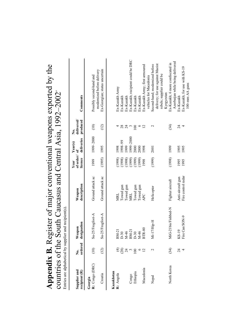|                               |                           | countries of the South Caucasus and Central Asia, 1992–2002<br>Entries are alphabetical by supplier and recipient(s) |                       |                              |                            |                                  |                                                               |
|-------------------------------|---------------------------|----------------------------------------------------------------------------------------------------------------------|-----------------------|------------------------------|----------------------------|----------------------------------|---------------------------------------------------------------|
| Supplier and<br>recipient (R) | ordered<br>,<br>Ž         | designation<br>Weapon                                                                                                | description<br>Weapon | of order/<br>licence<br>Year | deliveries<br>Year(s)<br>ð | delivered/<br>produced<br>ف<br>Z | Comments                                                      |
| R: Congo (DRC)<br>Georgia     | (10)                      | Su-25/Frogfoot-A                                                                                                     | Ground attack ac      | 1999                         | 1999-2000                  | (10)                             | modernized before delivery<br>Possibly second-hand and        |
| Croatia                       | (12)                      | Su-25/Frogfoot-A                                                                                                     | Ground attack ac      | (1995)                       | 1995                       | (12)                             | Ex-Georgian; status uncertain                                 |
| Kazakhstan<br>R: Angola       | $\widehat{\mathbf{\tau}}$ |                                                                                                                      | MRL                   | (1998)                       | 1998                       |                                  | Ex-Kazakh Army                                                |
|                               |                           | BM-21<br>D-30<br>M-46<br>BM-21<br>D-30<br>M-46<br>M-46<br>BTR-80                                                     | Towed gun             | (1998)                       | 66-866                     |                                  | Ex-Kazakh                                                     |
|                               | $\frac{8}{2}$ 4           |                                                                                                                      | Towed gun             | (1998)                       | 1999                       | $28$<br>24                       | Ex-Kazakh                                                     |
| Congo                         |                           |                                                                                                                      | MRL                   | (1999)                       | 0007-666                   | $\mathfrak{c}$                   | Ex-Kazakh; recipient could be DRC                             |
| Ethiopia                      | 100                       |                                                                                                                      | Towed gun             | (1999)                       | 2000                       | 100                              | Ex-Kazakh                                                     |
|                               | ∘                         |                                                                                                                      | Towed gun             | (1999)                       | 2000                       | ७                                | Ex-Kazakh                                                     |
| Macedonia                     |                           | $R-80$                                                                                                               | APC                   | 1998                         | 1998                       | $\overline{2}$                   | Ex-Kazakh Army; first armoured                                |
|                               |                           |                                                                                                                      |                       |                              |                            |                                  | vehicles for Macedonia                                        |
| Nepal                         | $\mathcal{C}$             | Mi-17/Hip-H                                                                                                          | Helicopter            | (1999)                       | 2001                       | $\scriptstyle\sim$               | Second-hand; modernized before                                |
|                               |                           |                                                                                                                      |                       |                              |                            |                                  | delivery; for use against Maoist<br>rebels; supplier could be |
|                               |                           |                                                                                                                      |                       |                              |                            |                                  | Kyrgyzstan                                                    |
| North Korea                   | (34)                      | MiG-21bis/Fishbed-N                                                                                                  | Fighter aircraft      | (1998)                       | 1999                       | (34)                             | Ex-Kazakh; 6 more confiscated in                              |
|                               |                           |                                                                                                                      |                       |                              |                            |                                  | Azerbaijan while being delivered                              |
|                               | $\mathcal{Z}$             | KS-19                                                                                                                | Anti-aircraft gun     | 1995                         | 1995                       | $\overline{24}$                  | Ex-Kazakh                                                     |
|                               |                           | Fire Can/SON-9                                                                                                       | Fire control radar    | 1995                         | 1995                       | 4                                | Ex-Kazakh; for use with KS-19                                 |
|                               |                           |                                                                                                                      |                       |                              |                            |                                  | 100-mm AA guns                                                |

**Appendix B.** Register of major conventional weapons exported by the **Appendix B.** Register of major conventional weapons exported by the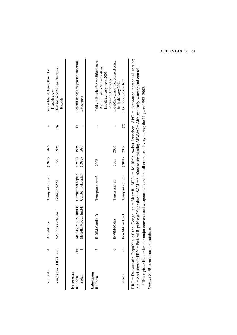| Sri Lanka              |         | An-24/Coke              | Transport aircraft | $(1995)$ 1996 |      |                    | Second-hand; lease; flown by                                                                                                                                                                                                                                    |
|------------------------|---------|-------------------------|--------------------|---------------|------|--------------------|-----------------------------------------------------------------------------------------------------------------------------------------------------------------------------------------------------------------------------------------------------------------|
| Yugoslavia (FRY) 226   |         | SA-16 Gimlet/Igla-1     | Portable SAM       | 1995          | 1995 | 226                | Deal incl also 57 launchers; ex-<br>Kazakh crew<br>Kazakh                                                                                                                                                                                                       |
| Kyrgyzstan<br>R: India | (15)    | i-24V/Mi-35/Hind-E<br>Σ | Combat helicopter  | $(1994)$ 1995 |      |                    | Second-hand; designation uncertain                                                                                                                                                                                                                              |
| Sudan                  |         | i-24D/Mi-25/Hind-D<br>⋝ | Combat helicopter  | (1995)        | 1995 |                    | Ex-Kyrgyz                                                                                                                                                                                                                                                       |
| Uzbekistan<br>R: India |         | Il-76M/Candid-B         | Transport aircraft | 2002          |      |                    | Sold via Russia; for modification to<br>A-50EhI AEW&C aircraft in                                                                                                                                                                                               |
|                        |         | Il-78M/Midas            | Tanker aircraft    | 2001          | 2003 |                    | Il-78MK version; no. ordered could<br>Israel; delivery from 2005;<br>contract not yet signed                                                                                                                                                                    |
| Russia                 | $\odot$ | Il-76M/Candid-B         | Transport aircraft | (2001) 2002   |      | $\widehat{\infty}$ | No. ordered could be 7<br>be 4; delivery 2003                                                                                                                                                                                                                   |
|                        |         |                         |                    |               |      |                    | DRC = Democratic Republic of the Congo; ac = Aircraft; MRL = Multiple rocket launcher; APC = Armoured personnel carrier;<br>AA = Anti-aircraft: FRY = Federal Republic of Yugoslavia: SAM = Surface-to-air missile: AFW&C = Airborne early warning and control. |

AA = Anti-aircraft; FRY = Federal Republic of Yugoslavia; SAM = Surface-to-air missile; AEW&C = Airborne early warning and control.  $\frac{4}{10}$ <sup>a</sup> This register lists orders for major conventional weapons delivered in full or under delivery during the 11 years 1992-2002. *a* This register lists orders for major conventional weapons delivered in full or under delivery during the 11 years 1992–2002. י<br>ו  $\frac{5}{2}$  $\ddot{\phantom{0}}$ 

Source: SIPRI arms transfers database. *Source*: SIPRI arms transfers database.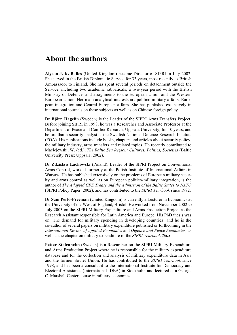# **About the authors**

**Alyson J. K. Bailes** (United Kingdom) became Director of SIPRI in July 2002. She served in the British Diplomatic Service for 33 years, most recently as British Ambassador to Finland. She has spent several periods on detachment outside the Service, including two academic sabbaticals, a two-year period with the British Ministry of Defence, and assignments to the European Union and the Western European Union. Her main analytical interests are politico-military affairs, European integration and Central European affairs. She has published extensively in international journals on these subjects as well as on Chinese foreign policy.

**Dr Björn Hagelin** (Sweden) is the Leader of the SIPRI Arms Transfers Project. Before joining SIPRI in 1998, he was a Researcher and Associate Professor at the Department of Peace and Conflict Research, Uppsala University, for 10 years, and before that a security analyst at the Swedish National Defence Research Institute (FOA). His publications include books, chapters and articles about security policy, the military industry, arms transfers and related topics. He recently contributed to Maciejewski, W. (ed.), *The Baltic Sea Region: Cultures, Politics, Societies* (Baltic University Press: Uppsala, 2002).

**Dr Zdzislaw Lachowski** (Poland), Leader of the SIPRI Project on Conventional Arms Control, worked formerly at the Polish Institute of International Affairs in Warsaw. He has published extensively on the problems of European military security and arms control as well as on European politico-military integration, is the author of *The Adapted CFE Treaty and the Admission of the Baltic States to NATO* (SIPRI Policy Paper, 2002), and has contributed to the *SIPRI Yearbook* since 1992.

**Dr Sam Perlo-Freeman** (United Kingdom) is currently a Lecturer in Economics at the University of the West of England, Bristol. He worked from November 2002 to July 2003 on the SIPRI Military Expenditure and Arms Production Project as the Research Assistant responsible for Latin America and Europe. His PhD thesis was on 'The demand for military spending in developing countries' and he is the co-author of several papers on military expenditure published or forthcoming in the *International Review of Applied Economics* and *Defence and Peace Economics*, as well as the chapter on military expenditure of the *SIPRI Yearbook 2003*.

**Petter Stålenheim** (Sweden) is a Researcher on the SIPRI Military Expenditure and Arms Production Project where he is responsible for the military expenditure database and for the collection and analysis of military expenditure data in Asia and the former Soviet Union. He has contributed to the *SIPRI Yearbook* since 1998, and has been a consultant to the International Institute for Democracy and Electoral Assistance (International IDEA) in Stockholm and lectured at a George C. Marshall Center course in military economics.